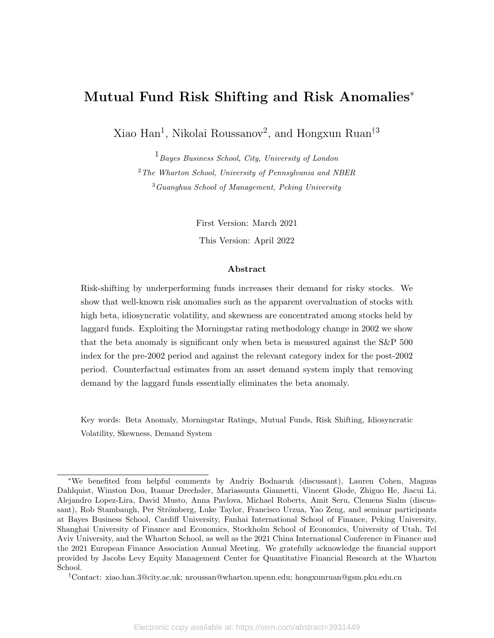# Mutual Fund Risk Shifting and Risk Anomalies<sup>∗</sup>

Xiao Han<sup>1</sup>, Nikolai Roussanov<sup>2</sup>, and Hongxun Ruan<sup>†3</sup>

 $1_{Bayes~Business~ School, City.~ University~ of~ London}$ <sup>2</sup>The Wharton School, University of Pennsylvania and NBER <sup>3</sup>Guanghua School of Management, Peking University

> First Version: March 2021 This Version: April 2022

#### Abstract

Risk-shifting by underperforming funds increases their demand for risky stocks. We show that well-known risk anomalies such as the apparent overvaluation of stocks with high beta, idiosyncratic volatility, and skewness are concentrated among stocks held by laggard funds. Exploiting the Morningstar rating methodology change in 2002 we show that the beta anomaly is significant only when beta is measured against the S&P 500 index for the pre-2002 period and against the relevant category index for the post-2002 period. Counterfactual estimates from an asset demand system imply that removing demand by the laggard funds essentially eliminates the beta anomaly.

Key words: Beta Anomaly, Morningstar Ratings, Mutual Funds, Risk Shifting, Idiosyncratic Volatility, Skewness, Demand System

<sup>∗</sup>We benefited from helpful comments by Andriy Bodnaruk (discussant), Lauren Cohen, Magnus Dahlquist, Winston Dou, Itamar Drechsler, Mariassunta Giannetti, Vincent Glode, Zhiguo He, Jiacui Li, Alejandro Lopez-Lira, David Musto, Anna Pavlova, Michael Roberts, Amit Seru, Clemens Sialm (discussant), Rob Stambaugh, Per Strömberg, Luke Taylor, Francisco Urzua, Yao Zeng, and seminar participants at Bayes Business School, Cardiff University, Fanhai International School of Finance, Peking University, Shanghai University of Finance and Economics, Stockholm School of Economics, University of Utah, Tel Aviv University, and the Wharton School, as well as the 2021 China International Conference in Finance and the 2021 European Finance Association Annual Meeting. We gratefully acknowledge the financial support provided by Jacobs Levy Equity Management Center for Quantitative Financial Research at the Wharton School.

<sup>†</sup>Contact: xiao.han.3@city.ac.uk; nroussan@wharton.upenn.edu; hongxunruan@gsm.pku.edu.cn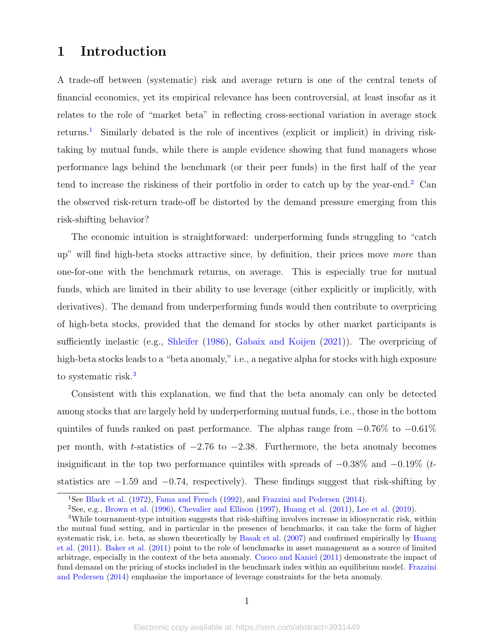# 1 Introduction

A trade-off between (systematic) risk and average return is one of the central tenets of financial economics, yet its empirical relevance has been controversial, at least insofar as it relates to the role of "market beta" in reflecting cross-sectional variation in average stock returns.[1](#page-1-0) Similarly debated is the role of incentives (explicit or implicit) in driving risktaking by mutual funds, while there is ample evidence showing that fund managers whose performance lags behind the benchmark (or their peer funds) in the first half of the year tend to increase the riskiness of their portfolio in order to catch up by the year-end.<sup>[2](#page-1-1)</sup> Can the observed risk-return trade-off be distorted by the demand pressure emerging from this risk-shifting behavior?

The economic intuition is straightforward: underperforming funds struggling to "catch up" will find high-beta stocks attractive since, by definition, their prices move more than one-for-one with the benchmark returns, on average. This is especially true for mutual funds, which are limited in their ability to use leverage (either explicitly or implicitly, with derivatives). The demand from underperforming funds would then contribute to overpricing of high-beta stocks, provided that the demand for stocks by other market participants is sufficiently inelastic (e.g., [Shleifer](#page-38-0) [\(1986\)](#page-38-0), [Gabaix and Koijen](#page-37-0) [\(2021\)](#page-37-0)). The overpricing of high-beta stocks leads to a "beta anomaly," i.e., a negative alpha for stocks with high exposure to systematic risk.<sup>[3](#page-1-2)</sup>

Consistent with this explanation, we find that the beta anomaly can only be detected among stocks that are largely held by underperforming mutual funds, i.e., those in the bottom quintiles of funds ranked on past performance. The alphas range from  $-0.76\%$  to  $-0.61\%$ per month, with t-statistics of  $-2.76$  to  $-2.38$ . Furthermore, the beta anomaly becomes insignificant in the top two performance quintiles with spreads of  $-0.38\%$  and  $-0.19\%$  (tstatistics are  $-1.59$  and  $-0.74$ , respectively). These findings suggest that risk-shifting by

<span id="page-1-0"></span><sup>1</sup>See [Black et al.](#page-36-0) [\(1972\)](#page-36-0), [Fama and French](#page-37-1) [\(1992\)](#page-37-1), and [Frazzini and Pedersen](#page-37-2) [\(2014\)](#page-37-2).

<span id="page-1-2"></span><span id="page-1-1"></span><sup>2</sup>See, e.g., [Brown et al.](#page-36-1) [\(1996\)](#page-36-1), [Chevalier and Ellison](#page-36-2) [\(1997\)](#page-36-2), [Huang et al.](#page-37-3) [\(2011\)](#page-37-3), [Lee et al.](#page-38-1) [\(2019\)](#page-38-1).

<sup>3</sup>While tournament-type intuition suggests that risk-shifting involves increase in idiosyncratic risk, within the mutual fund setting, and in particular in the presence of benchmarks, it can take the form of higher systematic risk, i.e. beta, as shown theoretically by [Basak et al.](#page-35-0) [\(2007\)](#page-35-0) and confirmed empirically by [Huang](#page-37-3) [et al.](#page-37-3) [\(2011\)](#page-37-3). [Baker et al.](#page-35-1) [\(2011\)](#page-35-1) point to the role of benchmarks in asset management as a source of limited arbitrage, especially in the context of the beta anomaly. [Cuoco and Kaniel](#page-36-3) [\(2011\)](#page-36-3) demonstrate the impact of fund demand on the pricing of stocks included in the benchmark index within an equilibrium model. [Frazzini](#page-37-2) [and Pedersen](#page-37-2) [\(2014\)](#page-37-2) emphasize the importance of leverage constraints for the beta anomaly.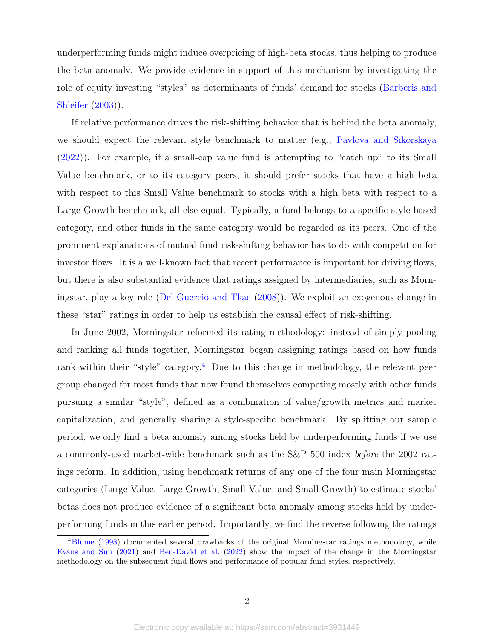underperforming funds might induce overpricing of high-beta stocks, thus helping to produce the beta anomaly. We provide evidence in support of this mechanism by investigating the role of equity investing "styles" as determinants of funds' demand for stocks [\(Barberis and](#page-35-2) [Shleifer](#page-35-2) [\(2003\)](#page-35-2)).

If relative performance drives the risk-shifting behavior that is behind the beta anomaly, we should expect the relevant style benchmark to matter (e.g., [Pavlova and Sikorskaya](#page-38-2) [\(2022\)](#page-38-2)). For example, if a small-cap value fund is attempting to "catch up" to its Small Value benchmark, or to its category peers, it should prefer stocks that have a high beta with respect to this Small Value benchmark to stocks with a high beta with respect to a Large Growth benchmark, all else equal. Typically, a fund belongs to a specific style-based category, and other funds in the same category would be regarded as its peers. One of the prominent explanations of mutual fund risk-shifting behavior has to do with competition for investor flows. It is a well-known fact that recent performance is important for driving flows, but there is also substantial evidence that ratings assigned by intermediaries, such as Morningstar, play a key role [\(Del Guercio and Tkac](#page-36-4) [\(2008\)](#page-36-4)). We exploit an exogenous change in these "star" ratings in order to help us establish the causal effect of risk-shifting.

In June 2002, Morningstar reformed its rating methodology: instead of simply pooling and ranking all funds together, Morningstar began assigning ratings based on how funds rank within their "style" category.<sup>[4](#page-2-0)</sup> Due to this change in methodology, the relevant peer group changed for most funds that now found themselves competing mostly with other funds pursuing a similar "style", defined as a combination of value/growth metrics and market capitalization, and generally sharing a style-specific benchmark. By splitting our sample period, we only find a beta anomaly among stocks held by underperforming funds if we use a commonly-used market-wide benchmark such as the S&P 500 index before the 2002 ratings reform. In addition, using benchmark returns of any one of the four main Morningstar categories (Large Value, Large Growth, Small Value, and Small Growth) to estimate stocks' betas does not produce evidence of a significant beta anomaly among stocks held by underperforming funds in this earlier period. Importantly, we find the reverse following the ratings

<span id="page-2-0"></span><sup>&</sup>lt;sup>4</sup>[Blume](#page-36-5) [\(1998\)](#page-36-5) documented several drawbacks of the original Morningstar ratings methodology, while [Evans and Sun](#page-37-4) [\(2021\)](#page-37-4) and [Ben-David et al.](#page-35-3) [\(2022\)](#page-35-3) show the impact of the change in the Morningstar methodology on the subsequent fund flows and performance of popular fund styles, respectively.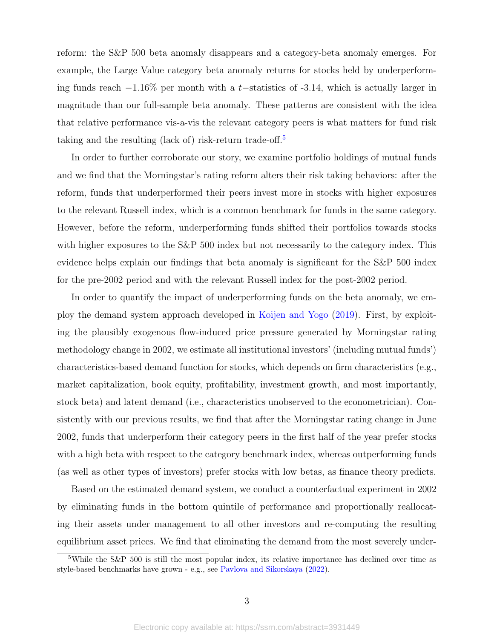reform: the S&P 500 beta anomaly disappears and a category-beta anomaly emerges. For example, the Large Value category beta anomaly returns for stocks held by underperforming funds reach  $-1.16\%$  per month with a t–statistics of  $-3.14$ , which is actually larger in magnitude than our full-sample beta anomaly. These patterns are consistent with the idea that relative performance vis-a-vis the relevant category peers is what matters for fund risk taking and the resulting (lack of) risk-return trade-off.[5](#page-3-0)

In order to further corroborate our story, we examine portfolio holdings of mutual funds and we find that the Morningstar's rating reform alters their risk taking behaviors: after the reform, funds that underperformed their peers invest more in stocks with higher exposures to the relevant Russell index, which is a common benchmark for funds in the same category. However, before the reform, underperforming funds shifted their portfolios towards stocks with higher exposures to the S&P 500 index but not necessarily to the category index. This evidence helps explain our findings that beta anomaly is significant for the S&P 500 index for the pre-2002 period and with the relevant Russell index for the post-2002 period.

In order to quantify the impact of underperforming funds on the beta anomaly, we employ the demand system approach developed in [Koijen and Yogo](#page-38-3) [\(2019\)](#page-38-3). First, by exploiting the plausibly exogenous flow-induced price pressure generated by Morningstar rating methodology change in 2002, we estimate all institutional investors' (including mutual funds') characteristics-based demand function for stocks, which depends on firm characteristics (e.g., market capitalization, book equity, profitability, investment growth, and most importantly, stock beta) and latent demand (i.e., characteristics unobserved to the econometrician). Consistently with our previous results, we find that after the Morningstar rating change in June 2002, funds that underperform their category peers in the first half of the year prefer stocks with a high beta with respect to the category benchmark index, whereas outperforming funds (as well as other types of investors) prefer stocks with low betas, as finance theory predicts.

Based on the estimated demand system, we conduct a counterfactual experiment in 2002 by eliminating funds in the bottom quintile of performance and proportionally reallocating their assets under management to all other investors and re-computing the resulting equilibrium asset prices. We find that eliminating the demand from the most severely under-

<span id="page-3-0"></span><sup>&</sup>lt;sup>5</sup>While the S&P 500 is still the most popular index, its relative importance has declined over time as style-based benchmarks have grown - e.g., see [Pavlova and Sikorskaya](#page-38-2) [\(2022\)](#page-38-2).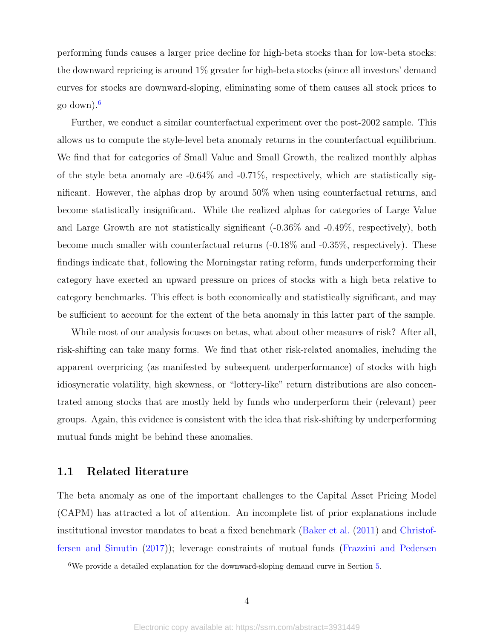performing funds causes a larger price decline for high-beta stocks than for low-beta stocks: the downward repricing is around 1% greater for high-beta stocks (since all investors' demand curves for stocks are downward-sloping, eliminating some of them causes all stock prices to go down).[6](#page-4-0)

Further, we conduct a similar counterfactual experiment over the post-2002 sample. This allows us to compute the style-level beta anomaly returns in the counterfactual equilibrium. We find that for categories of Small Value and Small Growth, the realized monthly alphas of the style beta anomaly are  $-0.64\%$  and  $-0.71\%$ , respectively, which are statistically significant. However, the alphas drop by around 50% when using counterfactual returns, and become statistically insignificant. While the realized alphas for categories of Large Value and Large Growth are not statistically significant (-0.36% and -0.49%, respectively), both become much smaller with counterfactual returns (-0.18% and -0.35%, respectively). These findings indicate that, following the Morningstar rating reform, funds underperforming their category have exerted an upward pressure on prices of stocks with a high beta relative to category benchmarks. This effect is both economically and statistically significant, and may be sufficient to account for the extent of the beta anomaly in this latter part of the sample.

While most of our analysis focuses on betas, what about other measures of risk? After all, risk-shifting can take many forms. We find that other risk-related anomalies, including the apparent overpricing (as manifested by subsequent underperformance) of stocks with high idiosyncratic volatility, high skewness, or "lottery-like" return distributions are also concentrated among stocks that are mostly held by funds who underperform their (relevant) peer groups. Again, this evidence is consistent with the idea that risk-shifting by underperforming mutual funds might be behind these anomalies.

## 1.1 Related literature

The beta anomaly as one of the important challenges to the Capital Asset Pricing Model (CAPM) has attracted a lot of attention. An incomplete list of prior explanations include institutional investor mandates to beat a fixed benchmark [\(Baker et al.](#page-35-1) [\(2011\)](#page-35-1) and [Christof](#page-36-6)[fersen and Simutin](#page-36-6) [\(2017\)](#page-36-6)); leverage constraints of mutual funds [\(Frazzini and Pedersen](#page-37-2)

<span id="page-4-0"></span><sup>6</sup>We provide a detailed explanation for the downward-sloping demand curve in Section [5.](#page-20-0)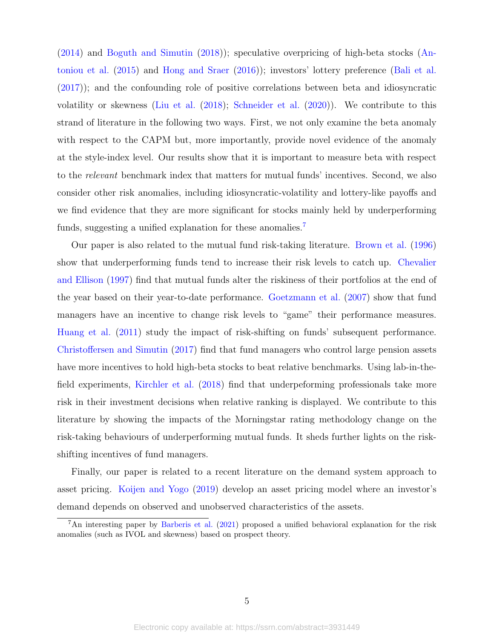[\(2014\)](#page-37-2) and [Boguth and Simutin](#page-36-7) [\(2018\)](#page-36-7)); speculative overpricing of high-beta stocks [\(An](#page-35-4)[toniou et al.](#page-35-4) [\(2015\)](#page-35-4) and [Hong and Sraer](#page-37-5) [\(2016\)](#page-37-5)); investors' lottery preference [\(Bali et al.](#page-35-5) [\(2017\)](#page-35-5)); and the confounding role of positive correlations between beta and idiosyncratic volatility or skewness [\(Liu et al.](#page-38-4) [\(2018\)](#page-38-4); [Schneider et al.](#page-38-5) [\(2020\)](#page-38-5)). We contribute to this strand of literature in the following two ways. First, we not only examine the beta anomaly with respect to the CAPM but, more importantly, provide novel evidence of the anomaly at the style-index level. Our results show that it is important to measure beta with respect to the relevant benchmark index that matters for mutual funds' incentives. Second, we also consider other risk anomalies, including idiosyncratic-volatility and lottery-like payoffs and we find evidence that they are more significant for stocks mainly held by underperforming funds, suggesting a unified explanation for these anomalies.<sup>[7](#page-5-0)</sup>

Our paper is also related to the mutual fund risk-taking literature. [Brown et al.](#page-36-1) [\(1996\)](#page-36-1) show that underperforming funds tend to increase their risk levels to catch up. [Chevalier](#page-36-2) [and Ellison](#page-36-2) [\(1997\)](#page-36-2) find that mutual funds alter the riskiness of their portfolios at the end of the year based on their year-to-date performance. [Goetzmann et al.](#page-37-6) [\(2007\)](#page-37-6) show that fund managers have an incentive to change risk levels to "game" their performance measures. [Huang et al.](#page-37-3) [\(2011\)](#page-37-3) study the impact of risk-shifting on funds' subsequent performance. [Christoffersen and Simutin](#page-36-6) [\(2017\)](#page-36-6) find that fund managers who control large pension assets have more incentives to hold high-beta stocks to beat relative benchmarks. Using lab-in-thefield experiments, [Kirchler et al.](#page-37-7) [\(2018\)](#page-37-7) find that underpeforming professionals take more risk in their investment decisions when relative ranking is displayed. We contribute to this literature by showing the impacts of the Morningstar rating methodology change on the risk-taking behaviours of underperforming mutual funds. It sheds further lights on the riskshifting incentives of fund managers.

Finally, our paper is related to a recent literature on the demand system approach to asset pricing. [Koijen and Yogo](#page-38-3) [\(2019\)](#page-38-3) develop an asset pricing model where an investor's demand depends on observed and unobserved characteristics of the assets.

<span id="page-5-0"></span><sup>7</sup>An interesting paper by [Barberis et al.](#page-35-6) [\(2021\)](#page-35-6) proposed a unified behavioral explanation for the risk anomalies (such as IVOL and skewness) based on prospect theory.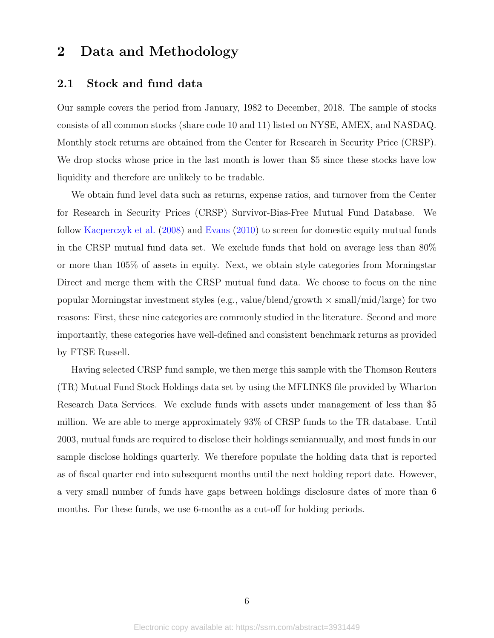# 2 Data and Methodology

## 2.1 Stock and fund data

Our sample covers the period from January, 1982 to December, 2018. The sample of stocks consists of all common stocks (share code 10 and 11) listed on NYSE, AMEX, and NASDAQ. Monthly stock returns are obtained from the Center for Research in Security Price (CRSP). We drop stocks whose price in the last month is lower than \$5 since these stocks have low liquidity and therefore are unlikely to be tradable.

We obtain fund level data such as returns, expense ratios, and turnover from the Center for Research in Security Prices (CRSP) Survivor-Bias-Free Mutual Fund Database. We follow [Kacperczyk et al.](#page-37-8) [\(2008\)](#page-37-8) and [Evans](#page-36-8) [\(2010\)](#page-36-8) to screen for domestic equity mutual funds in the CRSP mutual fund data set. We exclude funds that hold on average less than 80% or more than 105% of assets in equity. Next, we obtain style categories from Morningstar Direct and merge them with the CRSP mutual fund data. We choose to focus on the nine popular Morningstar investment styles (e.g., value/blend/growth  $\times$  small/mid/large) for two reasons: First, these nine categories are commonly studied in the literature. Second and more importantly, these categories have well-defined and consistent benchmark returns as provided by FTSE Russell.

Having selected CRSP fund sample, we then merge this sample with the Thomson Reuters (TR) Mutual Fund Stock Holdings data set by using the MFLINKS file provided by Wharton Research Data Services. We exclude funds with assets under management of less than \$5 million. We are able to merge approximately 93% of CRSP funds to the TR database. Until 2003, mutual funds are required to disclose their holdings semiannually, and most funds in our sample disclose holdings quarterly. We therefore populate the holding data that is reported as of fiscal quarter end into subsequent months until the next holding report date. However, a very small number of funds have gaps between holdings disclosure dates of more than 6 months. For these funds, we use 6-months as a cut-off for holding periods.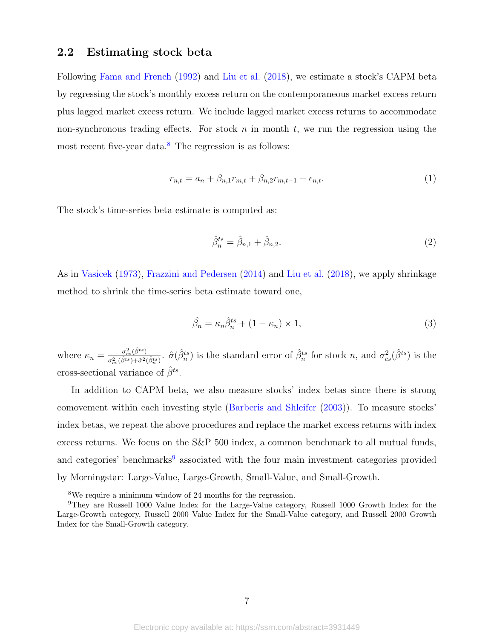## <span id="page-7-2"></span>2.2 Estimating stock beta

Following [Fama and French](#page-37-1) [\(1992\)](#page-37-1) and [Liu et al.](#page-38-4) [\(2018\)](#page-38-4), we estimate a stock's CAPM beta by regressing the stock's monthly excess return on the contemporaneous market excess return plus lagged market excess return. We include lagged market excess returns to accommodate non-synchronous trading effects. For stock n in month t, we run the regression using the most recent five-year data.<sup>[8](#page-7-0)</sup> The regression is as follows:

$$
r_{n,t} = a_n + \beta_{n,1} r_{m,t} + \beta_{n,2} r_{m,t-1} + \epsilon_{n,t}.
$$
 (1)

The stock's time-series beta estimate is computed as:

$$
\hat{\beta}_n^{ts} = \hat{\beta}_{n,1} + \hat{\beta}_{n,2}.\tag{2}
$$

As in [Vasicek](#page-38-6) [\(1973\)](#page-38-6), [Frazzini and Pedersen](#page-37-2) [\(2014\)](#page-37-2) and [Liu et al.](#page-38-4) [\(2018\)](#page-38-4), we apply shrinkage method to shrink the time-series beta estimate toward one,

$$
\hat{\beta}_n = \kappa_n \hat{\beta}_n^{ts} + (1 - \kappa_n) \times 1,\tag{3}
$$

where  $\kappa_n = \frac{\sigma_{cs}^2(\hat{\beta}^{ts})}{\sigma_{cs}^2(\hat{\beta}^{ts}) + \hat{\sigma}_{cs}^2}$  $\frac{\sigma_{cs}^2(\hat{\beta}^{ts})}{\sigma_{cs}^2(\hat{\beta}^{ts})+\hat{\sigma}^2(\hat{\beta}^{ts}_n)}$ .  $\hat{\sigma}(\hat{\beta}^{ts}_n)$  is the standard error of  $\hat{\beta}^{ts}_n$  for stock n, and  $\sigma_{cs}^2(\hat{\beta}^{ts})$  is the cross-sectional variance of  $\hat{\beta}^{ts}$ .

In addition to CAPM beta, we also measure stocks' index betas since there is strong comovement within each investing style [\(Barberis and Shleifer](#page-35-2) [\(2003\)](#page-35-2)). To measure stocks' index betas, we repeat the above procedures and replace the market excess returns with index excess returns. We focus on the S&P 500 index, a common benchmark to all mutual funds, and categories' benchmarks<sup>[9](#page-7-1)</sup> associated with the four main investment categories provided by Morningstar: Large-Value, Large-Growth, Small-Value, and Small-Growth.

<span id="page-7-1"></span><span id="page-7-0"></span><sup>8</sup>We require a minimum window of 24 months for the regression.

<sup>9</sup>They are Russell 1000 Value Index for the Large-Value category, Russell 1000 Growth Index for the Large-Growth category, Russell 2000 Value Index for the Small-Value category, and Russell 2000 Growth Index for the Small-Growth category.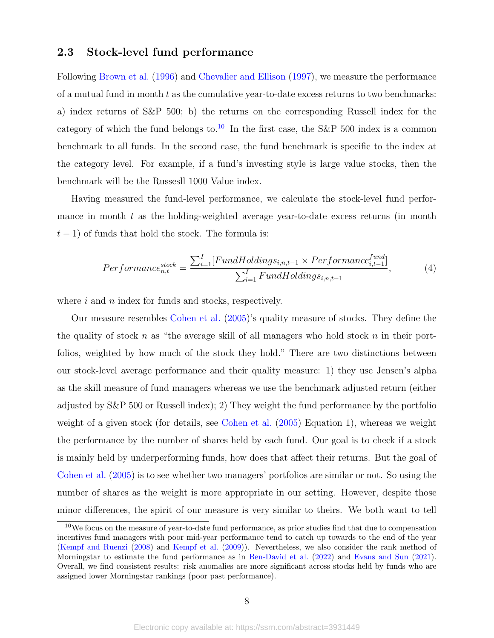## 2.3 Stock-level fund performance

Following [Brown et al.](#page-36-1) [\(1996\)](#page-36-1) and [Chevalier and Ellison](#page-36-2) [\(1997\)](#page-36-2), we measure the performance of a mutual fund in month  $t$  as the cumulative year-to-date excess returns to two benchmarks: a) index returns of S&P 500; b) the returns on the corresponding Russell index for the category of which the fund belongs to.<sup>[10](#page-8-0)</sup> In the first case, the S&P 500 index is a common benchmark to all funds. In the second case, the fund benchmark is specific to the index at the category level. For example, if a fund's investing style is large value stocks, then the benchmark will be the Russesll 1000 Value index.

Having measured the fund-level performance, we calculate the stock-level fund performance in month  $t$  as the holding-weighted average year-to-date excess returns (in month  $t-1$ ) of funds that hold the stock. The formula is:

<span id="page-8-1"></span>
$$
Performance_{n,t}^{stock} = \frac{\sum_{i=1}^{I} [FundHolding_{i,n,t-1} \times Performance_{i,t-1}^{fund}]}{\sum_{i=1}^{I} FundHolding_{i,n,t-1}},
$$
(4)

where  $i$  and  $n$  index for funds and stocks, respectively.

Our measure resembles [Cohen et al.](#page-36-9) [\(2005\)](#page-36-9)'s quality measure of stocks. They define the the quality of stock n as "the average skill of all managers who hold stock n in their portfolios, weighted by how much of the stock they hold." There are two distinctions between our stock-level average performance and their quality measure: 1) they use Jensen's alpha as the skill measure of fund managers whereas we use the benchmark adjusted return (either adjusted by S&P 500 or Russell index); 2) They weight the fund performance by the portfolio weight of a given stock (for details, see [Cohen et al.](#page-36-9) [\(2005\)](#page-36-9) Equation 1), whereas we weight the performance by the number of shares held by each fund. Our goal is to check if a stock is mainly held by underperforming funds, how does that affect their returns. But the goal of [Cohen et al.](#page-36-9) [\(2005\)](#page-36-9) is to see whether two managers' portfolios are similar or not. So using the number of shares as the weight is more appropriate in our setting. However, despite those minor differences, the spirit of our measure is very similar to theirs. We both want to tell

<span id="page-8-0"></span> $10$ We focus on the measure of year-to-date fund performance, as prior studies find that due to compensation incentives fund managers with poor mid-year performance tend to catch up towards to the end of the year [\(Kempf and Ruenzi](#page-37-9) [\(2008\)](#page-37-9) and [Kempf et al.](#page-37-10) [\(2009\)](#page-37-10)). Nevertheless, we also consider the rank method of Morningstar to estimate the fund performance as in [Ben-David et al.](#page-35-3) [\(2022\)](#page-35-3) and [Evans and Sun](#page-37-4) [\(2021\)](#page-37-4). Overall, we find consistent results: risk anomalies are more significant across stocks held by funds who are assigned lower Morningstar rankings (poor past performance).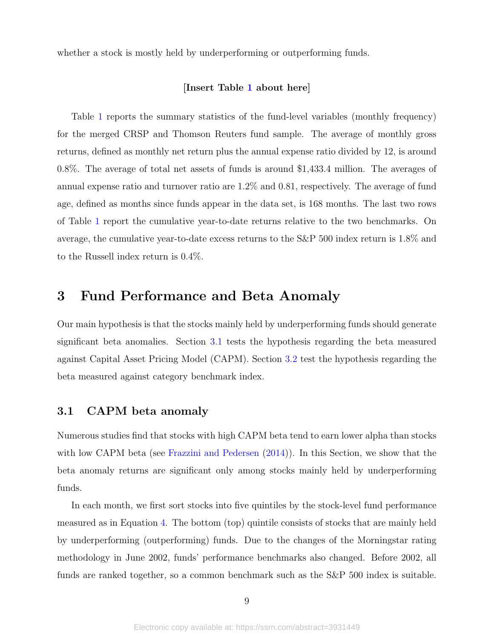whether a stock is mostly held by underperforming or outperforming funds.

## [Insert Table [1](#page-43-0) about here]

Table [1](#page-43-0) reports the summary statistics of the fund-level variables (monthly frequency) for the merged CRSP and Thomson Reuters fund sample. The average of monthly gross returns, defined as monthly net return plus the annual expense ratio divided by 12, is around 0.8%. The average of total net assets of funds is around \$1,433.4 million. The averages of annual expense ratio and turnover ratio are 1.2% and 0.81, respectively. The average of fund age, defined as months since funds appear in the data set, is 168 months. The last two rows of Table [1](#page-43-0) report the cumulative year-to-date returns relative to the two benchmarks. On average, the cumulative year-to-date excess returns to the S&P 500 index return is 1.8% and to the Russell index return is 0.4%.

# 3 Fund Performance and Beta Anomaly

Our main hypothesis is that the stocks mainly held by underperforming funds should generate significant beta anomalies. Section [3.1](#page-9-0) tests the hypothesis regarding the beta measured against Capital Asset Pricing Model (CAPM). Section [3.2](#page-13-0) test the hypothesis regarding the beta measured against category benchmark index.

## <span id="page-9-0"></span>3.1 CAPM beta anomaly

Numerous studies find that stocks with high CAPM beta tend to earn lower alpha than stocks with low CAPM beta (see [Frazzini and Pedersen](#page-37-2)  $(2014)$ ). In this Section, we show that the beta anomaly returns are significant only among stocks mainly held by underperforming funds.

In each month, we first sort stocks into five quintiles by the stock-level fund performance measured as in Equation [4.](#page-8-1) The bottom (top) quintile consists of stocks that are mainly held by underperforming (outperforming) funds. Due to the changes of the Morningstar rating methodology in June 2002, funds' performance benchmarks also changed. Before 2002, all funds are ranked together, so a common benchmark such as the S&P 500 index is suitable.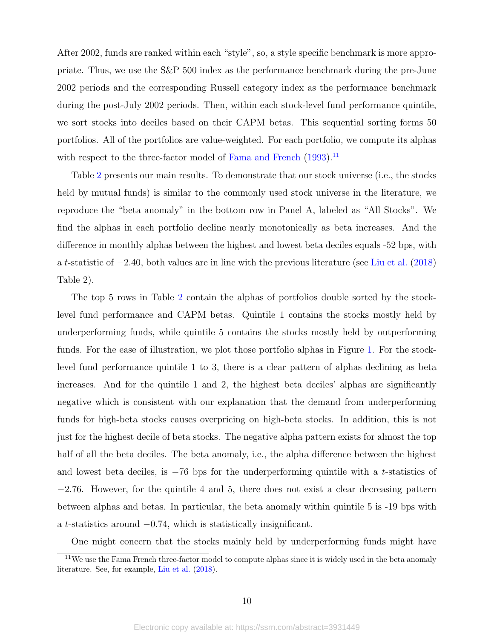After 2002, funds are ranked within each "style", so, a style specific benchmark is more appropriate. Thus, we use the S&P 500 index as the performance benchmark during the pre-June 2002 periods and the corresponding Russell category index as the performance benchmark during the post-July 2002 periods. Then, within each stock-level fund performance quintile, we sort stocks into deciles based on their CAPM betas. This sequential sorting forms 50 portfolios. All of the portfolios are value-weighted. For each portfolio, we compute its alphas with respect to the three-factor model of [Fama and French](#page-37-11)  $(1993)$ <sup>[11](#page-10-0)</sup>

Table [2](#page-44-0) presents our main results. To demonstrate that our stock universe (i.e., the stocks held by mutual funds) is similar to the commonly used stock universe in the literature, we reproduce the "beta anomaly" in the bottom row in Panel A, labeled as "All Stocks". We find the alphas in each portfolio decline nearly monotonically as beta increases. And the difference in monthly alphas between the highest and lowest beta deciles equals -52 bps, with a t-statistic of −2.40, both values are in line with the previous literature (see [Liu et al.](#page-38-4) [\(2018\)](#page-38-4) Table 2).

The top 5 rows in Table [2](#page-44-0) contain the alphas of portfolios double sorted by the stocklevel fund performance and CAPM betas. Quintile 1 contains the stocks mostly held by underperforming funds, while quintile 5 contains the stocks mostly held by outperforming funds. For the ease of illustration, we plot those portfolio alphas in Figure [1.](#page-39-0) For the stocklevel fund performance quintile 1 to 3, there is a clear pattern of alphas declining as beta increases. And for the quintile 1 and 2, the highest beta deciles' alphas are significantly negative which is consistent with our explanation that the demand from underperforming funds for high-beta stocks causes overpricing on high-beta stocks. In addition, this is not just for the highest decile of beta stocks. The negative alpha pattern exists for almost the top half of all the beta deciles. The beta anomaly, i.e., the alpha difference between the highest and lowest beta deciles, is  $-76$  bps for the underperforming quintile with a t-statistics of −2.76. However, for the quintile 4 and 5, there does not exist a clear decreasing pattern between alphas and betas. In particular, the beta anomaly within quintile 5 is -19 bps with a t-statistics around  $-0.74$ , which is statistically insignificant.

<span id="page-10-0"></span>One might concern that the stocks mainly held by underperforming funds might have

<sup>&</sup>lt;sup>11</sup>We use the Fama French three-factor model to compute alphas since it is widely used in the beta anomaly literature. See, for example, [Liu et al.](#page-38-4) [\(2018\)](#page-38-4).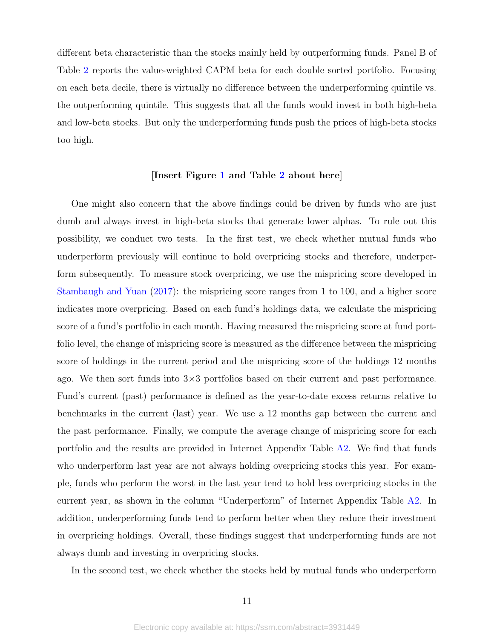different beta characteristic than the stocks mainly held by outperforming funds. Panel B of Table [2](#page-44-0) reports the value-weighted CAPM beta for each double sorted portfolio. Focusing on each beta decile, there is virtually no difference between the underperforming quintile vs. the outperforming quintile. This suggests that all the funds would invest in both high-beta and low-beta stocks. But only the underperforming funds push the prices of high-beta stocks too high.

### [Insert Figure [1](#page-39-0) and Table [2](#page-44-0) about here]

One might also concern that the above findings could be driven by funds who are just dumb and always invest in high-beta stocks that generate lower alphas. To rule out this possibility, we conduct two tests. In the first test, we check whether mutual funds who underperform previously will continue to hold overpricing stocks and therefore, underperform subsequently. To measure stock overpricing, we use the mispricing score developed in [Stambaugh and Yuan](#page-38-7) [\(2017\)](#page-38-7): the mispricing score ranges from 1 to 100, and a higher score indicates more overpricing. Based on each fund's holdings data, we calculate the mispricing score of a fund's portfolio in each month. Having measured the mispricing score at fund portfolio level, the change of mispricing score is measured as the difference between the mispricing score of holdings in the current period and the mispricing score of the holdings 12 months ago. We then sort funds into  $3\times3$  portfolios based on their current and past performance. Fund's current (past) performance is defined as the year-to-date excess returns relative to benchmarks in the current (last) year. We use a 12 months gap between the current and the past performance. Finally, we compute the average change of mispricing score for each portfolio and the results are provided in Internet Appendix Table [A2.](#page-64-0) We find that funds who underperform last year are not always holding overpricing stocks this year. For example, funds who perform the worst in the last year tend to hold less overpricing stocks in the current year, as shown in the column "Underperform" of Internet Appendix Table [A2.](#page-64-0) In addition, underperforming funds tend to perform better when they reduce their investment in overpricing holdings. Overall, these findings suggest that underperforming funds are not always dumb and investing in overpricing stocks.

In the second test, we check whether the stocks held by mutual funds who underperform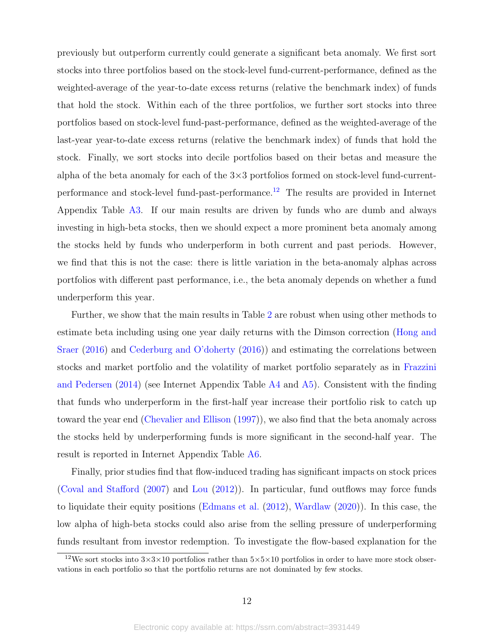previously but outperform currently could generate a significant beta anomaly. We first sort stocks into three portfolios based on the stock-level fund-current-performance, defined as the weighted-average of the year-to-date excess returns (relative the benchmark index) of funds that hold the stock. Within each of the three portfolios, we further sort stocks into three portfolios based on stock-level fund-past-performance, defined as the weighted-average of the last-year year-to-date excess returns (relative the benchmark index) of funds that hold the stock. Finally, we sort stocks into decile portfolios based on their betas and measure the alpha of the beta anomaly for each of the  $3\times3$  portfolios formed on stock-level fund-current-performance and stock-level fund-past-performance.<sup>[12](#page-12-0)</sup> The results are provided in Internet Appendix Table [A3.](#page-64-1) If our main results are driven by funds who are dumb and always investing in high-beta stocks, then we should expect a more prominent beta anomaly among the stocks held by funds who underperform in both current and past periods. However, we find that this is not the case: there is little variation in the beta-anomaly alphas across portfolios with different past performance, i.e., the beta anomaly depends on whether a fund underperform this year.

Further, we show that the main results in Table [2](#page-44-0) are robust when using other methods to estimate beta including using one year daily returns with the Dimson correction [\(Hong and](#page-37-5) [Sraer](#page-37-5) [\(2016\)](#page-37-5) and [Cederburg and O'doherty](#page-36-10) [\(2016\)](#page-36-10)) and estimating the correlations between stocks and market portfolio and the volatility of market portfolio separately as in [Frazzini](#page-37-2) [and Pedersen](#page-37-2) [\(2014\)](#page-37-2) (see Internet Appendix Table [A4](#page-65-0) and [A5\)](#page-66-0). Consistent with the finding that funds who underperform in the first-half year increase their portfolio risk to catch up toward the year end [\(Chevalier and Ellison](#page-36-2) [\(1997\)](#page-36-2)), we also find that the beta anomaly across the stocks held by underperforming funds is more significant in the second-half year. The result is reported in Internet Appendix Table [A6.](#page-67-0)

Finally, prior studies find that flow-induced trading has significant impacts on stock prices [\(Coval and Stafford](#page-36-11) [\(2007\)](#page-36-11) and [Lou](#page-38-8) [\(2012\)](#page-38-8)). In particular, fund outflows may force funds to liquidate their equity positions [\(Edmans et al.](#page-36-12) [\(2012\)](#page-36-12), [Wardlaw](#page-38-9) [\(2020\)](#page-38-9)). In this case, the low alpha of high-beta stocks could also arise from the selling pressure of underperforming funds resultant from investor redemption. To investigate the flow-based explanation for the

<span id="page-12-0"></span><sup>&</sup>lt;sup>12</sup>We sort stocks into  $3\times3\times10$  portfolios rather than  $5\times5\times10$  portfolios in order to have more stock observations in each portfolio so that the portfolio returns are not dominated by few stocks.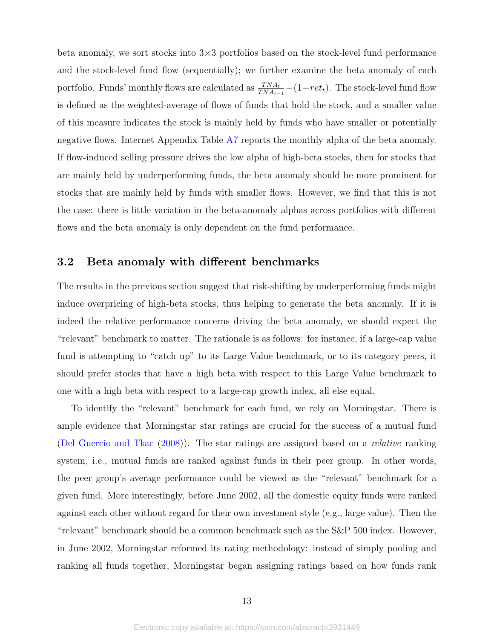beta anomaly, we sort stocks into  $3\times3$  portfolios based on the stock-level fund performance and the stock-level fund flow (sequentially); we further examine the beta anomaly of each portfolio. Funds' monthly flows are calculated as  $\frac{TNA_t}{TNA_{t-1}} - (1 + ret_t)$ . The stock-level fund flow is defined as the weighted-average of flows of funds that hold the stock, and a smaller value of this measure indicates the stock is mainly held by funds who have smaller or potentially negative flows. Internet Appendix Table [A7](#page-68-0) reports the monthly alpha of the beta anomaly. If flow-induced selling pressure drives the low alpha of high-beta stocks, then for stocks that are mainly held by underperforming funds, the beta anomaly should be more prominent for stocks that are mainly held by funds with smaller flows. However, we find that this is not the case: there is little variation in the beta-anomaly alphas across portfolios with different flows and the beta anomaly is only dependent on the fund performance.

## <span id="page-13-0"></span>3.2 Beta anomaly with different benchmarks

The results in the previous section suggest that risk-shifting by underperforming funds might induce overpricing of high-beta stocks, thus helping to generate the beta anomaly. If it is indeed the relative performance concerns driving the beta anomaly, we should expect the "relevant" benchmark to matter. The rationale is as follows: for instance, if a large-cap value fund is attempting to "catch up" to its Large Value benchmark, or to its category peers, it should prefer stocks that have a high beta with respect to this Large Value benchmark to one with a high beta with respect to a large-cap growth index, all else equal.

To identify the "relevant" benchmark for each fund, we rely on Morningstar. There is ample evidence that Morningstar star ratings are crucial for the success of a mutual fund [\(Del Guercio and Tkac](#page-36-4) [\(2008\)](#page-36-4)). The star ratings are assigned based on a relative ranking system, i.e., mutual funds are ranked against funds in their peer group. In other words, the peer group's average performance could be viewed as the "relevant" benchmark for a given fund. More interestingly, before June 2002, all the domestic equity funds were ranked against each other without regard for their own investment style (e.g., large value). Then the "relevant" benchmark should be a common benchmark such as the S&P 500 index. However, in June 2002, Morningstar reformed its rating methodology: instead of simply pooling and ranking all funds together, Morningstar began assigning ratings based on how funds rank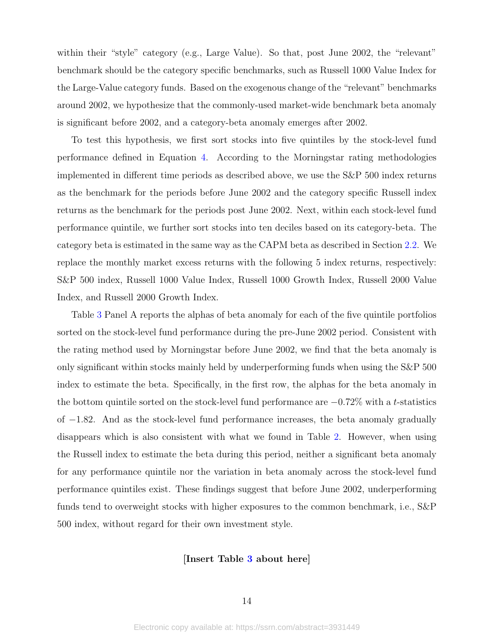within their "style" category (e.g., Large Value). So that, post June 2002, the "relevant" benchmark should be the category specific benchmarks, such as Russell 1000 Value Index for the Large-Value category funds. Based on the exogenous change of the "relevant" benchmarks around 2002, we hypothesize that the commonly-used market-wide benchmark beta anomaly is significant before 2002, and a category-beta anomaly emerges after 2002.

To test this hypothesis, we first sort stocks into five quintiles by the stock-level fund performance defined in Equation [4.](#page-8-1) According to the Morningstar rating methodologies implemented in different time periods as described above, we use the S&P 500 index returns as the benchmark for the periods before June 2002 and the category specific Russell index returns as the benchmark for the periods post June 2002. Next, within each stock-level fund performance quintile, we further sort stocks into ten deciles based on its category-beta. The category beta is estimated in the same way as the CAPM beta as described in Section [2.2.](#page-7-2) We replace the monthly market excess returns with the following 5 index returns, respectively: S&P 500 index, Russell 1000 Value Index, Russell 1000 Growth Index, Russell 2000 Value Index, and Russell 2000 Growth Index.

Table [3](#page-45-0) Panel A reports the alphas of beta anomaly for each of the five quintile portfolios sorted on the stock-level fund performance during the pre-June 2002 period. Consistent with the rating method used by Morningstar before June 2002, we find that the beta anomaly is only significant within stocks mainly held by underperforming funds when using the S&P 500 index to estimate the beta. Specifically, in the first row, the alphas for the beta anomaly in the bottom quintile sorted on the stock-level fund performance are  $-0.72\%$  with a t-statistics of −1.82. And as the stock-level fund performance increases, the beta anomaly gradually disappears which is also consistent with what we found in Table [2.](#page-44-0) However, when using the Russell index to estimate the beta during this period, neither a significant beta anomaly for any performance quintile nor the variation in beta anomaly across the stock-level fund performance quintiles exist. These findings suggest that before June 2002, underperforming funds tend to overweight stocks with higher exposures to the common benchmark, i.e., S&P 500 index, without regard for their own investment style.

### [Insert Table [3](#page-45-0) about here]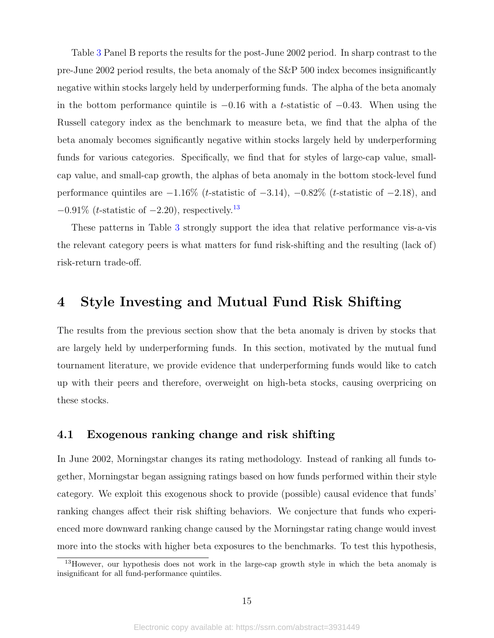Table [3](#page-45-0) Panel B reports the results for the post-June 2002 period. In sharp contrast to the pre-June 2002 period results, the beta anomaly of the S&P 500 index becomes insignificantly negative within stocks largely held by underperforming funds. The alpha of the beta anomaly in the bottom performance quintile is  $-0.16$  with a t-statistic of  $-0.43$ . When using the Russell category index as the benchmark to measure beta, we find that the alpha of the beta anomaly becomes significantly negative within stocks largely held by underperforming funds for various categories. Specifically, we find that for styles of large-cap value, smallcap value, and small-cap growth, the alphas of beta anomaly in the bottom stock-level fund performance quintiles are  $-1.16\%$  (t-statistic of  $-3.14$ ),  $-0.82\%$  (t-statistic of  $-2.18$ ), and  $-0.91\%$  (*t*-statistic of  $-2.20$ ), respectively.<sup>[13](#page-15-0)</sup>

These patterns in Table [3](#page-45-0) strongly support the idea that relative performance vis-a-vis the relevant category peers is what matters for fund risk-shifting and the resulting (lack of) risk-return trade-off.

# 4 Style Investing and Mutual Fund Risk Shifting

The results from the previous section show that the beta anomaly is driven by stocks that are largely held by underperforming funds. In this section, motivated by the mutual fund tournament literature, we provide evidence that underperforming funds would like to catch up with their peers and therefore, overweight on high-beta stocks, causing overpricing on these stocks.

## 4.1 Exogenous ranking change and risk shifting

In June 2002, Morningstar changes its rating methodology. Instead of ranking all funds together, Morningstar began assigning ratings based on how funds performed within their style category. We exploit this exogenous shock to provide (possible) causal evidence that funds' ranking changes affect their risk shifting behaviors. We conjecture that funds who experienced more downward ranking change caused by the Morningstar rating change would invest more into the stocks with higher beta exposures to the benchmarks. To test this hypothesis,

<span id="page-15-0"></span><sup>&</sup>lt;sup>13</sup>However, our hypothesis does not work in the large-cap growth style in which the beta anomaly is insignificant for all fund-performance quintiles.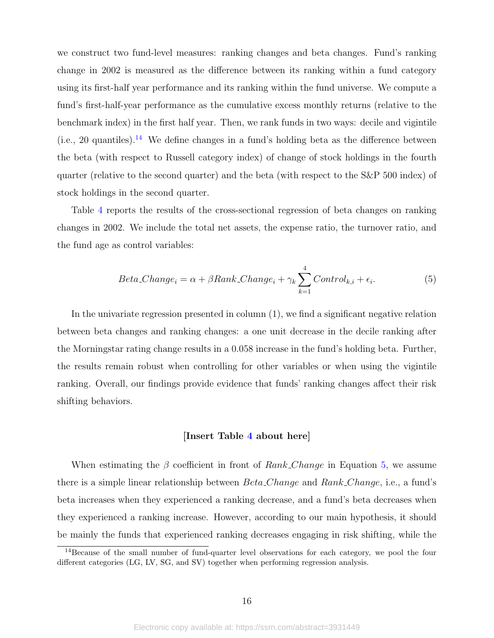we construct two fund-level measures: ranking changes and beta changes. Fund's ranking change in 2002 is measured as the difference between its ranking within a fund category using its first-half year performance and its ranking within the fund universe. We compute a fund's first-half-year performance as the cumulative excess monthly returns (relative to the benchmark index) in the first half year. Then, we rank funds in two ways: decile and vigintile (i.e., 20 quantiles).<sup>[14](#page-16-0)</sup> We define changes in a fund's holding beta as the difference between the beta (with respect to Russell category index) of change of stock holdings in the fourth quarter (relative to the second quarter) and the beta (with respect to the S&P 500 index) of stock holdings in the second quarter.

Table [4](#page-46-0) reports the results of the cross-sectional regression of beta changes on ranking changes in 2002. We include the total net assets, the expense ratio, the turnover ratio, and the fund age as control variables:

$$
Beta\_Change_i = \alpha + \beta Rank\_Change_i + \gamma_k \sum_{k=1}^{4} Control_{k,i} + \epsilon_i.
$$
 (5)

In the univariate regression presented in column (1), we find a significant negative relation between beta changes and ranking changes: a one unit decrease in the decile ranking after the Morningstar rating change results in a 0.058 increase in the fund's holding beta. Further, the results remain robust when controlling for other variables or when using the vigintile ranking. Overall, our findings provide evidence that funds' ranking changes affect their risk shifting behaviors.

#### <span id="page-16-1"></span>[Insert Table [4](#page-46-0) about here]

When estimating the  $\beta$  coefficient in front of Rank Change in Equation [5,](#page-16-1) we assume there is a simple linear relationship between  $Beta\_Change$  and  $Rank\_Change$ , i.e., a fund's beta increases when they experienced a ranking decrease, and a fund's beta decreases when they experienced a ranking increase. However, according to our main hypothesis, it should be mainly the funds that experienced ranking decreases engaging in risk shifting, while the

<span id="page-16-0"></span><sup>&</sup>lt;sup>14</sup>Because of the small number of fund-quarter level observations for each category, we pool the four different categories (LG, LV, SG, and SV) together when performing regression analysis.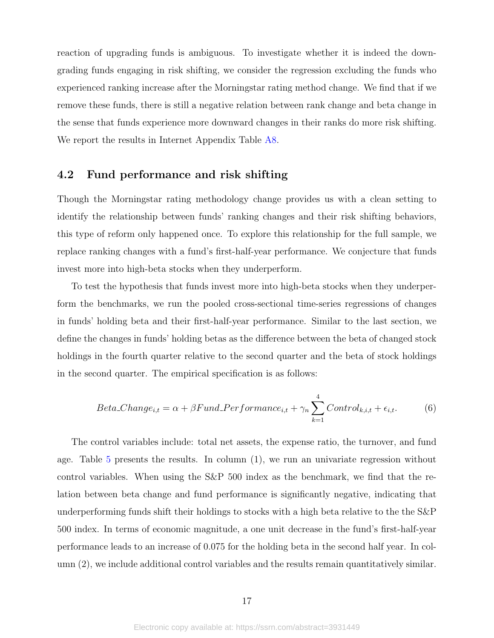reaction of upgrading funds is ambiguous. To investigate whether it is indeed the downgrading funds engaging in risk shifting, we consider the regression excluding the funds who experienced ranking increase after the Morningstar rating method change. We find that if we remove these funds, there is still a negative relation between rank change and beta change in the sense that funds experience more downward changes in their ranks do more risk shifting. We report the results in Internet Appendix Table [A8.](#page-69-0)

## 4.2 Fund performance and risk shifting

Though the Morningstar rating methodology change provides us with a clean setting to identify the relationship between funds' ranking changes and their risk shifting behaviors, this type of reform only happened once. To explore this relationship for the full sample, we replace ranking changes with a fund's first-half-year performance. We conjecture that funds invest more into high-beta stocks when they underperform.

To test the hypothesis that funds invest more into high-beta stocks when they underperform the benchmarks, we run the pooled cross-sectional time-series regressions of changes in funds' holding beta and their first-half-year performance. Similar to the last section, we define the changes in funds' holding betas as the difference between the beta of changed stock holdings in the fourth quarter relative to the second quarter and the beta of stock holdings in the second quarter. The empirical specification is as follows:

$$
Beta\_Change_{i,t} = \alpha + \beta Fund\_Performance_{i,t} + \gamma_n \sum_{k=1}^{4} Control_{k,i,t} + \epsilon_{i,t}.
$$
 (6)

The control variables include: total net assets, the expense ratio, the turnover, and fund age. Table [5](#page-47-0) presents the results. In column (1), we run an univariate regression without control variables. When using the S&P 500 index as the benchmark, we find that the relation between beta change and fund performance is significantly negative, indicating that underperforming funds shift their holdings to stocks with a high beta relative to the the S&P 500 index. In terms of economic magnitude, a one unit decrease in the fund's first-half-year performance leads to an increase of 0.075 for the holding beta in the second half year. In column (2), we include additional control variables and the results remain quantitatively similar.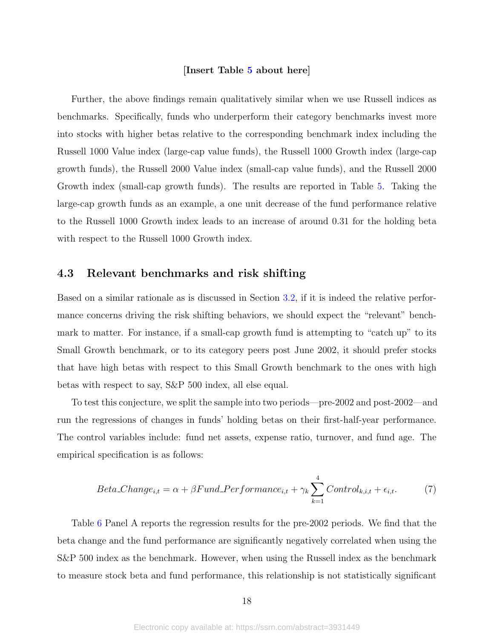#### [Insert Table [5](#page-47-0) about here]

Further, the above findings remain qualitatively similar when we use Russell indices as benchmarks. Specifically, funds who underperform their category benchmarks invest more into stocks with higher betas relative to the corresponding benchmark index including the Russell 1000 Value index (large-cap value funds), the Russell 1000 Growth index (large-cap growth funds), the Russell 2000 Value index (small-cap value funds), and the Russell 2000 Growth index (small-cap growth funds). The results are reported in Table [5.](#page-47-0) Taking the large-cap growth funds as an example, a one unit decrease of the fund performance relative to the Russell 1000 Growth index leads to an increase of around 0.31 for the holding beta with respect to the Russell 1000 Growth index.

## 4.3 Relevant benchmarks and risk shifting

Based on a similar rationale as is discussed in Section [3.2,](#page-13-0) if it is indeed the relative performance concerns driving the risk shifting behaviors, we should expect the "relevant" benchmark to matter. For instance, if a small-cap growth fund is attempting to "catch up" to its Small Growth benchmark, or to its category peers post June 2002, it should prefer stocks that have high betas with respect to this Small Growth benchmark to the ones with high betas with respect to say, S&P 500 index, all else equal.

To test this conjecture, we split the sample into two periods—pre-2002 and post-2002—and run the regressions of changes in funds' holding betas on their first-half-year performance. The control variables include: fund net assets, expense ratio, turnover, and fund age. The empirical specification is as follows:

$$
Beta\_Change_{i,t} = \alpha + \beta Fund\_Performance_{i,t} + \gamma_k \sum_{k=1}^{4} Control_{k,i,t} + \epsilon_{i,t}.
$$
 (7)

Table [6](#page-48-0) Panel A reports the regression results for the pre-2002 periods. We find that the beta change and the fund performance are significantly negatively correlated when using the S&P 500 index as the benchmark. However, when using the Russell index as the benchmark to measure stock beta and fund performance, this relationship is not statistically significant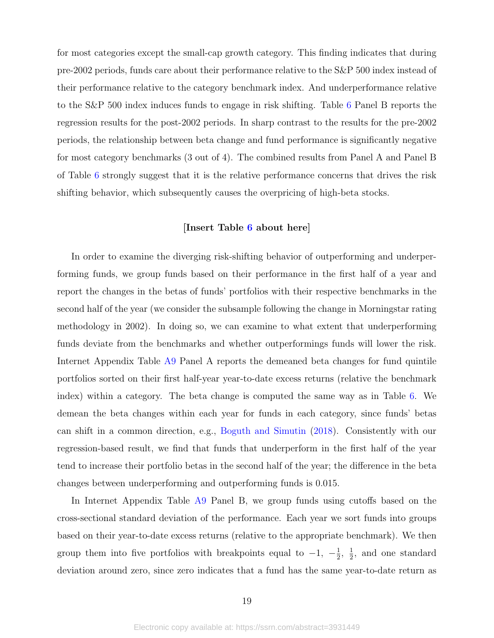for most categories except the small-cap growth category. This finding indicates that during pre-2002 periods, funds care about their performance relative to the S&P 500 index instead of their performance relative to the category benchmark index. And underperformance relative to the S&P 500 index induces funds to engage in risk shifting. Table [6](#page-48-0) Panel B reports the regression results for the post-2002 periods. In sharp contrast to the results for the pre-2002 periods, the relationship between beta change and fund performance is significantly negative for most category benchmarks (3 out of 4). The combined results from Panel A and Panel B of Table [6](#page-48-0) strongly suggest that it is the relative performance concerns that drives the risk shifting behavior, which subsequently causes the overpricing of high-beta stocks.

#### [Insert Table [6](#page-48-0) about here]

In order to examine the diverging risk-shifting behavior of outperforming and underperforming funds, we group funds based on their performance in the first half of a year and report the changes in the betas of funds' portfolios with their respective benchmarks in the second half of the year (we consider the subsample following the change in Morningstar rating methodology in 2002). In doing so, we can examine to what extent that underperforming funds deviate from the benchmarks and whether outperformings funds will lower the risk. Internet Appendix Table [A9](#page-70-0) Panel A reports the demeaned beta changes for fund quintile portfolios sorted on their first half-year year-to-date excess returns (relative the benchmark index) within a category. The beta change is computed the same way as in Table [6.](#page-48-0) We demean the beta changes within each year for funds in each category, since funds' betas can shift in a common direction, e.g., [Boguth and Simutin](#page-36-7) [\(2018\)](#page-36-7). Consistently with our regression-based result, we find that funds that underperform in the first half of the year tend to increase their portfolio betas in the second half of the year; the difference in the beta changes between underperforming and outperforming funds is 0.015.

In Internet Appendix Table [A9](#page-70-0) Panel B, we group funds using cutoffs based on the cross-sectional standard deviation of the performance. Each year we sort funds into groups based on their year-to-date excess returns (relative to the appropriate benchmark). We then group them into five portfolios with breakpoints equal to  $-1$ ,  $-\frac{1}{2}$  $\frac{1}{2}$ ,  $\frac{1}{2}$  $\frac{1}{2}$ , and one standard deviation around zero, since zero indicates that a fund has the same year-to-date return as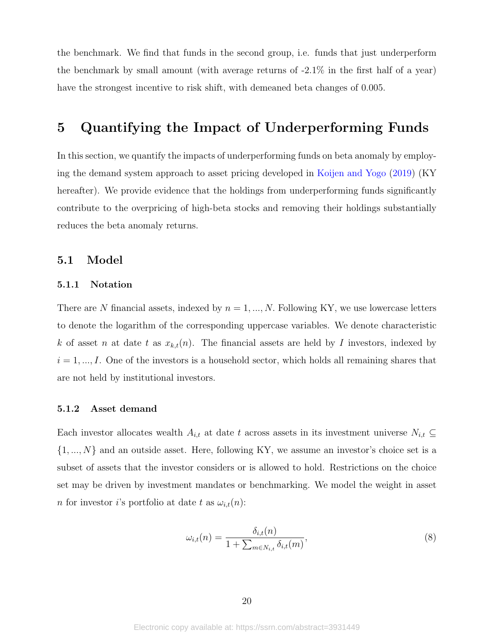the benchmark. We find that funds in the second group, i.e. funds that just underperform the benchmark by small amount (with average returns of -2.1% in the first half of a year) have the strongest incentive to risk shift, with demeaned beta changes of 0.005.

# <span id="page-20-0"></span>5 Quantifying the Impact of Underperforming Funds

In this section, we quantify the impacts of underperforming funds on beta anomaly by employing the demand system approach to asset pricing developed in [Koijen and Yogo](#page-38-3) [\(2019\)](#page-38-3) (KY hereafter). We provide evidence that the holdings from underperforming funds significantly contribute to the overpricing of high-beta stocks and removing their holdings substantially reduces the beta anomaly returns.

## 5.1 Model

### 5.1.1 Notation

There are N financial assets, indexed by  $n = 1, ..., N$ . Following KY, we use lowercase letters to denote the logarithm of the corresponding uppercase variables. We denote characteristic k of asset n at date t as  $x_{k,t}(n)$ . The financial assets are held by I investors, indexed by  $i = 1, ..., I$ . One of the investors is a household sector, which holds all remaining shares that are not held by institutional investors.

#### 5.1.2 Asset demand

Each investor allocates wealth  $A_{i,t}$  at date t across assets in its investment universe  $N_{i,t} \subseteq$  $\{1, ..., N\}$  and an outside asset. Here, following KY, we assume an investor's choice set is a subset of assets that the investor considers or is allowed to hold. Restrictions on the choice set may be driven by investment mandates or benchmarking. We model the weight in asset *n* for investor *i*'s portfolio at date t as  $\omega_{i,t}(n)$ :

$$
\omega_{i,t}(n) = \frac{\delta_{i,t}(n)}{1 + \sum_{m \in N_{i,t}} \delta_{i,t}(m)},\tag{8}
$$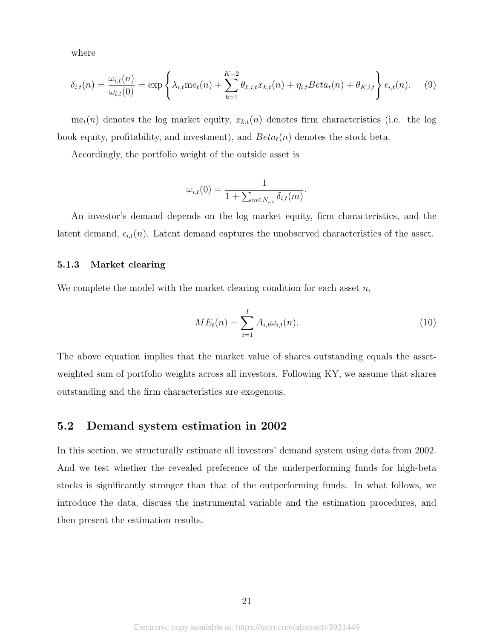where

<span id="page-21-0"></span>
$$
\delta_{i,t}(n) = \frac{\omega_{i,t}(n)}{\omega_{i,t}(0)} = \exp\left\{\lambda_{i,t}\operatorname{me}_t(n) + \sum_{k=1}^{K-2} \theta_{k,i,t} x_{k,t}(n) + \eta_{i,t} Beta_t(n) + \theta_{K,i,t}\right\} \epsilon_{i,t}(n). \tag{9}
$$

me<sub>t</sub> $(n)$  denotes the log market equity,  $x_{k,t}(n)$  denotes firm characteristics (i.e. the log book equity, profitability, and investment), and  $Beta<sub>t</sub>(n)$  denotes the stock beta.

Accordingly, the portfolio weight of the outside asset is

$$
\omega_{i,t}(0) = \frac{1}{1 + \sum_{m \in N_{i,t}} \delta_{i,t}(m)}
$$

An investor's demand depends on the log market equity, firm characteristics, and the latent demand,  $\epsilon_{i,t}(n)$ . Latent demand captures the unobserved characteristics of the asset.

### 5.1.3 Market clearing

We complete the model with the market clearing condition for each asset  $n$ ,

<span id="page-21-1"></span>
$$
ME_t(n) = \sum_{i=1}^{I} A_{i,t} \omega_{i,t}(n).
$$
 (10)

.

The above equation implies that the market value of shares outstanding equals the assetweighted sum of portfolio weights across all investors. Following KY, we assume that shares outstanding and the firm characteristics are exogenous.

## 5.2 Demand system estimation in 2002

In this section, we structurally estimate all investors' demand system using data from 2002. And we test whether the revealed preference of the underperforming funds for high-beta stocks is significantly stronger than that of the outperforming funds. In what follows, we introduce the data, discuss the instrumental variable and the estimation procedures, and then present the estimation results.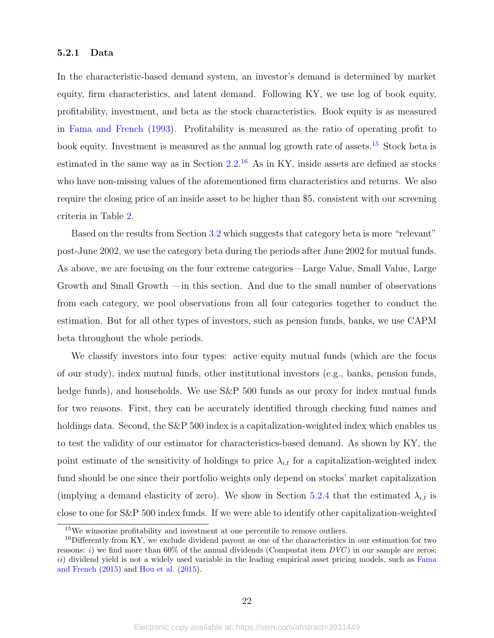#### 5.2.1 Data

In the characteristic-based demand system, an investor's demand is determined by market equity, firm characteristics, and latent demand. Following KY, we use log of book equity, profitability, investment, and beta as the stock characteristics. Book equity is as measured in [Fama and French](#page-37-11) [\(1993\)](#page-37-11). Profitability is measured as the ratio of operating profit to book equity. Investment is measured as the annual log growth rate of assets.<sup>[15](#page-22-0)</sup> Stock beta is estimated in the same way as in Section  $2.2<sup>16</sup>$  $2.2<sup>16</sup>$  $2.2<sup>16</sup>$  As in KY, inside assets are defined as stocks who have non-missing values of the aforementioned firm characteristics and returns. We also require the closing price of an inside asset to be higher than \$5, consistent with our screening criteria in Table [2.](#page-44-0)

Based on the results from Section [3.2](#page-13-0) which suggests that category beta is more "relevant" post-June 2002, we use the category beta during the periods after June 2002 for mutual funds. As above, we are focusing on the four extreme categories—Large Value, Small Value, Large Growth and Small Growth —in this section. And due to the small number of observations from each category, we pool observations from all four categories together to conduct the estimation. But for all other types of investors, such as pension funds, banks, we use CAPM beta throughout the whole periods.

We classify investors into four types: active equity mutual funds (which are the focus of our study), index mutual funds, other institutional investors (e.g., banks, pension funds, hedge funds), and households. We use S&P 500 funds as our proxy for index mutual funds for two reasons. First, they can be accurately identified through checking fund names and holdings data. Second, the S&P 500 index is a capitalization-weighted index which enables us to test the validity of our estimator for characteristics-based demand. As shown by KY, the point estimate of the sensitivity of holdings to price  $\lambda_{i,t}$  for a capitalization-weighted index fund should be one since their portfolio weights only depend on stocks' market capitalization (implying a demand elasticity of zero). We show in Section [5.2.4](#page-25-0) that the estimated  $\lambda_{i,t}$  is close to one for S&P 500 index funds. If we were able to identify other capitalization-weighted

<span id="page-22-1"></span><span id="page-22-0"></span><sup>&</sup>lt;sup>15</sup>We winsorize profitability and investment at one percentile to remove outliers.

 $16$ Differently from KY, we exclude dividend payout as one of the characteristics in our estimation for two reasons: i) we find more than  $60\%$  of the annual dividends (Compustat item  $DVC$ ) in our sample are zeros;  $ii)$  dividend yield is not a widely used variable in the leading empirical asset pricing models, such as [Fama](#page-37-12) [and French](#page-37-12) [\(2015\)](#page-37-12) and [Hou et al.](#page-37-13) [\(2015\)](#page-37-13).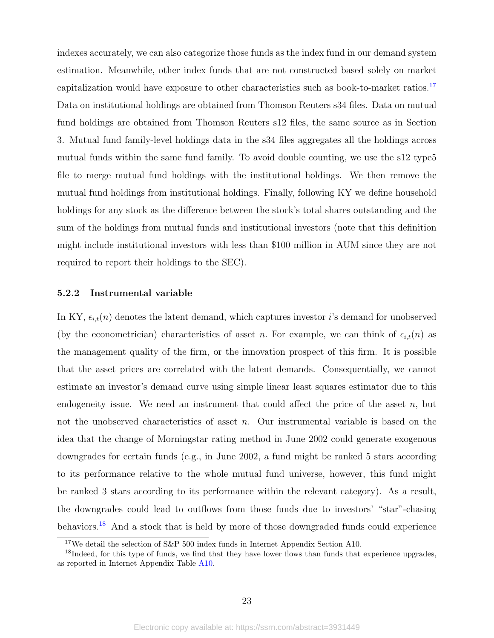indexes accurately, we can also categorize those funds as the index fund in our demand system estimation. Meanwhile, other index funds that are not constructed based solely on market capitalization would have exposure to other characteristics such as book-to-market ratios.<sup>[17](#page-23-0)</sup> Data on institutional holdings are obtained from Thomson Reuters s34 files. Data on mutual fund holdings are obtained from Thomson Reuters s12 files, the same source as in Section 3. Mutual fund family-level holdings data in the s34 files aggregates all the holdings across mutual funds within the same fund family. To avoid double counting, we use the s12 type5 file to merge mutual fund holdings with the institutional holdings. We then remove the mutual fund holdings from institutional holdings. Finally, following KY we define household holdings for any stock as the difference between the stock's total shares outstanding and the sum of the holdings from mutual funds and institutional investors (note that this definition might include institutional investors with less than \$100 million in AUM since they are not required to report their holdings to the SEC).

#### 5.2.2 Instrumental variable

In KY,  $\epsilon_{i,t}(n)$  denotes the latent demand, which captures investor i's demand for unobserved (by the econometrician) characteristics of asset n. For example, we can think of  $\epsilon_{i,t}(n)$  as the management quality of the firm, or the innovation prospect of this firm. It is possible that the asset prices are correlated with the latent demands. Consequentially, we cannot estimate an investor's demand curve using simple linear least squares estimator due to this endogeneity issue. We need an instrument that could affect the price of the asset  $n$ , but not the unobserved characteristics of asset  $n$ . Our instrumental variable is based on the idea that the change of Morningstar rating method in June 2002 could generate exogenous downgrades for certain funds (e.g., in June 2002, a fund might be ranked 5 stars according to its performance relative to the whole mutual fund universe, however, this fund might be ranked 3 stars according to its performance within the relevant category). As a result, the downgrades could lead to outflows from those funds due to investors' "star"-chasing behaviors.<sup>[18](#page-23-1)</sup> And a stock that is held by more of those downgraded funds could experience

<span id="page-23-1"></span><span id="page-23-0"></span><sup>17</sup>We detail the selection of S&P 500 index funds in Internet Appendix Section A10.

<sup>&</sup>lt;sup>18</sup>Indeed, for this type of funds, we find that they have lower flows than funds that experience upgrades, as reported in Internet Appendix Table [A10.](#page-71-0)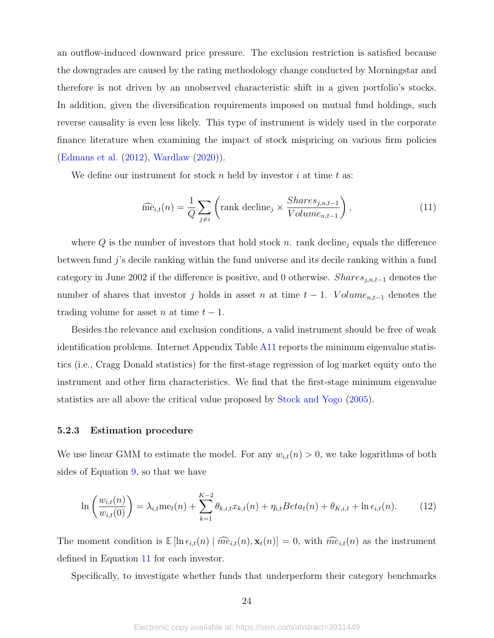an outflow-induced downward price pressure. The exclusion restriction is satisfied because the downgrades are caused by the rating methodology change conducted by Morningstar and therefore is not driven by an unobserved characteristic shift in a given portfolio's stocks. In addition, given the diversification requirements imposed on mutual fund holdings, such reverse causality is even less likely. This type of instrument is widely used in the corporate finance literature when examining the impact of stock mispricing on various firm policies [\(Edmans et al.](#page-36-12) [\(2012\)](#page-36-12), [Wardlaw](#page-38-9) [\(2020\)](#page-38-9)).

We define our instrument for stock n held by investor i at time  $t$  as:

<span id="page-24-0"></span>
$$
\widehat{\text{me}}_{i,t}(n) = \frac{1}{Q} \sum_{j \neq i} \left( \text{rank decline}_j \times \frac{Shares_{j,n,t-1}}{Volume_{n,t-1}} \right), \tag{11}
$$

where  $Q$  is the number of investors that hold stock n. rank decline<sub>j</sub> equals the difference between fund j's decile ranking within the fund universe and its decile ranking within a fund category in June 2002 if the difference is positive, and 0 otherwise. Shares $_{j,n,t-1}$  denotes the number of shares that investor j holds in asset n at time  $t-1$ . Volume<sub>n,t-1</sub> denotes the trading volume for asset *n* at time  $t - 1$ .

Besides the relevance and exclusion conditions, a valid instrument should be free of weak identification problems. Internet Appendix Table [A11](#page-71-1) reports the minimum eigenvalue statistics (i.e., Cragg Donald statistics) for the first-stage regression of log market equity onto the instrument and other firm characteristics. We find that the first-stage minimum eigenvalue statistics are all above the critical value proposed by [Stock and Yogo](#page-38-10) [\(2005\)](#page-38-10).

### 5.2.3 Estimation procedure

We use linear GMM to estimate the model. For any  $w_{i,t}(n) > 0$ , we take logarithms of both sides of Equation [9,](#page-21-0) so that we have

$$
\ln\left(\frac{w_{i,t}(n)}{w_{i,t}(0)}\right) = \lambda_{i,t} \operatorname{me}_t(n) + \sum_{k=1}^{K-2} \theta_{k,i,t} x_{k,t}(n) + \eta_{i,t} Beta_t(n) + \theta_{K,i,t} + \ln \epsilon_{i,t}(n). \tag{12}
$$

The moment condition is  $\mathbb{E} [\ln \epsilon_{i,t}(n) \mid \widehat{me}_{i,t}(n), \mathbf{x}_t(n)] = 0$ , with  $\widehat{me}_{i,t}(n)$  as the instrument defined in Equation [11](#page-24-0) for each investor.

Specifically, to investigate whether funds that underperform their category benchmarks

24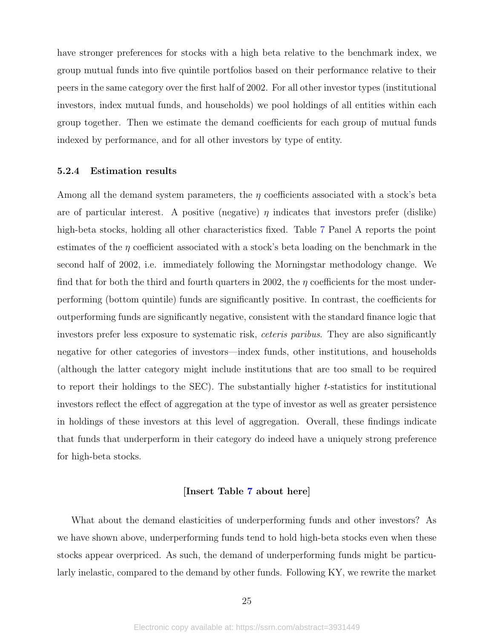have stronger preferences for stocks with a high beta relative to the benchmark index, we group mutual funds into five quintile portfolios based on their performance relative to their peers in the same category over the first half of 2002. For all other investor types (institutional investors, index mutual funds, and households) we pool holdings of all entities within each group together. Then we estimate the demand coefficients for each group of mutual funds indexed by performance, and for all other investors by type of entity.

#### <span id="page-25-0"></span>5.2.4 Estimation results

Among all the demand system parameters, the  $\eta$  coefficients associated with a stock's beta are of particular interest. A positive (negative)  $\eta$  indicates that investors prefer (dislike) high-beta stocks, holding all other characteristics fixed. Table [7](#page-49-0) Panel A reports the point estimates of the  $\eta$  coefficient associated with a stock's beta loading on the benchmark in the second half of 2002, i.e. immediately following the Morningstar methodology change. We find that for both the third and fourth quarters in 2002, the  $\eta$  coefficients for the most underperforming (bottom quintile) funds are significantly positive. In contrast, the coefficients for outperforming funds are significantly negative, consistent with the standard finance logic that investors prefer less exposure to systematic risk, *ceteris paribus*. They are also significantly negative for other categories of investors—index funds, other institutions, and households (although the latter category might include institutions that are too small to be required to report their holdings to the SEC). The substantially higher t-statistics for institutional investors reflect the effect of aggregation at the type of investor as well as greater persistence in holdings of these investors at this level of aggregation. Overall, these findings indicate that funds that underperform in their category do indeed have a uniquely strong preference for high-beta stocks.

## [Insert Table [7](#page-49-0) about here]

What about the demand elasticities of underperforming funds and other investors? As we have shown above, underperforming funds tend to hold high-beta stocks even when these stocks appear overpriced. As such, the demand of underperforming funds might be particularly inelastic, compared to the demand by other funds. Following KY, we rewrite the market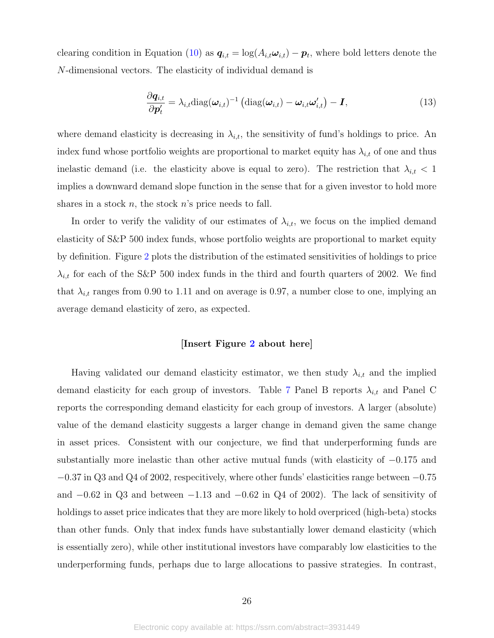clearing condition in Equation [\(10\)](#page-21-1) as  $q_{i,t} = \log(A_{i,t} \omega_{i,t}) - p_t$ , where bold letters denote the N-dimensional vectors. The elasticity of individual demand is

$$
\frac{\partial \boldsymbol{q}_{i,t}}{\partial \boldsymbol{p}'_t} = \lambda_{i,t} \text{diag}(\boldsymbol{\omega}_{i,t})^{-1} \left( \text{diag}(\boldsymbol{\omega}_{i,t}) - \boldsymbol{\omega}_{i,t} \boldsymbol{\omega}'_{i,t} \right) - \boldsymbol{I},
$$
\n(13)

where demand elasticity is decreasing in  $\lambda_{i,t}$ , the sensitivity of fund's holdings to price. An index fund whose portfolio weights are proportional to market equity has  $\lambda_{i,t}$  of one and thus inelastic demand (i.e. the elasticity above is equal to zero). The restriction that  $\lambda_{i,t} < 1$ implies a downward demand slope function in the sense that for a given investor to hold more shares in a stock n, the stock  $n$ 's price needs to fall.

In order to verify the validity of our estimates of  $\lambda_{i,t}$ , we focus on the implied demand elasticity of S&P 500 index funds, whose portfolio weights are proportional to market equity by definition. Figure [2](#page-40-0) plots the distribution of the estimated sensitivities of holdings to price  $\lambda_{i,t}$  for each of the S&P 500 index funds in the third and fourth quarters of 2002. We find that  $\lambda_{i,t}$  ranges from 0.90 to 1.11 and on average is 0.97, a number close to one, implying an average demand elasticity of zero, as expected.

#### [Insert Figure [2](#page-40-0) about here]

Having validated our demand elasticity estimator, we then study  $\lambda_{i,t}$  and the implied demand elasticity for each group of investors. Table [7](#page-49-0) Panel B reports  $\lambda_{i,t}$  and Panel C reports the corresponding demand elasticity for each group of investors. A larger (absolute) value of the demand elasticity suggests a larger change in demand given the same change in asset prices. Consistent with our conjecture, we find that underperforming funds are substantially more inelastic than other active mutual funds (with elasticity of −0.175 and −0.37 in Q3 and Q4 of 2002, respecitively, where other funds' elasticities range between −0.75 and  $-0.62$  in Q3 and between  $-1.13$  and  $-0.62$  in Q4 of 2002). The lack of sensitivity of holdings to asset price indicates that they are more likely to hold overpriced (high-beta) stocks than other funds. Only that index funds have substantially lower demand elasticity (which is essentially zero), while other institutional investors have comparably low elasticities to the underperforming funds, perhaps due to large allocations to passive strategies. In contrast,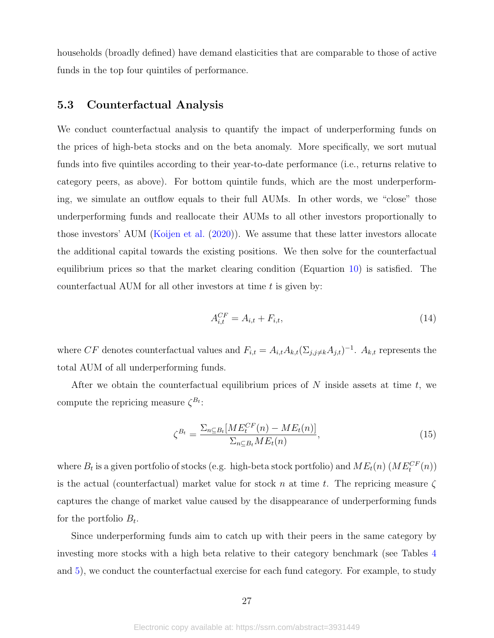households (broadly defined) have demand elasticities that are comparable to those of active funds in the top four quintiles of performance.

### 5.3 Counterfactual Analysis

We conduct counterfactual analysis to quantify the impact of underperforming funds on the prices of high-beta stocks and on the beta anomaly. More specifically, we sort mutual funds into five quintiles according to their year-to-date performance (i.e., returns relative to category peers, as above). For bottom quintile funds, which are the most underperforming, we simulate an outflow equals to their full AUMs. In other words, we "close" those underperforming funds and reallocate their AUMs to all other investors proportionally to those investors' AUM [\(Koijen et al.](#page-38-11) [\(2020\)](#page-38-11)). We assume that these latter investors allocate the additional capital towards the existing positions. We then solve for the counterfactual equilibrium prices so that the market clearing condition (Equartion [10\)](#page-21-1) is satisfied. The counterfactual AUM for all other investors at time  $t$  is given by:

$$
A_{i,t}^{CF} = A_{i,t} + F_{i,t},
$$
\n(14)

where CF denotes counterfactual values and  $F_{i,t} = A_{i,t} A_{k,t} (\Sigma_{j,j \neq k} A_{j,t})^{-1}$ .  $A_{k,t}$  represents the total AUM of all underperforming funds.

After we obtain the counterfactual equilibrium prices of  $N$  inside assets at time  $t$ , we compute the repricing measure  $\zeta^{B_t}$ :

$$
\zeta^{B_t} = \frac{\sum_{n \subseteq B_t} [ME_t^{CF}(n) - ME_t(n)]}{\sum_{n \subseteq B_t} ME_t(n)},\tag{15}
$$

where  $B_t$  is a given portfolio of stocks (e.g. high-beta stock portfolio) and  $ME_t(n)$  ( $ME_t^{CF}(n)$ ) is the actual (counterfactual) market value for stock n at time t. The repricing measure  $\zeta$ captures the change of market value caused by the disappearance of underperforming funds for the portfolio  $B_t$ .

Since underperforming funds aim to catch up with their peers in the same category by investing more stocks with a high beta relative to their category benchmark (see Tables [4](#page-46-0) and [5\)](#page-47-0), we conduct the counterfactual exercise for each fund category. For example, to study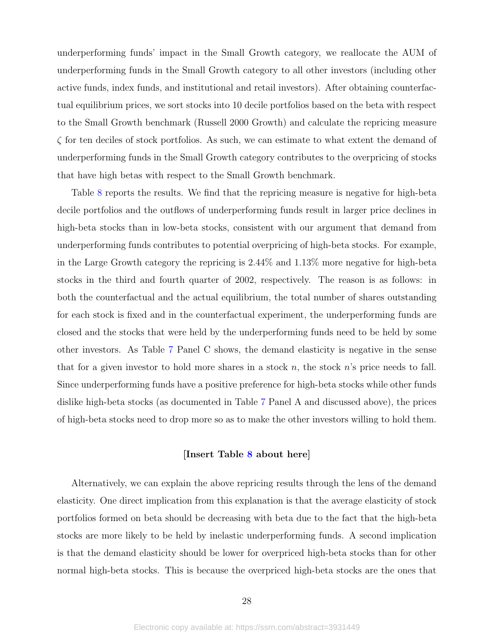underperforming funds' impact in the Small Growth category, we reallocate the AUM of underperforming funds in the Small Growth category to all other investors (including other active funds, index funds, and institutional and retail investors). After obtaining counterfactual equilibrium prices, we sort stocks into 10 decile portfolios based on the beta with respect to the Small Growth benchmark (Russell 2000 Growth) and calculate the repricing measure  $\zeta$  for ten deciles of stock portfolios. As such, we can estimate to what extent the demand of underperforming funds in the Small Growth category contributes to the overpricing of stocks that have high betas with respect to the Small Growth benchmark.

Table [8](#page-50-0) reports the results. We find that the repricing measure is negative for high-beta decile portfolios and the outflows of underperforming funds result in larger price declines in high-beta stocks than in low-beta stocks, consistent with our argument that demand from underperforming funds contributes to potential overpricing of high-beta stocks. For example, in the Large Growth category the repricing is 2.44% and 1.13% more negative for high-beta stocks in the third and fourth quarter of 2002, respectively. The reason is as follows: in both the counterfactual and the actual equilibrium, the total number of shares outstanding for each stock is fixed and in the counterfactual experiment, the underperforming funds are closed and the stocks that were held by the underperforming funds need to be held by some other investors. As Table [7](#page-49-0) Panel C shows, the demand elasticity is negative in the sense that for a given investor to hold more shares in a stock  $n$ , the stock  $n$ 's price needs to fall. Since underperforming funds have a positive preference for high-beta stocks while other funds dislike high-beta stocks (as documented in Table [7](#page-49-0) Panel A and discussed above), the prices of high-beta stocks need to drop more so as to make the other investors willing to hold them.

### [Insert Table [8](#page-50-0) about here]

Alternatively, we can explain the above repricing results through the lens of the demand elasticity. One direct implication from this explanation is that the average elasticity of stock portfolios formed on beta should be decreasing with beta due to the fact that the high-beta stocks are more likely to be held by inelastic underperforming funds. A second implication is that the demand elasticity should be lower for overpriced high-beta stocks than for other normal high-beta stocks. This is because the overpriced high-beta stocks are the ones that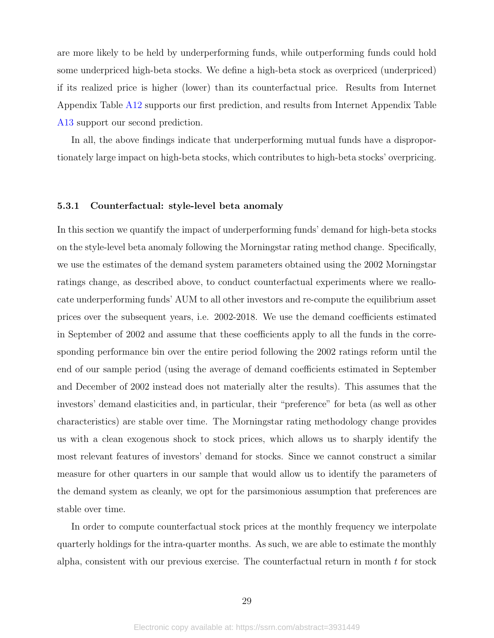are more likely to be held by underperforming funds, while outperforming funds could hold some underpriced high-beta stocks. We define a high-beta stock as overpriced (underpriced) if its realized price is higher (lower) than its counterfactual price. Results from Internet Appendix Table [A12](#page-72-0) supports our first prediction, and results from Internet Appendix Table [A13](#page-72-1) support our second prediction.

In all, the above findings indicate that underperforming mutual funds have a disproportionately large impact on high-beta stocks, which contributes to high-beta stocks' overpricing.

#### 5.3.1 Counterfactual: style-level beta anomaly

In this section we quantify the impact of underperforming funds' demand for high-beta stocks on the style-level beta anomaly following the Morningstar rating method change. Specifically, we use the estimates of the demand system parameters obtained using the 2002 Morningstar ratings change, as described above, to conduct counterfactual experiments where we reallocate underperforming funds' AUM to all other investors and re-compute the equilibrium asset prices over the subsequent years, i.e. 2002-2018. We use the demand coefficients estimated in September of 2002 and assume that these coefficients apply to all the funds in the corresponding performance bin over the entire period following the 2002 ratings reform until the end of our sample period (using the average of demand coefficients estimated in September and December of 2002 instead does not materially alter the results). This assumes that the investors' demand elasticities and, in particular, their "preference" for beta (as well as other characteristics) are stable over time. The Morningstar rating methodology change provides us with a clean exogenous shock to stock prices, which allows us to sharply identify the most relevant features of investors' demand for stocks. Since we cannot construct a similar measure for other quarters in our sample that would allow us to identify the parameters of the demand system as cleanly, we opt for the parsimonious assumption that preferences are stable over time.

In order to compute counterfactual stock prices at the monthly frequency we interpolate quarterly holdings for the intra-quarter months. As such, we are able to estimate the monthly alpha, consistent with our previous exercise. The counterfactual return in month  $t$  for stock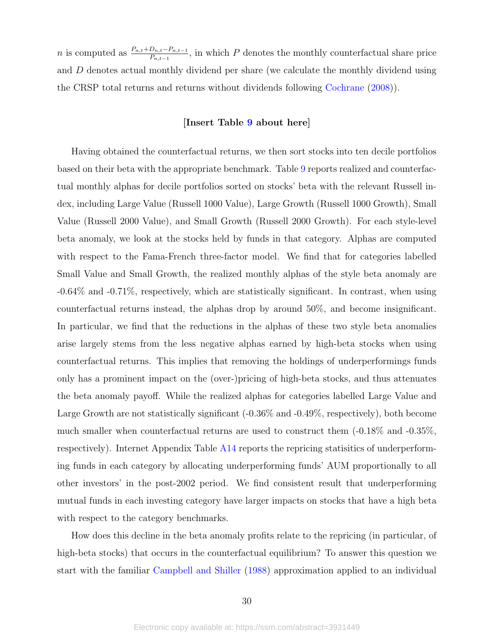*n* is computed as  $\frac{P_{n,t}+D_{n,t}-P_{n,t-1}}{P_{n,t-1}}$ , in which P denotes the monthly counterfactual share price and D denotes actual monthly dividend per share (we calculate the monthly dividend using the CRSP total returns and returns without dividends following [Cochrane](#page-36-13) [\(2008\)](#page-36-13)).

### [Insert Table [9](#page-51-0) about here]

Having obtained the counterfactual returns, we then sort stocks into ten decile portfolios based on their beta with the appropriate benchmark. Table [9](#page-51-0) reports realized and counterfactual monthly alphas for decile portfolios sorted on stocks' beta with the relevant Russell index, including Large Value (Russell 1000 Value), Large Growth (Russell 1000 Growth), Small Value (Russell 2000 Value), and Small Growth (Russell 2000 Growth). For each style-level beta anomaly, we look at the stocks held by funds in that category. Alphas are computed with respect to the Fama-French three-factor model. We find that for categories labelled Small Value and Small Growth, the realized monthly alphas of the style beta anomaly are -0.64% and -0.71%, respectively, which are statistically significant. In contrast, when using counterfactual returns instead, the alphas drop by around 50%, and become insignificant. In particular, we find that the reductions in the alphas of these two style beta anomalies arise largely stems from the less negative alphas earned by high-beta stocks when using counterfactual returns. This implies that removing the holdings of underperformings funds only has a prominent impact on the (over-)pricing of high-beta stocks, and thus attenuates the beta anomaly payoff. While the realized alphas for categories labelled Large Value and Large Growth are not statistically significant (-0.36% and -0.49%, respectively), both become much smaller when counterfactual returns are used to construct them (-0.18% and -0.35%, respectively). Internet Appendix Table [A14](#page-72-2) reports the repricing statisitics of underperforming funds in each category by allocating underperforming funds' AUM proportionally to all other investors' in the post-2002 period. We find consistent result that underperforming mutual funds in each investing category have larger impacts on stocks that have a high beta with respect to the category benchmarks.

How does this decline in the beta anomaly profits relate to the repricing (in particular, of high-beta stocks) that occurs in the counterfactual equilibrium? To answer this question we start with the familiar [Campbell and Shiller](#page-36-14) [\(1988\)](#page-36-14) approximation applied to an individual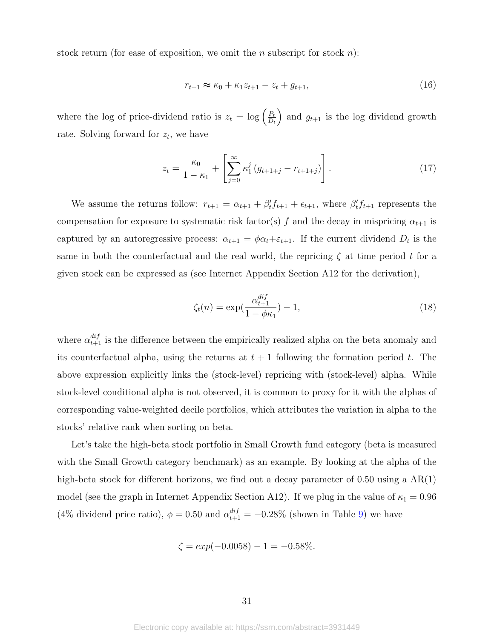stock return (for ease of exposition, we omit the *n* subscript for stock *n*):

$$
r_{t+1} \approx \kappa_0 + \kappa_1 z_{t+1} - z_t + g_{t+1},
$$
\n(16)

where the log of price-dividend ratio is  $z_t = \log \left( \frac{P_t}{D_t} \right)$  $D_t$ ) and  $g_{t+1}$  is the log dividend growth rate. Solving forward for  $z_t$ , we have

$$
z_{t} = \frac{\kappa_{0}}{1 - \kappa_{1}} + \left[ \sum_{j=0}^{\infty} \kappa_{1}^{j} \left( g_{t+1+j} - r_{t+1+j} \right) \right]. \tag{17}
$$

We assume the returns follow:  $r_{t+1} = \alpha_{t+1} + \beta'_t f_{t+1} + \epsilon_{t+1}$ , where  $\beta'_t f_{t+1}$  represents the compensation for exposure to systematic risk factor(s) f and the decay in mispricing  $\alpha_{t+1}$  is captured by an autoregressive process:  $\alpha_{t+1} = \phi \alpha_t + \varepsilon_{t+1}$ . If the current dividend  $D_t$  is the same in both the counterfactual and the real world, the repricing  $\zeta$  at time period t for a given stock can be expressed as (see Internet Appendix Section A12 for the derivation),

$$
\zeta_t(n) = \exp(\frac{\alpha_{t+1}^{dif}}{1 - \phi \kappa_1}) - 1,\tag{18}
$$

where  $\alpha_{t+1}^{dif}$  is the difference between the empirically realized alpha on the beta anomaly and its counterfactual alpha, using the returns at  $t + 1$  following the formation period t. The above expression explicitly links the (stock-level) repricing with (stock-level) alpha. While stock-level conditional alpha is not observed, it is common to proxy for it with the alphas of corresponding value-weighted decile portfolios, which attributes the variation in alpha to the stocks' relative rank when sorting on beta.

Let's take the high-beta stock portfolio in Small Growth fund category (beta is measured with the Small Growth category benchmark) as an example. By looking at the alpha of the high-beta stock for different horizons, we find out a decay parameter of 0.50 using a  $AR(1)$ model (see the graph in Internet Appendix Section A12). If we plug in the value of  $\kappa_1 = 0.96$ (4% dividend price ratio),  $\phi = 0.50$  and  $\alpha_{t+1}^{dif} = -0.28\%$  (shown in Table [9\)](#page-51-0) we have

$$
\zeta = \exp(-0.0058) - 1 = -0.58\%.
$$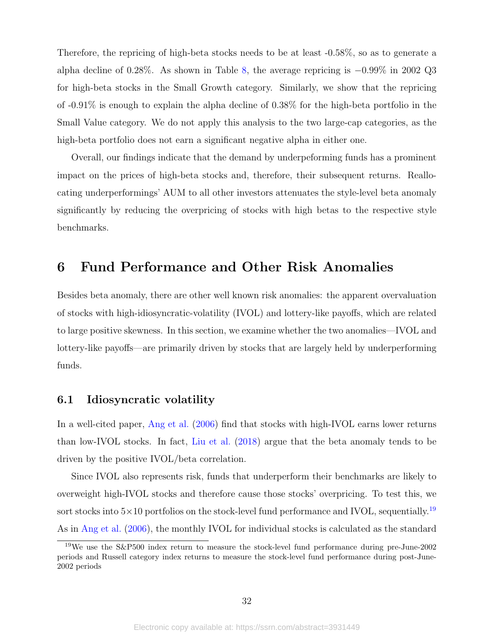Therefore, the repricing of high-beta stocks needs to be at least -0.58%, so as to generate a alpha decline of 0.28%. As shown in Table [8,](#page-50-0) the average repricing is −0.99% in 2002 Q3 for high-beta stocks in the Small Growth category. Similarly, we show that the repricing of -0.91% is enough to explain the alpha decline of 0.38% for the high-beta portfolio in the Small Value category. We do not apply this analysis to the two large-cap categories, as the high-beta portfolio does not earn a significant negative alpha in either one.

Overall, our findings indicate that the demand by underpeforming funds has a prominent impact on the prices of high-beta stocks and, therefore, their subsequent returns. Reallocating underperformings' AUM to all other investors attenuates the style-level beta anomaly significantly by reducing the overpricing of stocks with high betas to the respective style benchmarks.

# 6 Fund Performance and Other Risk Anomalies

Besides beta anomaly, there are other well known risk anomalies: the apparent overvaluation of stocks with high-idiosyncratic-volatility (IVOL) and lottery-like payoffs, which are related to large positive skewness. In this section, we examine whether the two anomalies—IVOL and lottery-like payoffs—are primarily driven by stocks that are largely held by underperforming funds.

## 6.1 Idiosyncratic volatility

In a well-cited paper, [Ang et al.](#page-35-7) [\(2006\)](#page-35-7) find that stocks with high-IVOL earns lower returns than low-IVOL stocks. In fact, [Liu et al.](#page-38-4) [\(2018\)](#page-38-4) argue that the beta anomaly tends to be driven by the positive IVOL/beta correlation.

Since IVOL also represents risk, funds that underperform their benchmarks are likely to overweight high-IVOL stocks and therefore cause those stocks' overpricing. To test this, we sort stocks into  $5\times10$  portfolios on the stock-level fund performance and IVOL, sequentially.<sup>[19](#page-32-0)</sup> As in [Ang et al.](#page-35-7) [\(2006\)](#page-35-7), the monthly IVOL for individual stocks is calculated as the standard

<span id="page-32-0"></span><sup>19</sup>We use the S&P500 index return to measure the stock-level fund performance during pre-June-2002 periods and Russell category index returns to measure the stock-level fund performance during post-June-2002 periods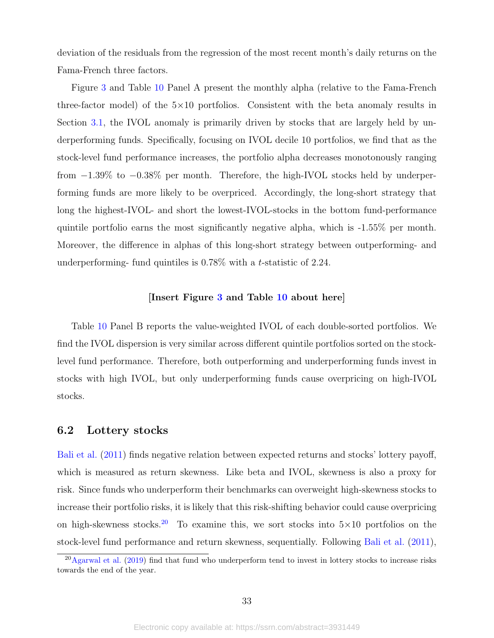deviation of the residuals from the regression of the most recent month's daily returns on the Fama-French three factors.

Figure [3](#page-41-0) and Table [10](#page-52-0) Panel A present the monthly alpha (relative to the Fama-French three-factor model) of the 5×10 portfolios. Consistent with the beta anomaly results in Section [3.1,](#page-9-0) the IVOL anomaly is primarily driven by stocks that are largely held by underperforming funds. Specifically, focusing on IVOL decile 10 portfolios, we find that as the stock-level fund performance increases, the portfolio alpha decreases monotonously ranging from −1.39% to −0.38% per month. Therefore, the high-IVOL stocks held by underperforming funds are more likely to be overpriced. Accordingly, the long-short strategy that long the highest-IVOL- and short the lowest-IVOL-stocks in the bottom fund-performance quintile portfolio earns the most significantly negative alpha, which is -1.55% per month. Moreover, the difference in alphas of this long-short strategy between outperforming- and underperforming- fund quintiles is 0.78% with a t-statistic of 2.24.

### [Insert Figure [3](#page-41-0) and Table [10](#page-52-0) about here]

Table [10](#page-52-0) Panel B reports the value-weighted IVOL of each double-sorted portfolios. We find the IVOL dispersion is very similar across different quintile portfolios sorted on the stocklevel fund performance. Therefore, both outperforming and underperforming funds invest in stocks with high IVOL, but only underperforming funds cause overpricing on high-IVOL stocks.

## 6.2 Lottery stocks

[Bali et al.](#page-35-8) [\(2011\)](#page-35-8) finds negative relation between expected returns and stocks' lottery payoff, which is measured as return skewness. Like beta and IVOL, skewness is also a proxy for risk. Since funds who underperform their benchmarks can overweight high-skewness stocks to increase their portfolio risks, it is likely that this risk-shifting behavior could cause overpricing on high-skewness stocks.<sup>[20](#page-33-0)</sup> To examine this, we sort stocks into  $5\times10$  portfolios on the stock-level fund performance and return skewness, sequentially. Following [Bali et al.](#page-35-8) [\(2011\)](#page-35-8),

<span id="page-33-0"></span> $^{20}$ [Agarwal et al.](#page-35-9) [\(2019\)](#page-35-9) find that fund who underperform tend to invest in lottery stocks to increase risks towards the end of the year.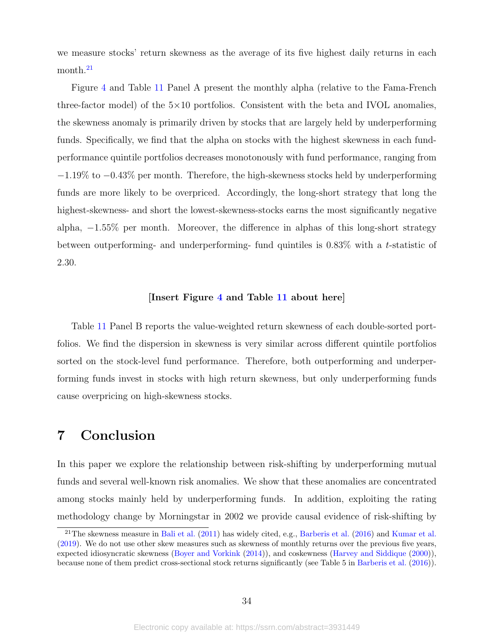we measure stocks' return skewness as the average of its five highest daily returns in each month.<sup>[21](#page-34-0)</sup>

Figure [4](#page-42-0) and Table [11](#page-53-0) Panel A present the monthly alpha (relative to the Fama-French three-factor model) of the  $5\times10$  portfolios. Consistent with the beta and IVOL anomalies, the skewness anomaly is primarily driven by stocks that are largely held by underperforming funds. Specifically, we find that the alpha on stocks with the highest skewness in each fundperformance quintile portfolios decreases monotonously with fund performance, ranging from −1.19% to −0.43% per month. Therefore, the high-skewness stocks held by underperforming funds are more likely to be overpriced. Accordingly, the long-short strategy that long the highest-skewness- and short the lowest-skewness-stocks earns the most significantly negative alpha, −1.55% per month. Moreover, the difference in alphas of this long-short strategy between outperforming- and underperforming- fund quintiles is 0.83% with a t-statistic of 2.30.

### [Insert Figure [4](#page-42-0) and Table [11](#page-53-0) about here]

Table [11](#page-53-0) Panel B reports the value-weighted return skewness of each double-sorted portfolios. We find the dispersion in skewness is very similar across different quintile portfolios sorted on the stock-level fund performance. Therefore, both outperforming and underperforming funds invest in stocks with high return skewness, but only underperforming funds cause overpricing on high-skewness stocks.

# 7 Conclusion

In this paper we explore the relationship between risk-shifting by underperforming mutual funds and several well-known risk anomalies. We show that these anomalies are concentrated among stocks mainly held by underperforming funds. In addition, exploiting the rating methodology change by Morningstar in 2002 we provide causal evidence of risk-shifting by

<span id="page-34-0"></span><sup>&</sup>lt;sup>21</sup>The skewness measure in [Bali et al.](#page-35-8)  $(2011)$  has widely cited, e.g., [Barberis et al.](#page-35-10)  $(2016)$  and [Kumar et al.](#page-38-12) [\(2019\)](#page-38-12). We do not use other skew measures such as skewness of monthly returns over the previous five years, expected idiosyncratic skewness [\(Boyer and Vorkink](#page-36-15) [\(2014\)](#page-36-15)), and coskewness [\(Harvey and Siddique](#page-37-14) [\(2000\)](#page-37-14)), because none of them predict cross-sectional stock returns significantly (see Table 5 in [Barberis et al.](#page-35-10) [\(2016\)](#page-35-10)).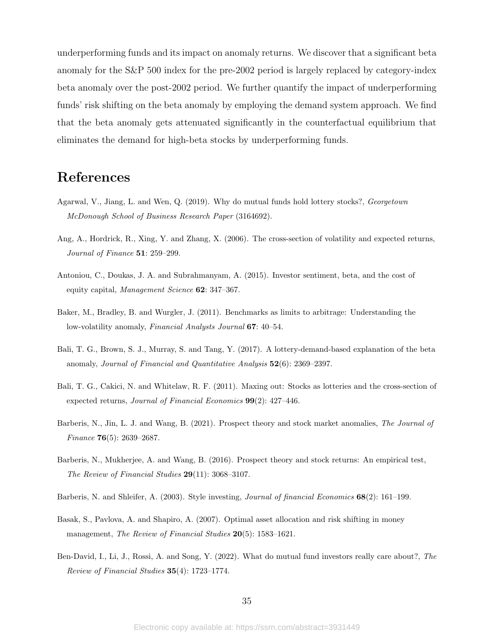underperforming funds and its impact on anomaly returns. We discover that a significant beta anomaly for the S&P 500 index for the pre-2002 period is largely replaced by category-index beta anomaly over the post-2002 period. We further quantify the impact of underperforming funds' risk shifting on the beta anomaly by employing the demand system approach. We find that the beta anomaly gets attenuated significantly in the counterfactual equilibrium that eliminates the demand for high-beta stocks by underperforming funds.

# References

- <span id="page-35-9"></span>Agarwal, V., Jiang, L. and Wen, Q. (2019). Why do mutual funds hold lottery stocks?, Georgetown McDonough School of Business Research Paper (3164692).
- <span id="page-35-7"></span>Ang, A., Hordrick, R., Xing, Y. and Zhang, X. (2006). The cross-section of volatility and expected returns, Journal of Finance 51: 259–299.
- <span id="page-35-4"></span>Antoniou, C., Doukas, J. A. and Subrahmanyam, A. (2015). Investor sentiment, beta, and the cost of equity capital, Management Science 62: 347–367.
- <span id="page-35-1"></span>Baker, M., Bradley, B. and Wurgler, J. (2011). Benchmarks as limits to arbitrage: Understanding the low-volatility anomaly, Financial Analysts Journal 67: 40–54.
- <span id="page-35-5"></span>Bali, T. G., Brown, S. J., Murray, S. and Tang, Y. (2017). A lottery-demand-based explanation of the beta anomaly, Journal of Financial and Quantitative Analysis 52(6): 2369–2397.
- <span id="page-35-8"></span>Bali, T. G., Cakici, N. and Whitelaw, R. F. (2011). Maxing out: Stocks as lotteries and the cross-section of expected returns, Journal of Financial Economics 99(2): 427–446.
- <span id="page-35-6"></span>Barberis, N., Jin, L. J. and Wang, B. (2021). Prospect theory and stock market anomalies, The Journal of Finance **76**(5): 2639–2687.
- <span id="page-35-10"></span>Barberis, N., Mukherjee, A. and Wang, B. (2016). Prospect theory and stock returns: An empirical test, The Review of Financial Studies 29(11): 3068–3107.
- <span id="page-35-2"></span>Barberis, N. and Shleifer, A. (2003). Style investing, *Journal of financial Economics* 68(2): 161–199.
- <span id="page-35-0"></span>Basak, S., Pavlova, A. and Shapiro, A. (2007). Optimal asset allocation and risk shifting in money management, The Review of Financial Studies 20(5): 1583-1621.
- <span id="page-35-3"></span>Ben-David, I., Li, J., Rossi, A. and Song, Y. (2022). What do mutual fund investors really care about?, The Review of Financial Studies 35(4): 1723–1774.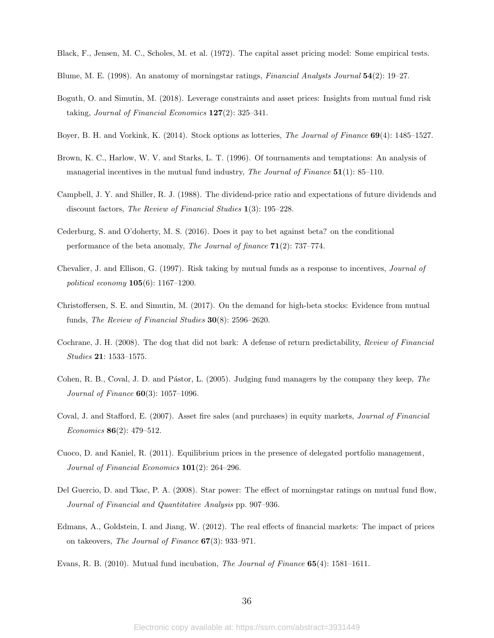Black, F., Jensen, M. C., Scholes, M. et al. (1972). The capital asset pricing model: Some empirical tests.

- Blume, M. E. (1998). An anatomy of morningstar ratings, Financial Analysts Journal 54(2): 19–27.
- Boguth, O. and Simutin, M. (2018). Leverage constraints and asset prices: Insights from mutual fund risk taking, Journal of Financial Economics  $127(2)$ : 325–341.
- Boyer, B. H. and Vorkink, K. (2014). Stock options as lotteries, The Journal of Finance 69(4): 1485–1527.
- Brown, K. C., Harlow, W. V. and Starks, L. T. (1996). Of tournaments and temptations: An analysis of managerial incentives in the mutual fund industry, The Journal of Finance  $51(1)$ : 85–110.
- <span id="page-36-3"></span>Campbell, J. Y. and Shiller, R. J. (1988). The dividend-price ratio and expectations of future dividends and discount factors, The Review of Financial Studies 1(3): 195–228.
- <span id="page-36-0"></span>Cederburg, S. and O'doherty, M. S. (2016). Does it pay to bet against beta? on the conditional performance of the beta anomaly, The Journal of finance  $71(2)$ : 737–774.
- <span id="page-36-1"></span>Chevalier, J. and Ellison, G. (1997). Risk taking by mutual funds as a response to incentives, Journal of political economy 105(6): 1167–1200.
- Christoffersen, S. E. and Simutin, M. (2017). On the demand for high-beta stocks: Evidence from mutual funds, The Review of Financial Studies 30(8): 2596–2620.
- Cochrane, J. H. (2008). The dog that did not bark: A defense of return predictability, Review of Financial Studies 21: 1533–1575.
- Cohen, R. B., Coval, J. D. and Pástor, L. (2005). Judging fund managers by the company they keep, The Journal of Finance 60(3): 1057–1096.
- <span id="page-36-2"></span>Coval, J. and Stafford, E. (2007). Asset fire sales (and purchases) in equity markets, Journal of Financial Economics 86(2): 479–512.
- Cuoco, D. and Kaniel, R. (2011). Equilibrium prices in the presence of delegated portfolio management, Journal of Financial Economics 101(2): 264–296.
- Del Guercio, D. and Tkac, P. A. (2008). Star power: The effect of morningstar ratings on mutual fund flow, Journal of Financial and Quantitative Analysis pp. 907–936.
- Edmans, A., Goldstein, I. and Jiang, W. (2012). The real effects of financial markets: The impact of prices on takeovers, The Journal of Finance 67(3): 933–971.
- Evans, R. B. (2010). Mutual fund incubation, The Journal of Finance 65(4): 1581–1611.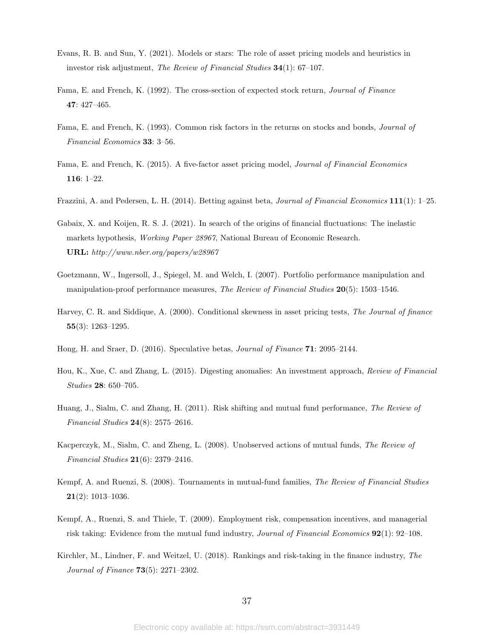- <span id="page-37-3"></span>Evans, R. B. and Sun, Y. (2021). Models or stars: The role of asset pricing models and heuristics in investor risk adjustment, The Review of Financial Studies 34(1): 67–107.
- Fama, E. and French, K. (1992). The cross-section of expected stock return, Journal of Finance 47: 427–465.
- <span id="page-37-0"></span>Fama, E. and French, K. (1993). Common risk factors in the returns on stocks and bonds, Journal of Financial Economics 33: 3–56.
- Fama, E. and French, K. (2015). A five-factor asset pricing model, Journal of Financial Economics 116: 1–22.
- <span id="page-37-2"></span>Frazzini, A. and Pedersen, L. H. (2014). Betting against beta, *Journal of Financial Economics* 111(1): 1–25.
- Gabaix, X. and Koijen, R. S. J. (2021). In search of the origins of financial fluctuations: The inelastic markets hypothesis, Working Paper 28967, National Bureau of Economic Research. URL: http://www.nber.org/papers/w28967
- Goetzmann, W., Ingersoll, J., Spiegel, M. and Welch, I. (2007). Portfolio performance manipulation and manipulation-proof performance measures, The Review of Financial Studies 20(5): 1503–1546.
- Harvey, C. R. and Siddique, A. (2000). Conditional skewness in asset pricing tests, The Journal of finance 55(3): 1263–1295.
- <span id="page-37-1"></span>Hong, H. and Sraer, D. (2016). Speculative betas, Journal of Finance 71: 2095–2144.
- Hou, K., Xue, C. and Zhang, L. (2015). Digesting anomalies: An investment approach, Review of Financial Studies 28: 650–705.
- Huang, J., Sialm, C. and Zhang, H. (2011). Risk shifting and mutual fund performance, The Review of Financial Studies 24(8): 2575–2616.
- Kacperczyk, M., Sialm, C. and Zheng, L. (2008). Unobserved actions of mutual funds, The Review of Financial Studies 21(6): 2379–2416.
- Kempf, A. and Ruenzi, S. (2008). Tournaments in mutual-fund families, The Review of Financial Studies 21(2): 1013–1036.
- Kempf, A., Ruenzi, S. and Thiele, T. (2009). Employment risk, compensation incentives, and managerial risk taking: Evidence from the mutual fund industry, Journal of Financial Economics 92(1): 92–108.
- Kirchler, M., Lindner, F. and Weitzel, U. (2018). Rankings and risk-taking in the finance industry, The Journal of Finance 73(5): 2271–2302.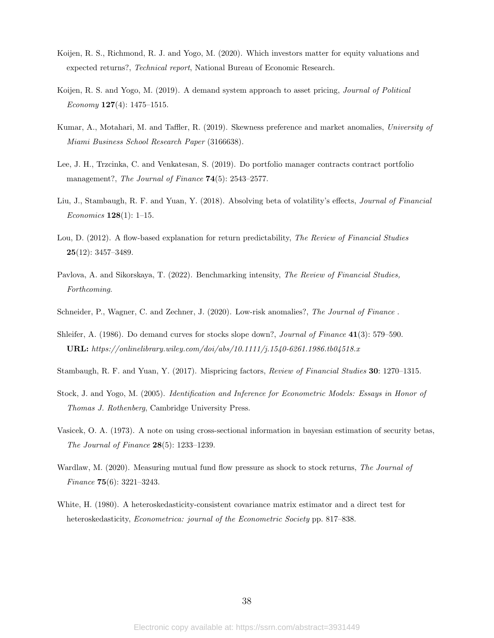- Koijen, R. S., Richmond, R. J. and Yogo, M. (2020). Which investors matter for equity valuations and expected returns?, Technical report, National Bureau of Economic Research.
- Koijen, R. S. and Yogo, M. (2019). A demand system approach to asset pricing, *Journal of Political* Economy  $127(4)$ : 1475–1515.
- Kumar, A., Motahari, M. and Taffler, R. (2019). Skewness preference and market anomalies, University of Miami Business School Research Paper (3166638).
- Lee, J. H., Trzcinka, C. and Venkatesan, S. (2019). Do portfolio manager contracts contract portfolio management?, The Journal of Finance 74(5): 2543-2577.
- Liu, J., Stambaugh, R. F. and Yuan, Y. (2018). Absolving beta of volatility's effects, *Journal of Financial Economics* **128**(1): 1–15.
- <span id="page-38-2"></span>Lou, D. (2012). A flow-based explanation for return predictability, The Review of Financial Studies  $25(12): 3457 - 3489.$
- Pavlova, A. and Sikorskaya, T. (2022). Benchmarking intensity, The Review of Financial Studies, Forthcoming.
- Schneider, P., Wagner, C. and Zechner, J. (2020). Low-risk anomalies?, The Journal of Finance.
- Shleifer, A. (1986). Do demand curves for stocks slope down?, Journal of Finance 41(3): 579–590. URL: https://onlinelibrary.wiley.com/doi/abs/10.1111/j.1540-6261.1986.tb04518.x
- <span id="page-38-1"></span>Stambaugh, R. F. and Yuan, Y. (2017). Mispricing factors, Review of Financial Studies 30: 1270–1315.
- <span id="page-38-3"></span>Stock, J. and Yogo, M. (2005). Identification and Inference for Econometric Models: Essays in Honor of Thomas J. Rothenberg, Cambridge University Press.
- Vasicek, O. A. (1973). A note on using cross-sectional information in bayesian estimation of security betas, The Journal of Finance 28(5): 1233–1239.
- Wardlaw, M. (2020). Measuring mutual fund flow pressure as shock to stock returns, The Journal of Finance  $75(6)$ : 3221-3243.
- <span id="page-38-0"></span>White, H. (1980). A heteroskedasticity-consistent covariance matrix estimator and a direct test for heteroskedasticity, Econometrica: journal of the Econometric Society pp. 817–838.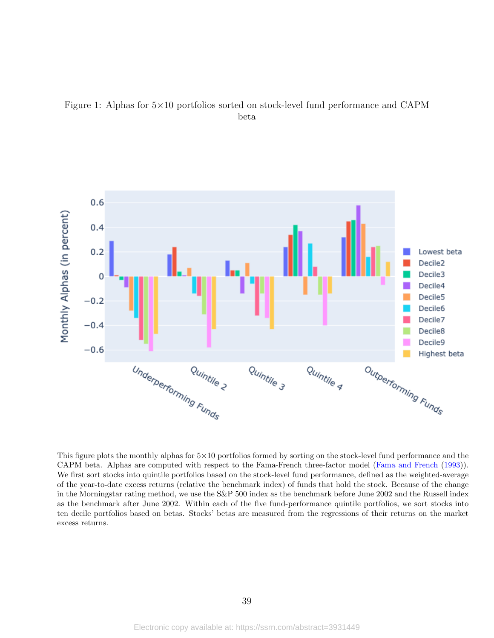



This figure plots the monthly alphas for  $5\times10$  portfolios formed by sorting on the stock-level fund performance and the CAPM beta. Alphas are computed with respect to the Fama-French three-factor model [\(Fama and French](#page-37-0) [\(1993\)](#page-37-0)). We first sort stocks into quintile portfolios based on the stock-level fund performance, defined as the weighted-average of the year-to-date excess returns (relative the benchmark index) of funds that hold the stock. Because of the change in the Morningstar rating method, we use the S&P 500 index as the benchmark before June 2002 and the Russell index as the benchmark after June 2002. Within each of the five fund-performance quintile portfolios, we sort stocks into ten decile portfolios based on betas. Stocks' betas are measured from the regressions of their returns on the market excess returns.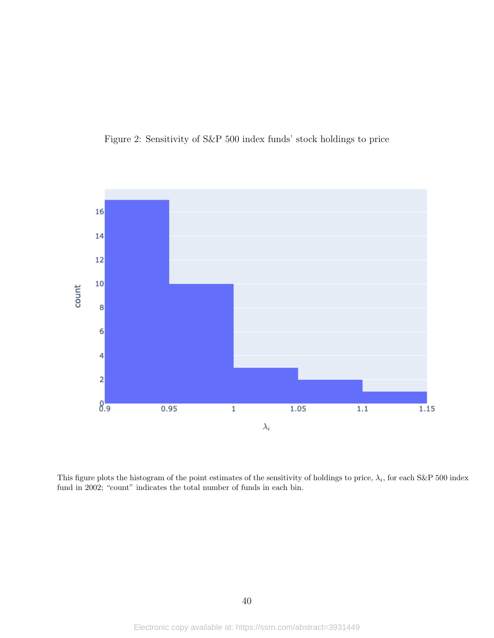



This figure plots the histogram of the point estimates of the sensitivity of holdings to price,  $\lambda_i$ , for each S&P 500 index fund in 2002; "count" indicates the total number of funds in each bin.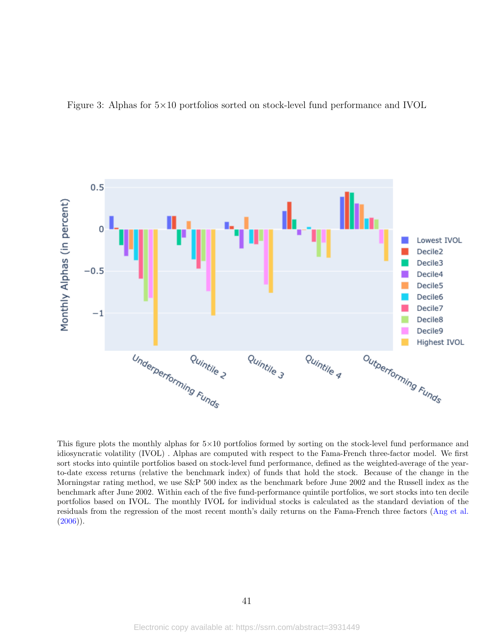



This figure plots the monthly alphas for  $5\times10$  portfolios formed by sorting on the stock-level fund performance and idiosyncratic volatility (IVOL) . Alphas are computed with respect to the Fama-French three-factor model. We first sort stocks into quintile portfolios based on stock-level fund performance, defined as the weighted-average of the yearto-date excess returns (relative the benchmark index) of funds that hold the stock. Because of the change in the Morningstar rating method, we use S&P 500 index as the benchmark before June 2002 and the Russell index as the benchmark after June 2002. Within each of the five fund-performance quintile portfolios, we sort stocks into ten decile portfolios based on IVOL. The monthly IVOL for individual stocks is calculated as the standard deviation of the residuals from the regression of the most recent month's daily returns on the Fama-French three factors [\(Ang et al.](#page-35-0)  $(2006)$ ).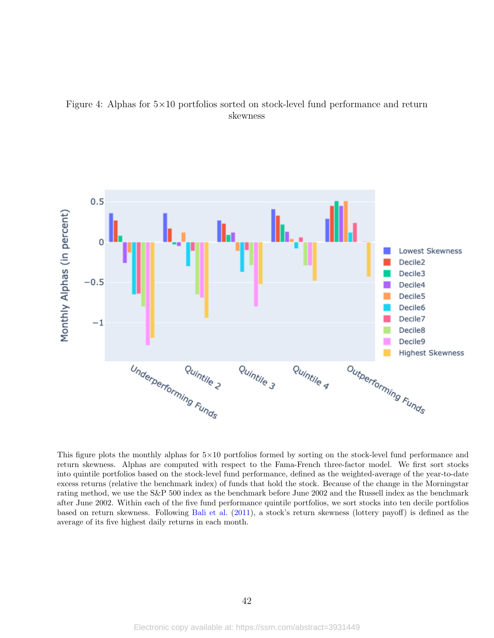



This figure plots the monthly alphas for  $5\times10$  portfolios formed by sorting on the stock-level fund performance and return skewness. Alphas are computed with respect to the Fama-French three-factor model. We first sort stocks into quintile portfolios based on the stock-level fund performance, defined as the weighted-average of the year-to-date excess returns (relative the benchmark index) of funds that hold the stock. Because of the change in the Morningstar rating method, we use the S&P 500 index as the benchmark before June 2002 and the Russell index as the benchmark after June 2002. Within each of the five fund performance quintile portfolios, we sort stocks into ten decile portfolios based on return skewness. Following [Bali et al.](#page-35-1) [\(2011\)](#page-35-1), a stock's return skewness (lottery payoff) is defined as the average of its five highest daily returns in each month.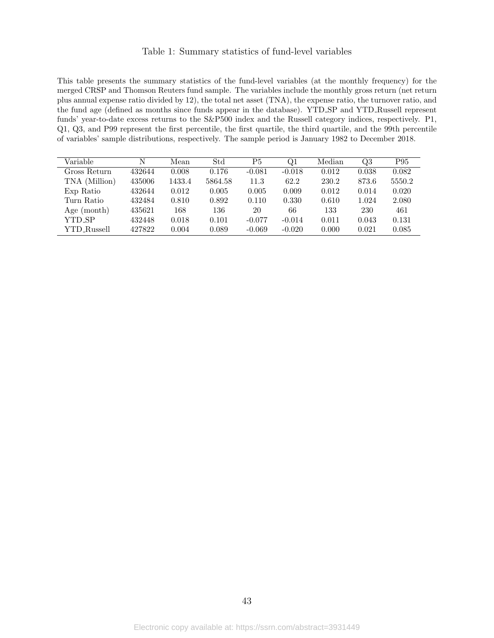#### Table 1: Summary statistics of fund-level variables

This table presents the summary statistics of the fund-level variables (at the monthly frequency) for the merged CRSP and Thomson Reuters fund sample. The variables include the monthly gross return (net return plus annual expense ratio divided by 12), the total net asset (TNA), the expense ratio, the turnover ratio, and the fund age (defined as months since funds appear in the database). YTD SP and YTD Russell represent funds' year-to-date excess returns to the S&P500 index and the Russell category indices, respectively. P1, Q1, Q3, and P99 represent the first percentile, the first quartile, the third quartile, and the 99th percentile of variables' sample distributions, respectively. The sample period is January 1982 to December 2018.

| Variable      | N      | Mean   | Std     | P5       | Q1       | Median | Q3    | P95    |
|---------------|--------|--------|---------|----------|----------|--------|-------|--------|
| Gross Return  | 432644 | 0.008  | 0.176   | $-0.081$ | $-0.018$ | 0.012  | 0.038 | 0.082  |
| TNA (Million) | 435006 | 1433.4 | 5864.58 | 11.3     | 62.2     | 230.2  | 873.6 | 5550.2 |
| Exp Ratio     | 432644 | 0.012  | 0.005   | 0.005    | 0.009    | 0.012  | 0.014 | 0.020  |
| Turn Ratio    | 432484 | 0.810  | 0.892   | 0.110    | 0.330    | 0.610  | 1.024 | 2.080  |
| Age (month)   | 435621 | 168    | 136     | 20       | 66       | 133    | 230   | 461    |
| YTD_SP        | 432448 | 0.018  | 0.101   | $-0.077$ | $-0.014$ | 0.011  | 0.043 | 0.131  |
| YTD_Russell   | 427822 | 0.004  | 0.089   | $-0.069$ | $-0.020$ | 0.000  | 0.021 | 0.085  |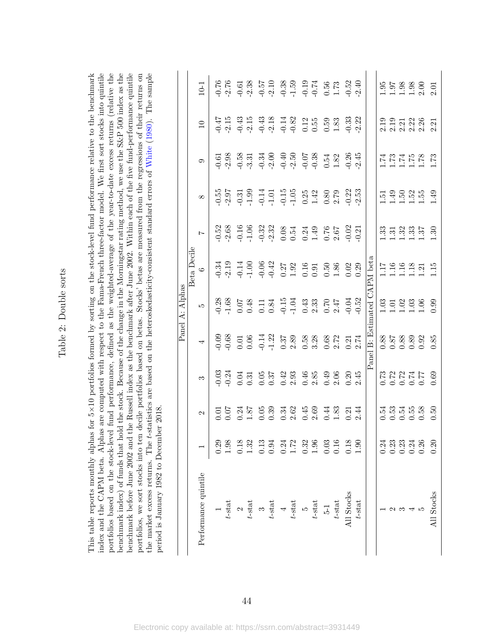<span id="page-44-0"></span>Table 2: Double sorts Table 2: Double sorts

index and the CAPM beta. Alphas are computed with respect to the Fama-French three-factor model. We first sort stocks into quintile portfolios based on the stock-level fund performance, defined as the weighted-average of the year-to-date excess returns (relative the benchmark index) of funds that hold the stock. Because of the change in the Morningstar rating method, we use the S&P 500 index as the benchmark before June 2002 and the Russell index as the benchmark after June 2002. Within each of the five fund-performance quintile the market excess returns. The t-statistics are based on the heteroskedasticity-consistent standard errors of White (1980). The sample This table reports monthly alphas for 5×10 portfolios formed by sorting on the stock-level fund performance relative to the benchmark portfolios, we sort stocks into ten decile portfolios based on betas. Stocks' betas are measured from the regressions of their returns on ×10 portfolios formed by sorting on the stock-level fund performance relative to the benchmark index and the CAPM beta. Alphas are computed with respect to the Fama-French three-factor model. We first sort stocks into quintile portfolios based on the stock-level fund performance, defined as the weighted-average of the year-to-date excess returns (relative the benchmark index) of funds that hold the stock. Because of the change in the Morningstar rating method, we use the S&P 500 index as the benchmark before June 2002 and the Russell index as the benchmark after June 2002. Within each of the five fund-performance quintile portfolios, we sort stocks into ten decile portfolios based on betas. Stocks' betas are measured from the regressions of their returns on the market excess returns. The t-statistics are based on the heteroskedasticity-consistent standard errors of [White](#page-38-0) ([1980\)](#page-38-0). The sample period is January 1982 to December 2018. period is January 1982 to December 2018. This table reports monthly alphas for 5

|                            |                                             |                           |                                                                                                      | Panel                | dphas                                                                  |                             |                               |                                                          |                                                |                                                                                                                                                                                                                                                                                                             |                                                                                                                                                                                                                                                               |
|----------------------------|---------------------------------------------|---------------------------|------------------------------------------------------------------------------------------------------|----------------------|------------------------------------------------------------------------|-----------------------------|-------------------------------|----------------------------------------------------------|------------------------------------------------|-------------------------------------------------------------------------------------------------------------------------------------------------------------------------------------------------------------------------------------------------------------------------------------------------------------|---------------------------------------------------------------------------------------------------------------------------------------------------------------------------------------------------------------------------------------------------------------|
|                            |                                             |                           |                                                                                                      |                      |                                                                        | Beta Decile                 |                               |                                                          |                                                |                                                                                                                                                                                                                                                                                                             |                                                                                                                                                                                                                                                               |
| Performance quintile       |                                             | $\mathcal{C}$             | S                                                                                                    |                      | LO.                                                                    | $\circ$                     |                               | $\infty$                                                 | $\circ$                                        | $\Box$                                                                                                                                                                                                                                                                                                      | $10-1$                                                                                                                                                                                                                                                        |
|                            |                                             |                           |                                                                                                      |                      |                                                                        |                             |                               |                                                          |                                                |                                                                                                                                                                                                                                                                                                             |                                                                                                                                                                                                                                                               |
| $t$ -stat                  | $\frac{0.29}{1.98}$                         |                           |                                                                                                      |                      |                                                                        |                             |                               |                                                          |                                                |                                                                                                                                                                                                                                                                                                             |                                                                                                                                                                                                                                                               |
| $\sim$                     |                                             |                           |                                                                                                      |                      |                                                                        |                             |                               |                                                          |                                                |                                                                                                                                                                                                                                                                                                             |                                                                                                                                                                                                                                                               |
| $t\operatorname{-stat}$    | $\begin{array}{c} 0.18 \\ 1.32 \end{array}$ |                           | 03 31 31 31 32 32 33 33 33 34 35 36 37 38 38 39 30 31 32 32 33 34 35 36 37 38 38 39 30 31 31 32 33 4 |                      |                                                                        |                             |                               |                                                          |                                                | $\frac{17}{9}$ $\frac{17}{9}$ $\frac{39}{9}$ $\frac{17}{9}$ $\frac{39}{9}$ $\frac{17}{9}$ $\frac{39}{9}$ $\frac{17}{9}$ $\frac{39}{9}$ $\frac{39}{9}$ $\frac{39}{9}$ $\frac{39}{9}$ $\frac{39}{9}$ $\frac{39}{9}$ $\frac{39}{9}$ $\frac{39}{9}$ $\frac{39}{9}$ $\frac{39}{9}$ $\frac{39}{9}$ $\frac{39}{9}$ | $768$<br>$763$<br>$776$<br>$776$<br>$776$<br>$776$<br>$776$<br>$776$<br>$776$<br>$776$<br>$776$<br>$776$<br>$776$<br>$776$<br>$776$                                                                                                                           |
|                            | $0.13$<br>$0.94$                            |                           |                                                                                                      |                      |                                                                        |                             |                               |                                                          |                                                |                                                                                                                                                                                                                                                                                                             |                                                                                                                                                                                                                                                               |
| $t$ -stat                  |                                             |                           |                                                                                                      |                      |                                                                        |                             |                               |                                                          |                                                |                                                                                                                                                                                                                                                                                                             |                                                                                                                                                                                                                                                               |
|                            |                                             |                           |                                                                                                      |                      |                                                                        |                             |                               |                                                          |                                                |                                                                                                                                                                                                                                                                                                             |                                                                                                                                                                                                                                                               |
| $\frac{4}{t\text{-stat}}$  | $0.24$<br>$1.72$                            |                           |                                                                                                      |                      |                                                                        |                             |                               |                                                          |                                                |                                                                                                                                                                                                                                                                                                             |                                                                                                                                                                                                                                                               |
|                            |                                             |                           |                                                                                                      |                      |                                                                        |                             |                               |                                                          |                                                |                                                                                                                                                                                                                                                                                                             |                                                                                                                                                                                                                                                               |
| $\frac{5}{5}$              | $0.32$<br>1.96                              |                           |                                                                                                      |                      |                                                                        |                             |                               |                                                          |                                                |                                                                                                                                                                                                                                                                                                             |                                                                                                                                                                                                                                                               |
| $\frac{5-1}{t-{\rm stat}}$ |                                             |                           |                                                                                                      |                      |                                                                        |                             |                               |                                                          |                                                |                                                                                                                                                                                                                                                                                                             |                                                                                                                                                                                                                                                               |
|                            | $\begin{array}{c} 0.03 \\ 0.16 \end{array}$ |                           |                                                                                                      |                      |                                                                        |                             |                               |                                                          |                                                |                                                                                                                                                                                                                                                                                                             |                                                                                                                                                                                                                                                               |
| All Stocks $t\text{-stat}$ | $\frac{1.90}{1.90}$                         |                           |                                                                                                      |                      |                                                                        |                             |                               |                                                          |                                                |                                                                                                                                                                                                                                                                                                             |                                                                                                                                                                                                                                                               |
|                            |                                             |                           |                                                                                                      |                      |                                                                        |                             |                               |                                                          |                                                |                                                                                                                                                                                                                                                                                                             |                                                                                                                                                                                                                                                               |
|                            |                                             |                           |                                                                                                      | Panel B: Estimated ( |                                                                        | $\overline{XAPM}$ beta      |                               |                                                          |                                                |                                                                                                                                                                                                                                                                                                             |                                                                                                                                                                                                                                                               |
|                            | 0.24                                        |                           |                                                                                                      |                      |                                                                        |                             |                               |                                                          |                                                |                                                                                                                                                                                                                                                                                                             |                                                                                                                                                                                                                                                               |
|                            |                                             |                           |                                                                                                      |                      |                                                                        |                             |                               |                                                          |                                                |                                                                                                                                                                                                                                                                                                             |                                                                                                                                                                                                                                                               |
|                            | 23<br>23<br>25<br>26<br>26<br>26<br>26      | ដូង<br>ភូមិដូង<br>ភូមិដូន |                                                                                                      |                      |                                                                        |                             |                               |                                                          |                                                |                                                                                                                                                                                                                                                                                                             |                                                                                                                                                                                                                                                               |
|                            |                                             |                           |                                                                                                      |                      |                                                                        |                             |                               |                                                          |                                                |                                                                                                                                                                                                                                                                                                             |                                                                                                                                                                                                                                                               |
|                            |                                             |                           | 83<br>0.72<br>0.00<br>0.00<br>0.00                                                                   |                      | $\begin{array}{c} 0.03 \\ 0.1 \\ 1.0 \\ 1.0 \\ 0.0 \\ 0.0 \end{array}$ | 1116<br>111121<br>111111115 | 33 33 35 36<br>11 32 35 36 37 | $1.59$<br>$1.49$<br>$1.50$<br>$1.55$<br>$1.49$<br>$1.49$ | $1.78$<br>$1.74$<br>$1.76$<br>$1.78$<br>$1.73$ | 0001381<br>000001<br>000001                                                                                                                                                                                                                                                                                 | $\frac{1}{1}$ $\frac{35}{1}$ $\frac{38}{1}$ $\frac{8}{1}$ $\frac{8}{1}$ $\frac{8}{1}$ $\frac{8}{1}$ $\frac{8}{1}$ $\frac{8}{1}$ $\frac{8}{1}$ $\frac{8}{1}$ $\frac{8}{1}$ $\frac{8}{1}$ $\frac{8}{1}$ $\frac{8}{1}$ $\frac{8}{1}$ $\frac{8}{1}$ $\frac{8}{1}$ |
| All Stocks                 | 0.20                                        | 0.50                      |                                                                                                      |                      |                                                                        |                             |                               |                                                          |                                                |                                                                                                                                                                                                                                                                                                             |                                                                                                                                                                                                                                                               |
|                            |                                             |                           |                                                                                                      |                      |                                                                        |                             |                               |                                                          |                                                |                                                                                                                                                                                                                                                                                                             |                                                                                                                                                                                                                                                               |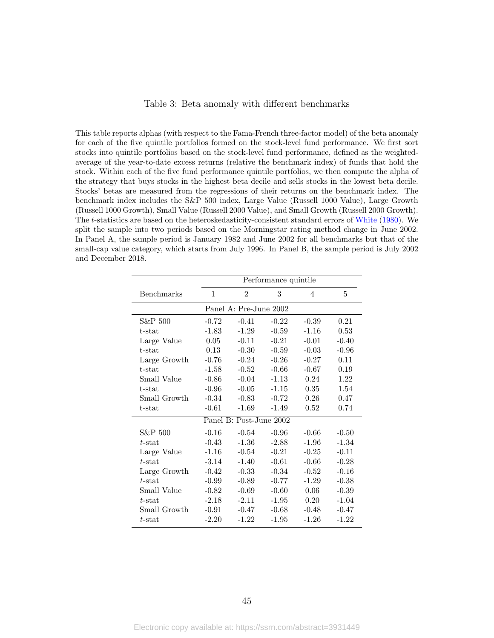#### Table 3: Beta anomaly with different benchmarks

This table reports alphas (with respect to the Fama-French three-factor model) of the beta anomaly for each of the five quintile portfolios formed on the stock-level fund performance. We first sort stocks into quintile portfolios based on the stock-level fund performance, defined as the weightedaverage of the year-to-date excess returns (relative the benchmark index) of funds that hold the stock. Within each of the five fund performance quintile portfolios, we then compute the alpha of the strategy that buys stocks in the highest beta decile and sells stocks in the lowest beta decile. Stocks' betas are measured from the regressions of their returns on the benchmark index. The benchmark index includes the S&P 500 index, Large Value (Russell 1000 Value), Large Growth (Russell 1000 Growth), Small Value (Russell 2000 Value), and Small Growth (Russell 2000 Growth). The t-statistics are based on the heteroskedasticity-consistent standard errors of [White](#page-38-0) [\(1980\)](#page-38-0). We split the sample into two periods based on the Morningstar rating method change in June 2002. In Panel A, the sample period is January 1982 and June 2002 for all benchmarks but that of the small-cap value category, which starts from July 1996. In Panel B, the sample period is July 2002 and December 2018.

|                   |         |                         | Performance quintile |                |         |
|-------------------|---------|-------------------------|----------------------|----------------|---------|
| <b>Benchmarks</b> | 1       | $\mathfrak{D}$          | 3                    | $\overline{4}$ | 5       |
|                   |         | Panel A: Pre-June 2002  |                      |                |         |
| S&P 500           | $-0.72$ | $-0.41$                 | $-0.22$              | $-0.39$        | 0.21    |
| t-stat            | $-1.83$ | $-1.29$                 | $-0.59$              | $-1.16$        | 0.53    |
| Large Value       | 0.05    | $-0.11$                 | $-0.21$              | $-0.01$        | $-0.40$ |
| t-stat            | 0.13    | $-0.30$                 | $-0.59$              | $-0.03$        | $-0.96$ |
| Large Growth      | $-0.76$ | $-0.24$                 | $-0.26$              | $-0.27$        | 0.11    |
| t-stat            | $-1.58$ | $-0.52$                 | $-0.66$              | $-0.67$        | 0.19    |
| Small Value       | $-0.86$ | $-0.04$                 | $-1.13$              | 0.24           | 1.22    |
| t-stat            | $-0.96$ | $-0.05$                 | $-1.15$              | 0.35           | 1.54    |
| Small Growth      | $-0.34$ | $-0.83$                 | $-0.72$              | 0.26           | 0.47    |
| t-stat            | $-0.61$ | $-1.69$                 | $-1.49$              | 0.52           | 0.74    |
|                   |         | Panel B: Post-June 2002 |                      |                |         |
| S&P 500           | $-0.16$ | $-0.54$                 | $-0.96$              | $-0.66$        | $-0.50$ |
| $t$ -stat         | $-0.43$ | $-1.36$                 | $-2.88$              | $-1.96$        | $-1.34$ |
| Large Value       | $-1.16$ | $-0.54$                 | $-0.21$              | $-0.25$        | $-0.11$ |
| $t$ -stat         | $-3.14$ | $-1.40$                 | $-0.61$              | $-0.66$        | $-0.28$ |
| Large Growth      | $-0.42$ | $-0.33$                 | $-0.34$              | $-0.52$        | $-0.16$ |
| $t$ -stat         | $-0.99$ | $-0.89$                 | $-0.77$              | $-1.29$        | $-0.38$ |
| Small Value       | $-0.82$ | $-0.69$                 | $-0.60$              | 0.06           | $-0.39$ |
| $t$ -stat         | $-2.18$ | $-2.11$                 | $-1.95$              | 0.20           | $-1.04$ |
| Small Growth      | $-0.91$ | $-0.47$                 | $-0.68$              | $-0.48$        | $-0.47$ |
| $t$ -stat         | $-2.20$ | $-1.22$                 | $-1.95$              | $-1.26$        | $-1.22$ |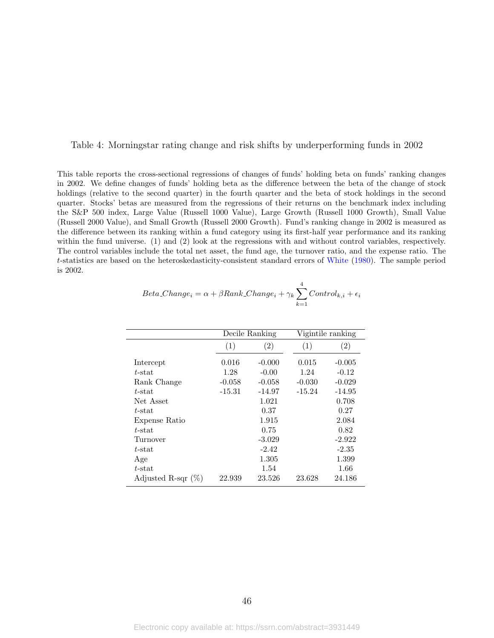<span id="page-46-0"></span>Table 4: Morningstar rating change and risk shifts by underperforming funds in 2002

This table reports the cross-sectional regressions of changes of funds' holding beta on funds' ranking changes in 2002. We define changes of funds' holding beta as the difference between the beta of the change of stock holdings (relative to the second quarter) in the fourth quarter and the beta of stock holdings in the second quarter. Stocks' betas are measured from the regressions of their returns on the benchmark index including the S&P 500 index, Large Value (Russell 1000 Value), Large Growth (Russell 1000 Growth), Small Value (Russell 2000 Value), and Small Growth (Russell 2000 Growth). Fund's ranking change in 2002 is measured as the difference between its ranking within a fund category using its first-half year performance and its ranking within the fund universe. (1) and (2) look at the regressions with and without control variables, respectively. The control variables include the total net asset, the fund age, the turnover ratio, and the expense ratio. The t-statistics are based on the heteroskedasticity-consistent standard errors of [White](#page-38-0) [\(1980\)](#page-38-0). The sample period is 2002.

|                       |          | Decile Ranking    |          | Vigintile ranking |
|-----------------------|----------|-------------------|----------|-------------------|
|                       | (1)      | $\left( 2\right)$ | (1)      | $\left( 2\right)$ |
| Intercept             | 0.016    | $-0.000$          | 0.015    | $-0.005$          |
| $t$ -stat             | 1.28     | $-0.00$           | 1.24     | $-0.12$           |
| Rank Change           | $-0.058$ | $-0.058$          | $-0.030$ | $-0.029$          |
| $t$ -stat             | $-15.31$ | $-14.97$          | $-15.24$ | $-14.95$          |
| Net Asset             |          | 1.021             |          | 0.708             |
| $t$ -stat             |          | 0.37              |          | 0.27              |
| Expense Ratio         |          | 1.915             |          | 2.084             |
| $t$ -stat             |          | 0.75              |          | 0.82              |
| Turnover              |          | $-3.029$          |          | $-2.922$          |
| $t$ -stat             |          | $-2.42$           |          | $-2.35$           |
| Age                   |          | 1.305             |          | 1.399             |
| $t$ -stat             |          | 1.54              |          | 1.66              |
| Adjusted R-sqr $(\%)$ | 22.939   | 23.526            | 23.628   | 24.186            |

| $Beta\_Change_i = \alpha + \beta Rank\_Change_i + \gamma_k \sum {Control_{k,i}} + \epsilon_i$ |
|-----------------------------------------------------------------------------------------------|
| $k=1$                                                                                         |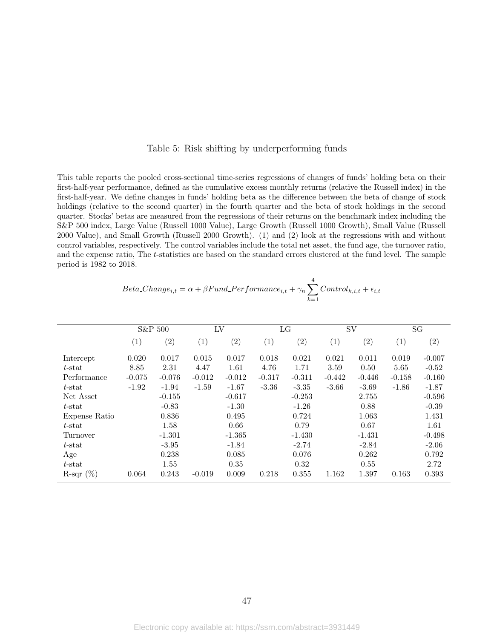#### Table 5: Risk shifting by underperforming funds

This table reports the pooled cross-sectional time-series regressions of changes of funds' holding beta on their first-half-year performance, defined as the cumulative excess monthly returns (relative the Russell index) in the first-half-year. We define changes in funds' holding beta as the difference between the beta of change of stock holdings (relative to the second quarter) in the fourth quarter and the beta of stock holdings in the second quarter. Stocks' betas are measured from the regressions of their returns on the benchmark index including the S&P 500 index, Large Value (Russell 1000 Value), Large Growth (Russell 1000 Growth), Small Value (Russell 2000 Value), and Small Growth (Russell 2000 Growth). (1) and (2) look at the regressions with and without control variables, respectively. The control variables include the total net asset, the fund age, the turnover ratio, and the expense ratio, The t-statistics are based on the standard errors clustered at the fund level. The sample period is 1982 to 2018.

$$
Beta\_Change_{i,t} = \alpha + \beta Fund\_Performance_{i,t} + \gamma_n \sum_{k=1}^{4} Control_{k,i,t} + \epsilon_{i,t}
$$

4

|               |                   | S&P 500  | LV                |                   |                   | LG       |          | SV                |                   | SG       |
|---------------|-------------------|----------|-------------------|-------------------|-------------------|----------|----------|-------------------|-------------------|----------|
|               | $\left( 1\right)$ | (2)      | $\left( 1\right)$ | $\left( 2\right)$ | $\left( 1\right)$ | (2)      | (1)      | $\left( 2\right)$ | $\left( 1\right)$ | (2)      |
| Intercept     | 0.020             | 0.017    | 0.015             | 0.017             | 0.018             | 0.021    | 0.021    | 0.011             | 0.019             | $-0.007$ |
| $t$ -stat     | 8.85              | 2.31     | 4.47              | 1.61              | 4.76              | 1.71     | 3.59     | 0.50              | 5.65              | $-0.52$  |
| Performance   | $-0.075$          | $-0.076$ | $-0.012$          | $-0.012$          | $-0.317$          | $-0.311$ | $-0.442$ | $-0.446$          | $-0.158$          | $-0.160$ |
| $t$ -stat     | $-1.92$           | $-1.94$  | $-1.59$           | $-1.67$           | $-3.36$           | $-3.35$  | $-3.66$  | $-3.69$           | $-1.86$           | $-1.87$  |
| Net Asset     |                   | $-0.155$ |                   | $-0.617$          |                   | $-0.253$ |          | 2.755             |                   | $-0.596$ |
| $t$ -stat     |                   | $-0.83$  |                   | $-1.30$           |                   | $-1.26$  |          | 0.88              |                   | $-0.39$  |
| Expense Ratio |                   | 0.836    |                   | 0.495             |                   | 0.724    |          | 1.063             |                   | 1.431    |
| $t$ -stat     |                   | 1.58     |                   | 0.66              |                   | 0.79     |          | 0.67              |                   | 1.61     |
| Turnover      |                   | $-1.301$ |                   | $-1.365$          |                   | $-1.430$ |          | $-1.431$          |                   | $-0.498$ |
| $t$ -stat     |                   | $-3.95$  |                   | $-1.84$           |                   | $-2.74$  |          | $-2.84$           |                   | $-2.06$  |
| Age           |                   | 0.238    |                   | 0.085             |                   | 0.076    |          | 0.262             |                   | 0.792    |
| $t$ -stat     |                   | 1.55     |                   | 0.35              |                   | 0.32     |          | 0.55              |                   | 2.72     |
| R-sqr $(\%)$  | 0.064             | 0.243    | $-0.019$          | 0.009             | 0.218             | 0.355    | 1.162    | 1.397             | 0.163             | 0.393    |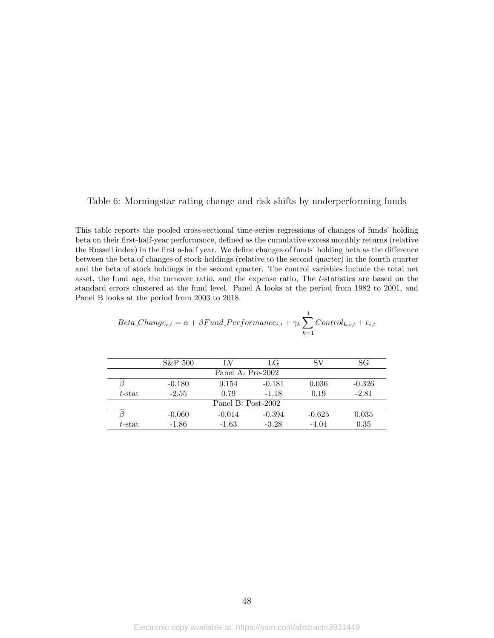#### <span id="page-48-0"></span>Table 6: Morningstar rating change and risk shifts by underperforming funds

This table reports the pooled cross-sectional time-series regressions of changes of funds' holding beta on their first-half-year performance, defined as the cumulative excess monthly returns (relative the Russell index) in the first a-half year. We define changes of funds' holding beta as the difference between the beta of changes of stock holdings (relative to the second quarter) in the fourth quarter and the beta of stock holdings in the second quarter. The control variables include the total net asset, the fund age, the turnover ratio, and the expense ratio, The t-statistics are based on the standard errors clustered at the fund level. Panel A looks at the period from 1982 to 2001, and Panel B looks at the period from 2003 to 2018.

$$
Beta\_Change_{i,t} = \alpha + \beta Fund\_Performance_{i,t} + \gamma_k \sum_{k=1}^{4} Control_{k,i,t} + \epsilon_{i,t}
$$

|           | S&P 500  | LV                 | LG       | SV       | SG       |
|-----------|----------|--------------------|----------|----------|----------|
|           |          | Panel A: Pre-2002  |          |          |          |
|           | $-0.180$ | 0.154              | $-0.181$ | 0.036    | $-0.326$ |
| $t$ -stat | $-2.55$  | 0.79               | $-1.18$  | 0.19     | $-2.81$  |
|           |          | Panel B: Post-2002 |          |          |          |
|           | $-0.060$ | $-0.014$           | $-0.394$ | $-0.625$ | 0.035    |
| $t$ -stat | $-1.86$  | $-1.63$            | $-3.28$  | $-4.04$  | 0.35     |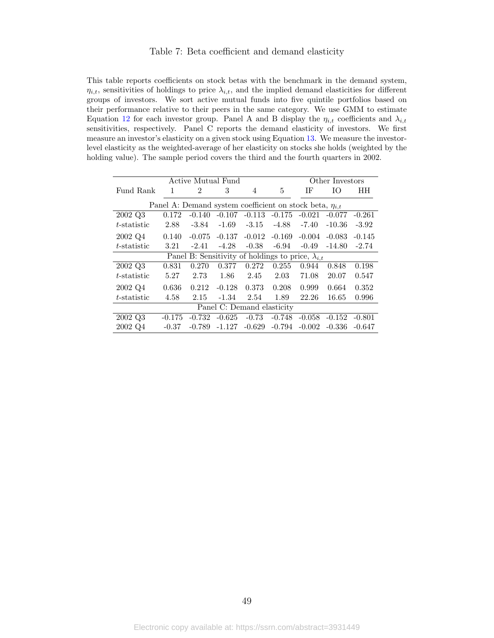#### Table 7: Beta coefficient and demand elasticity

This table reports coefficients on stock betas with the benchmark in the demand system,  $\eta_{i,t}$ , sensitivities of holdings to price  $\lambda_{i,t}$ , and the implied demand elasticities for different groups of investors. We sort active mutual funds into five quintile portfolios based on their performance relative to their peers in the same category. We use GMM to estimate Equation [12](#page-24-0) for each investor group. Panel A and B display the  $\eta_{i,t}$  coefficients and  $\lambda_{i,t}$ sensitivities, respectively. Panel C reports the demand elasticity of investors. We first measure an investor's elasticity on a given stock using Equation [13.](#page-26-0) We measure the investorlevel elasticity as the weighted-average of her elasticity on stocks she holds (weighted by the holding value). The sample period covers the third and the fourth quarters in 2002.

|                |          | <b>Active Mutual Fund</b>                                      |                            |          |          |          | Other Investors |          |
|----------------|----------|----------------------------------------------------------------|----------------------------|----------|----------|----------|-----------------|----------|
| Fund Rank      | 1        | 2                                                              | 3                          | 4        | 5        | ΙF       | Ю               | HН       |
|                |          |                                                                |                            |          |          |          |                 |          |
|                |          | Panel A: Demand system coefficient on stock beta, $\eta_{i,t}$ |                            |          |          |          |                 |          |
| 2002 Q3        | 0.172    | $-0.140$                                                       | $-0.107$                   | $-0.113$ | $-0.175$ | $-0.021$ | $-0.077$        | $-0.261$ |
| $t$ -statistic | 2.88     | $-3.84$                                                        | $-1.69$                    | $-3.15$  | $-4.88$  | $-7.40$  | $-10.36$        | $-3.92$  |
| 2002 Q4        | 0.140    | $-0.075$                                                       | $-0.137$                   | $-0.012$ | $-0.169$ | $-0.004$ | $-0.083$        | $-0.145$ |
| $t$ -statistic | 3.21     | $-2.41$                                                        | $-4.28$                    | $-0.38$  | $-6.94$  | $-0.49$  | $-14.80$        | $-2.74$  |
|                |          | Panel B: Sensitivity of holdings to price, $\lambda_{i,t}$     |                            |          |          |          |                 |          |
| 2002 Q3        | 0.831    | 0.270                                                          | 0.377                      | 0.272    | 0.255    | 0.944    | 0.848           | 0.198    |
| $t$ -statistic | 5.27     | 2.73                                                           | 1.86                       | 2.45     | 2.03     | 71.08    | 20.07           | 0.547    |
| 2002 Q4        | 0.636    | 0.212                                                          | $-0.128$                   | 0.373    | 0.208    | 0.999    | 0.664           | 0.352    |
| $t$ -statistic | 4.58     | 2.15                                                           | $-1.34$                    | 2.54     | 1.89     | 22.26    | 16.65           | 0.996    |
|                |          |                                                                | Panel C: Demand elasticity |          |          |          |                 |          |
| 2002 Q3        | $-0.175$ | $-0.732$                                                       | $-0.625$                   | $-0.73$  | $-0.748$ | $-0.058$ | $-0.152$        | $-0.801$ |
| 2002 Q4        | $-0.37$  | $-0.789$                                                       | $-1.127$                   | $-0.629$ | $-0.794$ | $-0.002$ | $-0.336$        | $-0.647$ |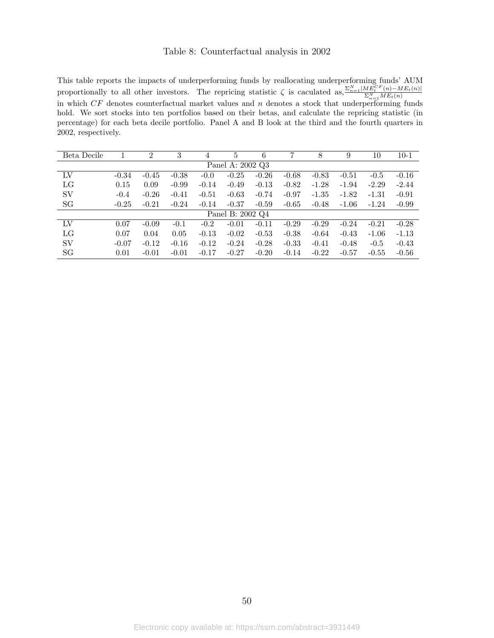#### Table 8: Counterfactual analysis in 2002

<span id="page-50-0"></span>This table reports the impacts of underperforming funds by reallocating underperforming funds' AUM proportionally to all other investors. The repricing statistic  $\zeta$  is caculated as,  $\frac{\sum_{n=1}^{N}|ME_{t}^{CF}(n)-ME_{t}(n)|}{\sum_{n=1}^{N}ME_{t}(n)}$ proportionally to an other investors. The reprieting statistic  $\zeta$  is calculated as,  $\frac{\sum_{n=1}^{N} ME_t(n)}{\sum_{n=1}^{N} ME_t(n)}$ hold. We sort stocks into ten portfolios based on their betas, and calculate the repricing statistic (in percentage) for each beta decile portfolio. Panel A and B look at the third and the fourth quarters in 2002, respectively.

| Beta Decile |         | $\overline{2}$ | 3       | 4       | 5                | 6       | 7       | 8       | 9       | 10      | $10-1$  |
|-------------|---------|----------------|---------|---------|------------------|---------|---------|---------|---------|---------|---------|
|             |         |                |         |         | Panel A: 2002 Q3 |         |         |         |         |         |         |
| LV          | $-0.34$ | $-0.45$        | $-0.38$ | $-0.0$  | $-0.25$          | $-0.26$ | $-0.68$ | $-0.83$ | $-0.51$ | $-0.5$  | $-0.16$ |
| LG          | 0.15    | 0.09           | $-0.99$ | $-0.14$ | $-0.49$          | $-0.13$ | $-0.82$ | $-1.28$ | $-1.94$ | $-2.29$ | $-2.44$ |
| SV          | $-0.4$  | $-0.26$        | $-0.41$ | $-0.51$ | $-0.63$          | $-0.74$ | $-0.97$ | $-1.35$ | $-1.82$ | $-1.31$ | $-0.91$ |
| SG          | $-0.25$ | $-0.21$        | $-0.24$ | $-0.14$ | $-0.37$          | $-0.59$ | $-0.65$ | $-0.48$ | $-1.06$ | $-1.24$ | $-0.99$ |
|             |         |                |         |         | Panel B: 2002 Q4 |         |         |         |         |         |         |
| LV          | 0.07    | $-0.09$        | $-0.1$  | $-0.2$  | $-0.01$          | $-0.11$ | $-0.29$ | $-0.29$ | $-0.24$ | $-0.21$ | $-0.28$ |
| LG          | 0.07    | 0.04           | 0.05    | $-0.13$ | $-0.02$          | $-0.53$ | $-0.38$ | $-0.64$ | $-0.43$ | $-1.06$ | $-1.13$ |
| SV          | $-0.07$ | $-0.12$        | $-0.16$ | $-0.12$ | $-0.24$          | $-0.28$ | $-0.33$ | $-0.41$ | $-0.48$ | $-0.5$  | $-0.43$ |
| SG          | 0.01    | $-0.01$        | $-0.01$ | $-0.17$ | $-0.27$          | $-0.20$ | $-0.14$ | $-0.22$ | $-0.57$ | $-0.55$ | $-0.56$ |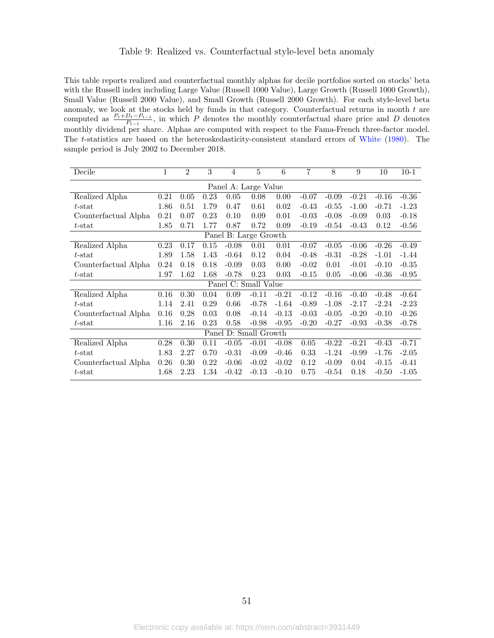#### Table 9: Realized vs. Counterfactual style-level beta anomaly

<span id="page-51-0"></span>This table reports realized and counterfactual monthly alphas for decile portfolios sorted on stocks' beta with the Russell index including Large Value (Russell 1000 Value), Large Growth (Russell 1000 Growth), Small Value (Russell 2000 Value), and Small Growth (Russell 2000 Growth). For each style-level beta anomaly, we look at the stocks held by funds in that category. Counterfactual returns in month  $t$  are computed as  $\frac{P_t+D_t-P_{t-1}}{P_{t-1}}$ , in which P denotes the monthly counterfactual share price and D denotes monthly dividend per share. Alphas are computed with respect to the Fama-French three-factor model. The t-statistics are based on the heteroskedasticity-consistent standard errors of [White](#page-38-0) [\(1980\)](#page-38-0). The sample period is July 2002 to December 2018.

| Decile               | 1    | $\overline{2}$ | 3        | $\overline{4}$ | $\overline{5}$        | 6       | 7       | 8       | 9       | 10      | $10 - 1$ |
|----------------------|------|----------------|----------|----------------|-----------------------|---------|---------|---------|---------|---------|----------|
|                      |      |                |          |                | Panel A: Large Value  |         |         |         |         |         |          |
| Realized Alpha       | 0.21 | 0.05           | 0.23     | 0.05           | 0.08                  | 0.00    | $-0.07$ | $-0.09$ | $-0.21$ | $-0.16$ | $-0.36$  |
| $t$ -stat            | 1.86 | 0.51           | 1.79     | 0.47           | 0.61                  | 0.02    | $-0.43$ | $-0.55$ | $-1.00$ | $-0.71$ | $-1.23$  |
| Counterfactual Alpha | 0.21 | 0.07           | 0.23     | 0.10           | 0.09                  | 0.01    | $-0.03$ | $-0.08$ | $-0.09$ | 0.03    | $-0.18$  |
| $t$ -stat            | 1.85 | 0.71           | 1.77     | 0.87           | 0.72                  | 0.09    | $-0.19$ | $-0.54$ | $-0.43$ | 0.12    | $-0.56$  |
|                      |      |                |          |                | Panel B: Large Growth |         |         |         |         |         |          |
| Realized Alpha       | 0.23 | 0.17           | $0.15\,$ | $-0.08$        | 0.01                  | 0.01    | $-0.07$ | $-0.05$ | $-0.06$ | $-0.26$ | $-0.49$  |
| $t$ -stat            | 1.89 | 1.58           | 1.43     | $-0.64$        | 0.12                  | 0.04    | $-0.48$ | $-0.31$ | $-0.28$ | $-1.01$ | $-1.44$  |
| Counterfactual Alpha | 0.24 | 0.18           | 0.18     | $-0.09$        | 0.03                  | 0.00    | $-0.02$ | 0.01    | $-0.01$ | $-0.10$ | $-0.35$  |
| $t$ -stat            | 1.97 | 1.62           | 1.68     | $-0.78$        | 0.23                  | 0.03    | $-0.15$ | 0.05    | $-0.06$ | $-0.36$ | $-0.95$  |
|                      |      |                |          |                | Panel C: Small Value  |         |         |         |         |         |          |
| Realized Alpha       | 0.16 | 0.30           | 0.04     | 0.09           | $-0.11$               | $-0.21$ | $-0.12$ | $-0.16$ | $-0.40$ | $-0.48$ | $-0.64$  |
| $t$ -stat            | 1.14 | 2.41           | 0.29     | 0.66           | $-0.78$               | $-1.64$ | $-0.89$ | $-1.08$ | $-2.17$ | $-2.24$ | $-2.23$  |
| Counterfactual Alpha | 0.16 | 0.28           | 0.03     | 0.08           | $-0.14$               | $-0.13$ | $-0.03$ | $-0.05$ | $-0.20$ | $-0.10$ | $-0.26$  |
| $t$ -stat            | 1.16 | 2.16           | 0.23     | 0.58           | $-0.98$               | $-0.95$ | $-0.20$ | $-0.27$ | $-0.93$ | $-0.38$ | $-0.78$  |
|                      |      |                |          |                | Panel D: Small Growth |         |         |         |         |         |          |
| Realized Alpha       | 0.28 | 0.30           | 0.11     | $-0.05$        | $-0.01$               | $-0.08$ | 0.05    | $-0.22$ | $-0.21$ | $-0.43$ | $-0.71$  |
| $t$ -stat            | 1.83 | 2.27           | 0.70     | $-0.31$        | $-0.09$               | $-0.46$ | 0.33    | $-1.24$ | $-0.99$ | $-1.76$ | $-2.05$  |
| Counterfactual Alpha | 0.26 | 0.30           | 0.22     | $-0.06$        | $-0.02$               | $-0.02$ | 0.12    | $-0.09$ | 0.04    | $-0.15$ | $-0.41$  |
| $t$ -stat            | 1.68 | 2.23           | 1.34     | $-0.42$        | $-0.13$               | $-0.10$ | 0.75    | $-0.54$ | 0.18    | $-0.50$ | $-1.05$  |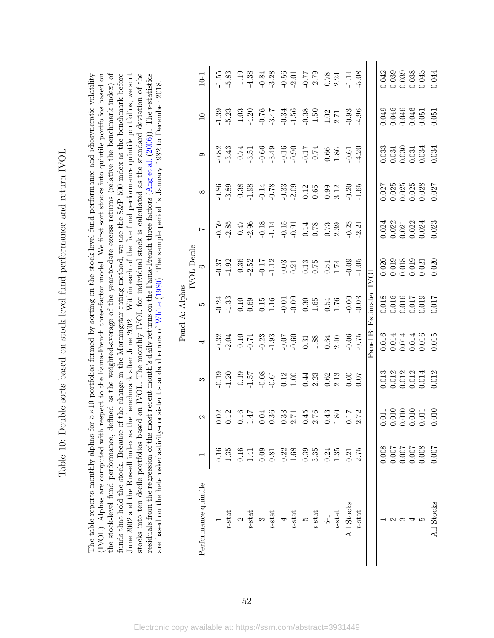| )<br>.<br>I                                                                                                    |
|----------------------------------------------------------------------------------------------------------------|
|                                                                                                                |
| <br> <br> <br>                                                                                                 |
|                                                                                                                |
| מייר ממלמ הממל הממל הבר בל הבר האת המוכנית הממלות הממלות הממלות הממלות הממלות הממלות הממלות הממלות ה<br>l<br>l |
|                                                                                                                |
| $\begin{array}{c} \n\downarrow \\ \downarrow \\ \downarrow\n\end{array}$                                       |
|                                                                                                                |
|                                                                                                                |
|                                                                                                                |
|                                                                                                                |
|                                                                                                                |
| )<br>)<br>)                                                                                                    |
| ;                                                                                                              |
|                                                                                                                |
| シュン・ソープ こうしょう                                                                                                  |
| $\mathfrak{c}$<br>ׅ֚֡֡֡֬֝                                                                                      |
|                                                                                                                |
| $\frac{1}{1}$<br>$\frac{1}{2}$<br>Ì                                                                            |

the stock-level fund performance, defined as the weighted-average of the year-to-date excess returns (relative the benchmark index) of funds that hold the stock. Because of the change in the Morningstar rating method, we use the S&P 500 index as the benchmark before June 2002 and the Russell index as the benchmark after June 2002. Within each of the five fund performance quintile portfolios, we sort stocks into ten decile portfolios based on IVOL. The monthly IVOL for individual stock is calculated as the standard deviation of the residuals from the regression of the most recent month's daily returns on the Farna-French three factors (Ang et al. (2006)). The t-statistics (IVOL). Alphas are computed with respect to the Fama-French three-factor model. We first sort stocks into quintile portfolios based on The table reports monthly alphas for  $5\times10$  portfolios formed by sorting on the stock-level fund performance and idiosyncratic volatility ×10 portfolios formed by sorting on the stock-level fund performance and idiosyncratic volatility the stock-level fund performance, defined as the weighted-average of the year-to-date excess returns (relative the benchmark index) of residuals from the regression of the most recent month's daily returns on the Fama-French three factors ([Ang](#page-35-0) et al. [\(2006\)](#page-35-0)). The t-statistics (IVOL). Alphas are computed with respect to the Fama-French three-factor model. We first sort stocks into quintile portfolios based on funds that hold the stock. Because of the change in the Morningstar rating method, we use the S&P 500 index as the benchmark before June 2002 and the Russell index as the benchmark after June 2002 . Within each of the five fund performance quintile portfolios, we sort stocks into ten decile portfolios based on IVOL. The monthly IVOL for individual stock is calculated as the standard deviation of the are based on the heteroskedasticity-consistent standard errors of White (1980). The sample period is January 1982 to December 2018. are based on the heteroskedasticity-consistent standard errors of [White](#page-38-0) ([1980\)](#page-38-0). The sample period is January 1982 to December 2018. The table reports monthly alphas for 5

<span id="page-52-0"></span>

| 3<br>3 3 3 3 3 4 5 5 6 6 7 6 7 7 8 9 9<br>7 7 7 7 9 7 7 9 7 7 8 9 9 7<br>37<br>0.38<br>0.382<br>0.71 0.31 21 21 21 20 3<br>0.21 21 21 22 32 33 40 5                                                                                                                                                                                                                                                                                                                                                                                                                                                                                                                                       |                                              |                   |   |   | Panel A: Alphas | <b>IVOL</b> Decile |          |   |                 |        |
|-------------------------------------------------------------------------------------------------------------------------------------------------------------------------------------------------------------------------------------------------------------------------------------------------------------------------------------------------------------------------------------------------------------------------------------------------------------------------------------------------------------------------------------------------------------------------------------------------------------------------------------------------------------------------------------------|----------------------------------------------|-------------------|---|---|-----------------|--------------------|----------|---|-----------------|--------|
| 0.01 954 966 874 966 9672<br>0.01 954 966 967 968 969 972                                                                                                                                                                                                                                                                                                                                                                                                                                                                                                                                                                                                                                 |                                              | $\mathbf{\Omega}$ | S | 4 | LC.             | $\circ$            | $\infty$ | 0 | $\overline{10}$ | $10-1$ |
|                                                                                                                                                                                                                                                                                                                                                                                                                                                                                                                                                                                                                                                                                           |                                              |                   |   |   |                 |                    |          |   |                 |        |
|                                                                                                                                                                                                                                                                                                                                                                                                                                                                                                                                                                                                                                                                                           |                                              |                   |   |   |                 |                    |          |   |                 |        |
|                                                                                                                                                                                                                                                                                                                                                                                                                                                                                                                                                                                                                                                                                           |                                              |                   |   |   |                 |                    |          |   |                 |        |
|                                                                                                                                                                                                                                                                                                                                                                                                                                                                                                                                                                                                                                                                                           |                                              |                   |   |   |                 |                    |          |   |                 |        |
|                                                                                                                                                                                                                                                                                                                                                                                                                                                                                                                                                                                                                                                                                           |                                              |                   |   |   |                 |                    |          |   |                 |        |
|                                                                                                                                                                                                                                                                                                                                                                                                                                                                                                                                                                                                                                                                                           |                                              |                   |   |   |                 |                    |          |   |                 |        |
|                                                                                                                                                                                                                                                                                                                                                                                                                                                                                                                                                                                                                                                                                           |                                              |                   |   |   |                 |                    |          |   |                 |        |
|                                                                                                                                                                                                                                                                                                                                                                                                                                                                                                                                                                                                                                                                                           | 0.16<br>1.35<br>0.141 0.03<br>0.22<br>1.68   |                   |   |   |                 |                    |          |   |                 |        |
|                                                                                                                                                                                                                                                                                                                                                                                                                                                                                                                                                                                                                                                                                           | $0.35$<br>$3.35$                             |                   |   |   |                 |                    |          |   |                 |        |
|                                                                                                                                                                                                                                                                                                                                                                                                                                                                                                                                                                                                                                                                                           |                                              |                   |   |   |                 |                    |          |   |                 |        |
|                                                                                                                                                                                                                                                                                                                                                                                                                                                                                                                                                                                                                                                                                           |                                              |                   |   |   |                 |                    |          |   |                 |        |
|                                                                                                                                                                                                                                                                                                                                                                                                                                                                                                                                                                                                                                                                                           | $0.24$<br>$1.35$                             |                   |   |   |                 |                    |          |   |                 |        |
|                                                                                                                                                                                                                                                                                                                                                                                                                                                                                                                                                                                                                                                                                           | $0.21$<br>$2.75$                             |                   |   |   |                 |                    |          |   |                 |        |
|                                                                                                                                                                                                                                                                                                                                                                                                                                                                                                                                                                                                                                                                                           |                                              |                   |   |   |                 |                    |          |   |                 |        |
|                                                                                                                                                                                                                                                                                                                                                                                                                                                                                                                                                                                                                                                                                           |                                              |                   |   |   |                 |                    |          |   |                 |        |
|                                                                                                                                                                                                                                                                                                                                                                                                                                                                                                                                                                                                                                                                                           |                                              |                   |   |   |                 |                    |          |   |                 |        |
|                                                                                                                                                                                                                                                                                                                                                                                                                                                                                                                                                                                                                                                                                           |                                              |                   |   |   |                 |                    |          |   |                 |        |
|                                                                                                                                                                                                                                                                                                                                                                                                                                                                                                                                                                                                                                                                                           |                                              |                   |   |   |                 |                    |          |   |                 |        |
|                                                                                                                                                                                                                                                                                                                                                                                                                                                                                                                                                                                                                                                                                           | 8000:000<br>7100.001<br>7100.001<br>7100.001 |                   |   |   |                 |                    |          |   |                 |        |
| $\begin{array}{c} 11 \\ 10 \\ 0 \\ 10 \\ 0 \\ 11 \\ 0 \\ \end{array}$                                                                                                                                                                                                                                                                                                                                                                                                                                                                                                                                                                                                                     | 1007                                         |                   |   |   |                 |                    |          |   |                 |        |
| 042<br>0.039<br>0.038<br>0.043<br>0.044<br>0.049<br>0.046<br>0.046<br>0.051<br>0.051<br>$\begin{array}{c} 0.033 \\ 0.031 \\ 0.030 \\ 0.031 \\ 0.031 \\ 0.034 \\ 0.034 \\ 0.034 \\ \end{array}$<br>0.027<br>0.025<br>0.025<br>0.028<br>0.027<br>$\begin{array}{c} 0.024 \\ 0.022 \\ 0.021 \\ 0.021 \\ 0.024 \\ 0.024 \\ 0.023 \end{array}$<br>$\begin{array}{c} 0.020 \\ 0.019 \\ 0.018 \\ 0.019 \\ 0.021 \\ 0.021 \\ 0.020 \end{array}$<br>710.018<br>0.016<br>0.016<br>0.017<br>0.017<br>$\begin{array}{c} 0.016 \\ 0.014 \\ 0.014 \\ 0.014 \\ 0.016 \\ 0.016 \\ 0.015 \end{array}$<br>$\begin{array}{r} 0.013 \\ 0.012 \\ 0.013 \\ 0.014 \\ 0.014 \\ 0.014 \\ 0.012 \end{array}$<br>010 |                                              |                   |   |   |                 |                    |          |   |                 |        |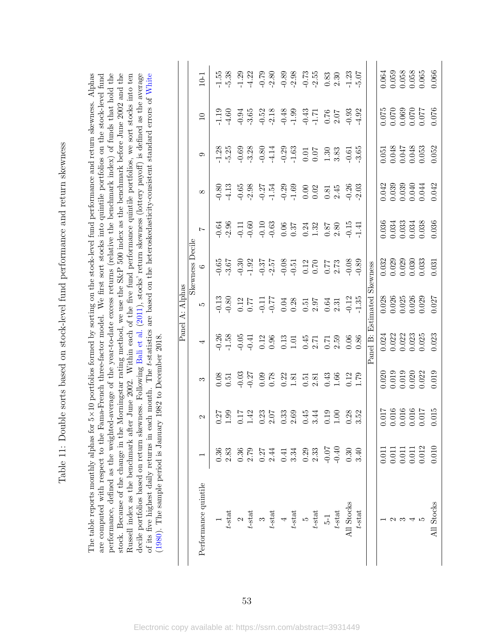<span id="page-53-0"></span>

| j                                            |
|----------------------------------------------|
| i<br>Si                                      |
|                                              |
| l<br>j                                       |
| S is a control                               |
| l                                            |
|                                              |
| )<br>2<br>2<br>2                             |
|                                              |
| i<br>Dubi<br>$\frac{1}{2}$<br>ļ              |
| l<br>l                                       |
| į<br>j<br>l<br>$\overline{\phantom{a}}$<br>۱ |

The table reports monthly alphas for 5×10 portfolios formed by sorting on the stock-level fund performance and return skewness. Alphas performance, defined as the weighted-average of the year-to-date excess returns (relative the benchmark index) of funds that hold the stock. Because of the change in the Morningstar rating method, we use the S&P 500 index as the benchmark before June 2002 and the Russell index as the benchmark after June 2002. Within each of the five fund performance quintile portfolios, we sort stocks into ten decile portfolios based on return skewness. Following Bali et al. (2011), stocks' return skewness (lottery payoff) is defined as the average of its five highest daily returns in each month. The t-statistics are based on the heteroskedasticity-consistent standard errors of White are computed with respect to the Fama-French three-factor model. We first sort stocks into quintile portfolios on the stock-level fund of its five highest daily returns in each month. The t-statistics are based on the heteroskedasticity-consistent standard errors of [White](#page-38-0) ×10 portfolios formed by sorting on the stock-level fund performance and return skewness. Alphas are computed with respect to the Fama-French three-factor model. We first sort stocks into quintile portfolios on the stock-level fund performance, defined as the weighted-average of the year-to-date excess returns (relative the benchmark index) of funds that hold the stock. Because of the change in the Morningstar rating method, we use the S&P 500 index as the benchmark before June 2002 and the Russell index as the benchmark after June 2002. Within each of the five fund performance quintile portfolios, we sort stocks into ten decile portfolios based on return skewness. Following [Bali](#page-35-1) et al. [\(2011\)](#page-35-1), stocks' return skewness (lottery payoff) is defined as the average (1980). The sample period is January 1982 to December 2018. [\(1980\)](#page-38-0). The sample period is January 1982 to December 2018. The table reports monthly alphas for 5

| $1.55$<br>$5.38$<br>$-1.23$<br>$-5.07$<br>$10-1$<br>$\begin{array}{cccc}\n 0.94 & 0.52 & 0.52 & 0.53 & 0.53 & 0.53 & 0.53 & 0.53 & 0.53 & 0.53 & 0.53 & 0.53 & 0.53 & 0.53 & 0.53 & 0.53 & 0.53 & 0.53 & 0.53 & 0.53 & 0.53 & 0.53 & 0.53 & 0.53 & 0.53 & 0.53 & 0.53 & 0.53 & 0.53 & 0.53 & 0.53 & 0.53 & 0.53 & 0.53 & 0.53 & 0$<br>$-0.93$<br>$-4.92$<br>4.60<br>$\overline{10}$<br>$\begin{array}{l} 0.69 \\ 0.80 \\ 0.81 \\ 0.24 \\ 0.01 \\ 0.01 \\ 0.01 \\ 0.03 \\ 0.03 \\ 0.03 \\ 0.03 \\ 0.03 \\ 0.03 \\ 0.03 \\ 0.03 \\ 0.03 \\ 0.03 \\ 0.03 \\ 0.03 \\ 0.03 \\ 0.03 \\ 0.03 \\ 0.03 \\ 0.03 \\ 0.03 \\ 0.03 \\ 0.03 \\ 0.03 \\ 0.03 \\ 0.03 \\ 0.03 \\ 0.03 \\ 0.03 \\ 0.03 \\ 0.03 \\ 0.$<br>$1.28$<br>$5.25$<br>$-0.61$<br>$-3.65$<br>$0.80$<br>4.13<br>$\infty$<br>Skewness Decile<br>880<br>1950: 1960: 1960: 1960: 1960<br>1960: 1960: 1960: 1960: 1960: 1960: 1960: 1960: 1960: 1960: 1960: 1960: 1960: 1960<br>Panel B: Estimated Skewness<br>$\circ$<br>$\begin{array}{c} 12\\ 0.77\\ 0.9\\ 0.9\\ 0.00\\ 0.00\\ 0.00\\ 0.00\\ 0.00\\ 0.00\\ 0.00\\ 0.00\\ 0.00\\ 0.00\\ 0.00\\ 0.00\\ 0.00\\ 0.00\\ 0.01\\ 0.01\\ 0.01\\ 0.01\\ 0.01\\ 0.01\\ 0.01\\ 0.01\\ 0.01\\ 0.01\\ 0.01\\ 0.01\\ 0.01\\ 0.01\\ 0.01\\ 0.01\\ 0.01\\ 0.01\\ $<br>$\frac{0.13}{0.80}$<br>مد<br>$0.26$<br>1.58<br>$0.05$<br>$0.41$<br>4<br>S | $\begin{array}{r} 0.064 \\ 0.059 \\ 0.058 \\ 0.058 \\ 0.065 \\ 0.065 \\ 0.066 \end{array}$<br>92010<br>22010<br>22010<br>22010<br>22010<br>0.051<br>0.048<br>0.047<br>0.053<br>0.052<br>0.042<br>0.039<br>0.044<br>0.044<br>0.042<br>$\begin{array}{r} 0.036 \\ 0.034 \\ 0.033 \\ 0.034 \\ 0.034 \\ 0.038 \\ 0.038 \\ 0.036 \end{array}$<br>$\begin{array}{c} 0.032 \\ 0.029 \\ 0.029 \\ 0.030 \\ 0.030 \\ 0.033 \\ 0.031 \\ 0.031 \\ \end{array}$<br>0.028<br>0.025<br>0.025<br>0.029<br>0.027<br>$\begin{array}{c} 0.024 \\ 0.022 \\ 0.023 \\ 0.023 \\ 0.023 \\ 0.025 \end{array}$<br>0.023<br>$\begin{array}{c} 0.020 \\ 0.019 \\ 0.019 \\ 0.020 \\ 0.020 \\ 0.022 \end{array}$ |
|------------------------------------------------------------------------------------------------------------------------------------------------------------------------------------------------------------------------------------------------------------------------------------------------------------------------------------------------------------------------------------------------------------------------------------------------------------------------------------------------------------------------------------------------------------------------------------------------------------------------------------------------------------------------------------------------------------------------------------------------------------------------------------------------------------------------------------------------------------------------------------------------------------------------------------------------------------------------------------------------------------------------------------------------------------------------------------------------------------------------------------------------------------------------------------------------------------------------------------------------------------------------------------------------------------------------------------|------------------------------------------------------------------------------------------------------------------------------------------------------------------------------------------------------------------------------------------------------------------------------------------------------------------------------------------------------------------------------------------------------------------------------------------------------------------------------------------------------------------------------------------------------------------------------------------------------------------------------------------------------------------------------------|
|                                                                                                                                                                                                                                                                                                                                                                                                                                                                                                                                                                                                                                                                                                                                                                                                                                                                                                                                                                                                                                                                                                                                                                                                                                                                                                                                    |                                                                                                                                                                                                                                                                                                                                                                                                                                                                                                                                                                                                                                                                                    |
|                                                                                                                                                                                                                                                                                                                                                                                                                                                                                                                                                                                                                                                                                                                                                                                                                                                                                                                                                                                                                                                                                                                                                                                                                                                                                                                                    |                                                                                                                                                                                                                                                                                                                                                                                                                                                                                                                                                                                                                                                                                    |
|                                                                                                                                                                                                                                                                                                                                                                                                                                                                                                                                                                                                                                                                                                                                                                                                                                                                                                                                                                                                                                                                                                                                                                                                                                                                                                                                    |                                                                                                                                                                                                                                                                                                                                                                                                                                                                                                                                                                                                                                                                                    |
|                                                                                                                                                                                                                                                                                                                                                                                                                                                                                                                                                                                                                                                                                                                                                                                                                                                                                                                                                                                                                                                                                                                                                                                                                                                                                                                                    |                                                                                                                                                                                                                                                                                                                                                                                                                                                                                                                                                                                                                                                                                    |
|                                                                                                                                                                                                                                                                                                                                                                                                                                                                                                                                                                                                                                                                                                                                                                                                                                                                                                                                                                                                                                                                                                                                                                                                                                                                                                                                    |                                                                                                                                                                                                                                                                                                                                                                                                                                                                                                                                                                                                                                                                                    |
|                                                                                                                                                                                                                                                                                                                                                                                                                                                                                                                                                                                                                                                                                                                                                                                                                                                                                                                                                                                                                                                                                                                                                                                                                                                                                                                                    |                                                                                                                                                                                                                                                                                                                                                                                                                                                                                                                                                                                                                                                                                    |
|                                                                                                                                                                                                                                                                                                                                                                                                                                                                                                                                                                                                                                                                                                                                                                                                                                                                                                                                                                                                                                                                                                                                                                                                                                                                                                                                    |                                                                                                                                                                                                                                                                                                                                                                                                                                                                                                                                                                                                                                                                                    |
|                                                                                                                                                                                                                                                                                                                                                                                                                                                                                                                                                                                                                                                                                                                                                                                                                                                                                                                                                                                                                                                                                                                                                                                                                                                                                                                                    |                                                                                                                                                                                                                                                                                                                                                                                                                                                                                                                                                                                                                                                                                    |
|                                                                                                                                                                                                                                                                                                                                                                                                                                                                                                                                                                                                                                                                                                                                                                                                                                                                                                                                                                                                                                                                                                                                                                                                                                                                                                                                    |                                                                                                                                                                                                                                                                                                                                                                                                                                                                                                                                                                                                                                                                                    |
|                                                                                                                                                                                                                                                                                                                                                                                                                                                                                                                                                                                                                                                                                                                                                                                                                                                                                                                                                                                                                                                                                                                                                                                                                                                                                                                                    |                                                                                                                                                                                                                                                                                                                                                                                                                                                                                                                                                                                                                                                                                    |
|                                                                                                                                                                                                                                                                                                                                                                                                                                                                                                                                                                                                                                                                                                                                                                                                                                                                                                                                                                                                                                                                                                                                                                                                                                                                                                                                    |                                                                                                                                                                                                                                                                                                                                                                                                                                                                                                                                                                                                                                                                                    |
|                                                                                                                                                                                                                                                                                                                                                                                                                                                                                                                                                                                                                                                                                                                                                                                                                                                                                                                                                                                                                                                                                                                                                                                                                                                                                                                                    |                                                                                                                                                                                                                                                                                                                                                                                                                                                                                                                                                                                                                                                                                    |
|                                                                                                                                                                                                                                                                                                                                                                                                                                                                                                                                                                                                                                                                                                                                                                                                                                                                                                                                                                                                                                                                                                                                                                                                                                                                                                                                    |                                                                                                                                                                                                                                                                                                                                                                                                                                                                                                                                                                                                                                                                                    |
|                                                                                                                                                                                                                                                                                                                                                                                                                                                                                                                                                                                                                                                                                                                                                                                                                                                                                                                                                                                                                                                                                                                                                                                                                                                                                                                                    |                                                                                                                                                                                                                                                                                                                                                                                                                                                                                                                                                                                                                                                                                    |
|                                                                                                                                                                                                                                                                                                                                                                                                                                                                                                                                                                                                                                                                                                                                                                                                                                                                                                                                                                                                                                                                                                                                                                                                                                                                                                                                    |                                                                                                                                                                                                                                                                                                                                                                                                                                                                                                                                                                                                                                                                                    |
|                                                                                                                                                                                                                                                                                                                                                                                                                                                                                                                                                                                                                                                                                                                                                                                                                                                                                                                                                                                                                                                                                                                                                                                                                                                                                                                                    |                                                                                                                                                                                                                                                                                                                                                                                                                                                                                                                                                                                                                                                                                    |
|                                                                                                                                                                                                                                                                                                                                                                                                                                                                                                                                                                                                                                                                                                                                                                                                                                                                                                                                                                                                                                                                                                                                                                                                                                                                                                                                    |                                                                                                                                                                                                                                                                                                                                                                                                                                                                                                                                                                                                                                                                                    |
|                                                                                                                                                                                                                                                                                                                                                                                                                                                                                                                                                                                                                                                                                                                                                                                                                                                                                                                                                                                                                                                                                                                                                                                                                                                                                                                                    |                                                                                                                                                                                                                                                                                                                                                                                                                                                                                                                                                                                                                                                                                    |
|                                                                                                                                                                                                                                                                                                                                                                                                                                                                                                                                                                                                                                                                                                                                                                                                                                                                                                                                                                                                                                                                                                                                                                                                                                                                                                                                    |                                                                                                                                                                                                                                                                                                                                                                                                                                                                                                                                                                                                                                                                                    |
|                                                                                                                                                                                                                                                                                                                                                                                                                                                                                                                                                                                                                                                                                                                                                                                                                                                                                                                                                                                                                                                                                                                                                                                                                                                                                                                                    |                                                                                                                                                                                                                                                                                                                                                                                                                                                                                                                                                                                                                                                                                    |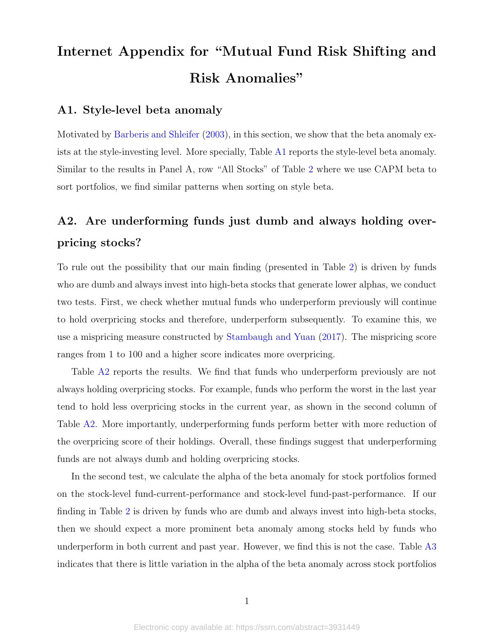# Internet Appendix for "Mutual Fund Risk Shifting and Risk Anomalies"

# A1. Style-level beta anomaly

Motivated by [Barberis and Shleifer](#page-35-2) [\(2003\)](#page-35-2), in this section, we show that the beta anomaly exists at the style-investing level. More specially, Table [A1](#page-63-0) reports the style-level beta anomaly. Similar to the results in Panel A, row "All Stocks" of Table [2](#page-44-0) where we use CAPM beta to sort portfolios, we find similar patterns when sorting on style beta.

# A2. Are underforming funds just dumb and always holding overpricing stocks?

To rule out the possibility that our main finding (presented in Table [2\)](#page-44-0) is driven by funds who are dumb and always invest into high-beta stocks that generate lower alphas, we conduct two tests. First, we check whether mutual funds who underperform previously will continue to hold overpricing stocks and therefore, underperform subsequently. To examine this, we use a mispricing measure constructed by [Stambaugh and Yuan](#page-38-1) [\(2017\)](#page-38-1). The mispricing score ranges from 1 to 100 and a higher score indicates more overpricing.

Table [A2](#page-64-0) reports the results. We find that funds who underperform previously are not always holding overpricing stocks. For example, funds who perform the worst in the last year tend to hold less overpricing stocks in the current year, as shown in the second column of Table [A2.](#page-64-0) More importantly, underperforming funds perform better with more reduction of the overpricing score of their holdings. Overall, these findings suggest that underperforming funds are not always dumb and holding overpricing stocks.

In the second test, we calculate the alpha of the beta anomaly for stock portfolios formed on the stock-level fund-current-performance and stock-level fund-past-performance. If our finding in Table [2](#page-44-0) is driven by funds who are dumb and always invest into high-beta stocks, then we should expect a more prominent beta anomaly among stocks held by funds who underperform in both current and past year. However, we find this is not the case. Table [A3](#page-64-1) indicates that there is little variation in the alpha of the beta anomaly across stock portfolios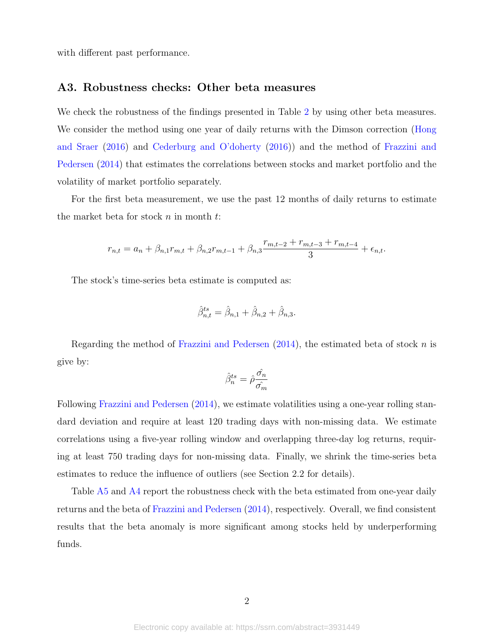with different past performance.

# A3. Robustness checks: Other beta measures

We check the robustness of the findings presented in Table [2](#page-44-0) by using other beta measures. We consider the method using one year of daily returns with the Dimson correction [\(Hong](#page-37-1) [and Sraer](#page-37-1) [\(2016\)](#page-37-1) and [Cederburg and O'doherty](#page-36-0) [\(2016\)](#page-36-0)) and the method of [Frazzini and](#page-37-2) [Pedersen](#page-37-2) [\(2014\)](#page-37-2) that estimates the correlations between stocks and market portfolio and the volatility of market portfolio separately.

For the first beta measurement, we use the past 12 months of daily returns to estimate the market beta for stock  $n$  in month  $t$ :

$$
r_{n,t} = a_n + \beta_{n,1}r_{m,t} + \beta_{n,2}r_{m,t-1} + \beta_{n,3}\frac{r_{m,t-2} + r_{m,t-3} + r_{m,t-4}}{3} + \epsilon_{n,t}.
$$

The stock's time-series beta estimate is computed as:

$$
\hat{\beta}_{n,t}^{ts} = \hat{\beta}_{n,1} + \hat{\beta}_{n,2} + \hat{\beta}_{n,3}.
$$

Regarding the method of [Frazzini and Pedersen](#page-37-2)  $(2014)$ , the estimated beta of stock n is give by:

$$
\hat{\beta}_{n}^{ts}=\hat{\rho}\frac{\hat{\sigma_{n}}}{\hat{\sigma_{m}}}
$$

Following [Frazzini and Pedersen](#page-37-2) [\(2014\)](#page-37-2), we estimate volatilities using a one-year rolling standard deviation and require at least 120 trading days with non-missing data. We estimate correlations using a five-year rolling window and overlapping three-day log returns, requiring at least 750 trading days for non-missing data. Finally, we shrink the time-series beta estimates to reduce the influence of outliers (see Section 2.2 for details).

Table [A5](#page-66-0) and [A4](#page-65-0) report the robustness check with the beta estimated from one-year daily returns and the beta of [Frazzini and Pedersen](#page-37-2) [\(2014\)](#page-37-2), respectively. Overall, we find consistent results that the beta anomaly is more significant among stocks held by underperforming funds.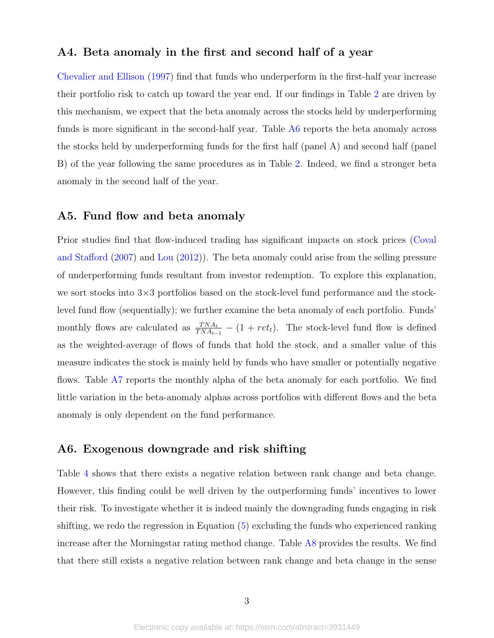# A4. Beta anomaly in the first and second half of a year

[Chevalier and Ellison](#page-36-1) [\(1997\)](#page-36-1) find that funds who underperform in the first-half year increase their portfolio risk to catch up toward the year end. If our findings in Table [2](#page-44-0) are driven by this mechanism, we expect that the beta anomaly across the stocks held by underperforming funds is more significant in the second-half year. Table [A6](#page-67-0) reports the beta anomaly across the stocks held by underperforming funds for the first half (panel A) and second half (panel B) of the year following the same procedures as in Table [2.](#page-44-0) Indeed, we find a stronger beta anomaly in the second half of the year.

# A5. Fund flow and beta anomaly

Prior studies find that flow-induced trading has significant impacts on stock prices [\(Coval](#page-36-2) [and Stafford](#page-36-2) [\(2007\)](#page-36-2) and [Lou](#page-38-2) [\(2012\)](#page-38-2)). The beta anomaly could arise from the selling pressure of underperforming funds resultant from investor redemption. To explore this explanation, we sort stocks into 3×3 portfolios based on the stock-level fund performance and the stocklevel fund flow (sequentially); we further examine the beta anomaly of each portfolio. Funds' monthly flows are calculated as  $\frac{TNA_t}{TNA_{t-1}} - (1 + ret_t)$ . The stock-level fund flow is defined as the weighted-average of flows of funds that hold the stock, and a smaller value of this measure indicates the stock is mainly held by funds who have smaller or potentially negative flows. Table [A7](#page-68-0) reports the monthly alpha of the beta anomaly for each portfolio. We find little variation in the beta-anomaly alphas across portfolios with different flows and the beta anomaly is only dependent on the fund performance.

# A6. Exogenous downgrade and risk shifting

Table [4](#page-46-0) shows that there exists a negative relation between rank change and beta change. However, this finding could be well driven by the outperforming funds' incentives to lower their risk. To investigate whether it is indeed mainly the downgrading funds engaging in risk shifting, we redo the regression in Equation [\(5\)](#page-16-0) excluding the funds who experienced ranking increase after the Morningstar rating method change. Table [A8](#page-69-0) provides the results. We find that there still exists a negative relation between rank change and beta change in the sense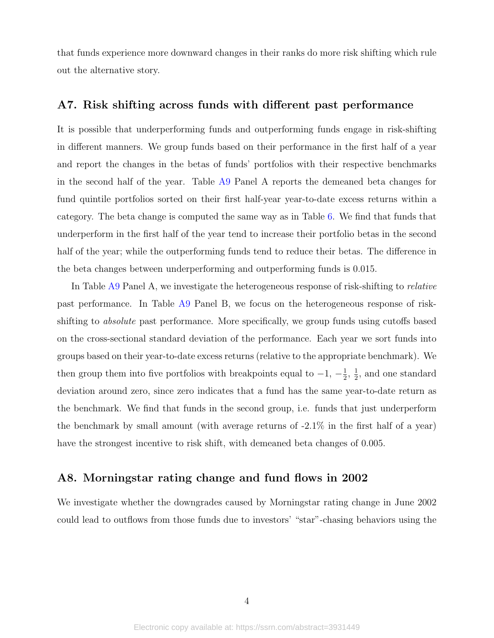that funds experience more downward changes in their ranks do more risk shifting which rule out the alternative story.

# A7. Risk shifting across funds with different past performance

It is possible that underperforming funds and outperforming funds engage in risk-shifting in different manners. We group funds based on their performance in the first half of a year and report the changes in the betas of funds' portfolios with their respective benchmarks in the second half of the year. Table [A9](#page-70-0) Panel A reports the demeaned beta changes for fund quintile portfolios sorted on their first half-year year-to-date excess returns within a category. The beta change is computed the same way as in Table [6.](#page-48-0) We find that funds that underperform in the first half of the year tend to increase their portfolio betas in the second half of the year; while the outperforming funds tend to reduce their betas. The difference in the beta changes between underperforming and outperforming funds is 0.015.

In Table [A9](#page-70-0) Panel A, we investigate the heterogeneous response of risk-shifting to *relative* past performance. In Table [A9](#page-70-0) Panel B, we focus on the heterogeneous response of riskshifting to *absolute* past performance. More specifically, we group funds using cutoffs based on the cross-sectional standard deviation of the performance. Each year we sort funds into groups based on their year-to-date excess returns (relative to the appropriate benchmark). We then group them into five portfolios with breakpoints equal to  $-1$ ,  $-\frac{1}{2}$  $\frac{1}{2}$ ,  $\frac{1}{2}$  $\frac{1}{2}$ , and one standard deviation around zero, since zero indicates that a fund has the same year-to-date return as the benchmark. We find that funds in the second group, i.e. funds that just underperform the benchmark by small amount (with average returns of -2.1% in the first half of a year) have the strongest incentive to risk shift, with demeaned beta changes of 0.005.

# A8. Morningstar rating change and fund flows in 2002

We investigate whether the downgrades caused by Morningstar rating change in June 2002 could lead to outflows from those funds due to investors' "star"-chasing behaviors using the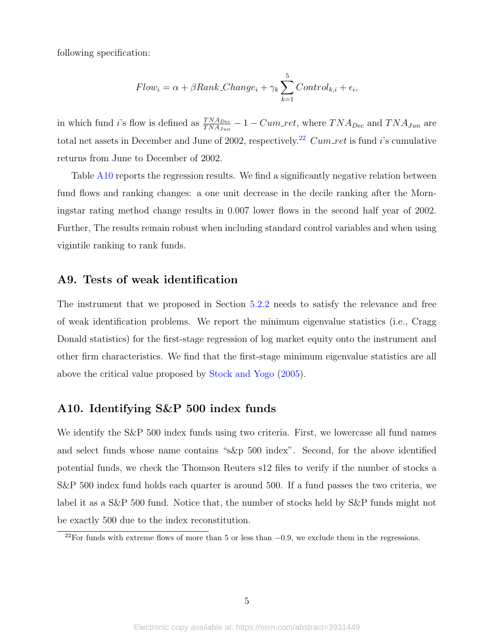following specification:

$$
Flow_i = \alpha + \beta Rank\_Change_i + \gamma_k \sum_{k=1}^{5} Control_{k,i} + \epsilon_i,
$$

in which fund i's flow is defined as  $\frac{TNA_{Dec}}{TNA_{Jun}} - 1 - Cum\_ret$ , where  $TNA_{Dec}$  and  $TNA_{Jun}$  are total net assets in December and June of 2002, respectively.<sup>[22](#page-58-0)</sup> Cum ret is fund i's cumulative returns from June to December of 2002.

Table [A10](#page-71-0) reports the regression results. We find a significantly negative relation between fund flows and ranking changes: a one unit decrease in the decile ranking after the Morningstar rating method change results in 0.007 lower flows in the second half year of 2002. Further, The results remain robust when including standard control variables and when using vigintile ranking to rank funds.

# A9. Tests of weak identification

The instrument that we proposed in Section [5.2.2](#page-23-0) needs to satisfy the relevance and free of weak identification problems. We report the minimum eigenvalue statistics (i.e., Cragg Donald statistics) for the first-stage regression of log market equity onto the instrument and other firm characteristics. We find that the first-stage minimum eigenvalue statistics are all above the critical value proposed by [Stock and Yogo](#page-38-3) [\(2005\)](#page-38-3).

# A10. Identifying S&P 500 index funds

We identify the S&P 500 index funds using two criteria. First, we lowercase all fund names and select funds whose name contains "s&p 500 index". Second, for the above identified potential funds, we check the Thomson Reuters s12 files to verify if the number of stocks a S&P 500 index fund holds each quarter is around 500. If a fund passes the two criteria, we label it as a S&P 500 fund. Notice that, the number of stocks held by S&P funds might not be exactly 500 due to the index reconstitution.

<span id="page-58-0"></span><sup>&</sup>lt;sup>22</sup>For funds with extreme flows of more than 5 or less than  $-0.9$ , we exclude them in the regressions.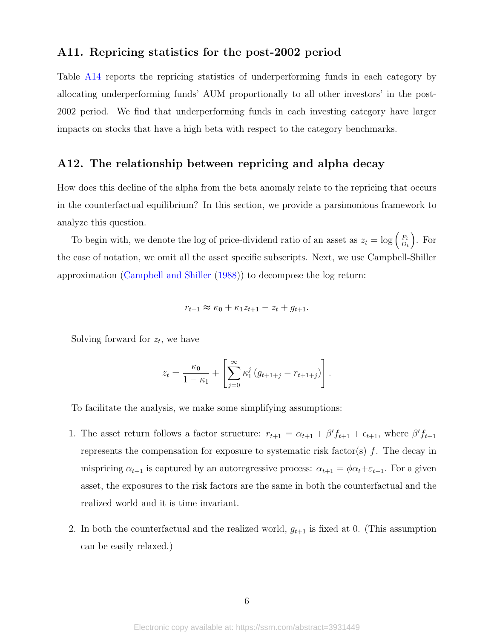# A11. Repricing statistics for the post-2002 period

Table [A14](#page-72-0) reports the repricing statistics of underperforming funds in each category by allocating underperforming funds' AUM proportionally to all other investors' in the post-2002 period. We find that underperforming funds in each investing category have larger impacts on stocks that have a high beta with respect to the category benchmarks.

# A12. The relationship between repricing and alpha decay

How does this decline of the alpha from the beta anomaly relate to the repricing that occurs in the counterfactual equilibrium? In this section, we provide a parsimonious framework to analyze this question.

To begin with, we denote the log of price-dividend ratio of an asset as  $z_t = \log \left( \frac{P_t}{D_t} \right)$  $D_t$  . For the ease of notation, we omit all the asset specific subscripts. Next, we use Campbell-Shiller approximation [\(Campbell and Shiller](#page-36-3) [\(1988\)](#page-36-3)) to decompose the log return:

$$
r_{t+1} \approx \kappa_0 + \kappa_1 z_{t+1} - z_t + g_{t+1}.
$$

Solving forward for  $z_t$ , we have

$$
z_t = \frac{\kappa_0}{1 - \kappa_1} + \left[ \sum_{j=0}^{\infty} \kappa_1^j (g_{t+1+j} - r_{t+1+j}) \right].
$$

To facilitate the analysis, we make some simplifying assumptions:

- 1. The asset return follows a factor structure:  $r_{t+1} = \alpha_{t+1} + \beta' f_{t+1} + \epsilon_{t+1}$ , where  $\beta' f_{t+1}$ represents the compensation for exposure to systematic risk factor(s)  $f$ . The decay in mispricing  $\alpha_{t+1}$  is captured by an autoregressive process:  $\alpha_{t+1} = \phi \alpha_t + \varepsilon_{t+1}$ . For a given asset, the exposures to the risk factors are the same in both the counterfactual and the realized world and it is time invariant.
- 2. In both the counterfactual and the realized world,  $g_{t+1}$  is fixed at 0. (This assumption can be easily relaxed.)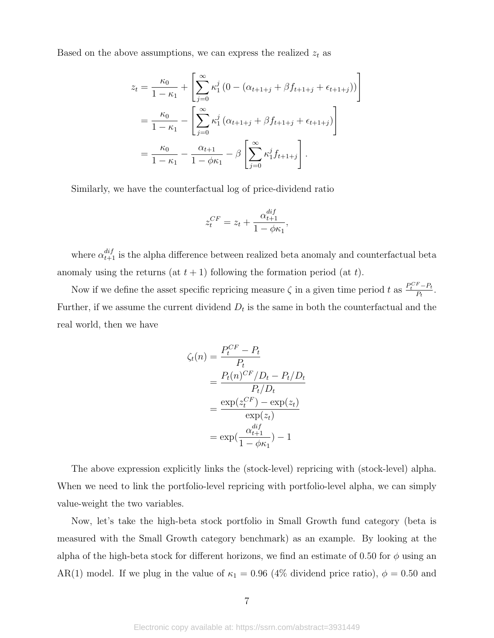Based on the above assumptions, we can express the realized  $\boldsymbol{z}_t$  as

$$
z_{t} = \frac{\kappa_{0}}{1 - \kappa_{1}} + \left[ \sum_{j=0}^{\infty} \kappa_{1}^{j} \left( 0 - (\alpha_{t+1+j} + \beta f_{t+1+j} + \epsilon_{t+1+j}) \right) \right]
$$
  
=  $\frac{\kappa_{0}}{1 - \kappa_{1}} - \left[ \sum_{j=0}^{\infty} \kappa_{1}^{j} \left( \alpha_{t+1+j} + \beta f_{t+1+j} + \epsilon_{t+1+j} \right) \right]$   
=  $\frac{\kappa_{0}}{1 - \kappa_{1}} - \frac{\alpha_{t+1}}{1 - \phi \kappa_{1}} - \beta \left[ \sum_{j=0}^{\infty} \kappa_{1}^{j} f_{t+1+j} \right].$ 

Similarly, we have the counterfactual log of price-dividend ratio

$$
z_t^{CF} = z_t + \frac{\alpha_{t+1}^{dif}}{1 - \phi \kappa_1},
$$

where  $\alpha_{t+1}^{dif}$  is the alpha difference between realized beta anomaly and counterfactual beta anomaly using the returns (at  $t + 1$ ) following the formation period (at t).

Now if we define the asset specific repricing measure  $\zeta$  in a given time period t as  $\frac{P_t^{CF}-P_t}{P_t}$  $\frac{r - r_t}{P_t}$ . Further, if we assume the current dividend  $D_t$  is the same in both the counterfactual and the real world, then we have

$$
\zeta_t(n) = \frac{P_t^{CF} - P_t}{P_t}
$$
  
= 
$$
\frac{P_t(n)^{CF}/D_t - P_t/D_t}{P_t/D_t}
$$
  
= 
$$
\frac{\exp(z_t^{CF}) - \exp(z_t)}{\exp(z_t)}
$$
  
= 
$$
\exp(\frac{\alpha_{t+1}^{dif}}{1 - \phi \kappa_1}) - 1
$$

The above expression explicitly links the (stock-level) repricing with (stock-level) alpha. When we need to link the portfolio-level repricing with portfolio-level alpha, we can simply value-weight the two variables.

Now, let's take the high-beta stock portfolio in Small Growth fund category (beta is measured with the Small Growth category benchmark) as an example. By looking at the alpha of the high-beta stock for different horizons, we find an estimate of 0.50 for  $\phi$  using an AR(1) model. If we plug in the value of  $\kappa_1 = 0.96$  (4% dividend price ratio),  $\phi = 0.50$  and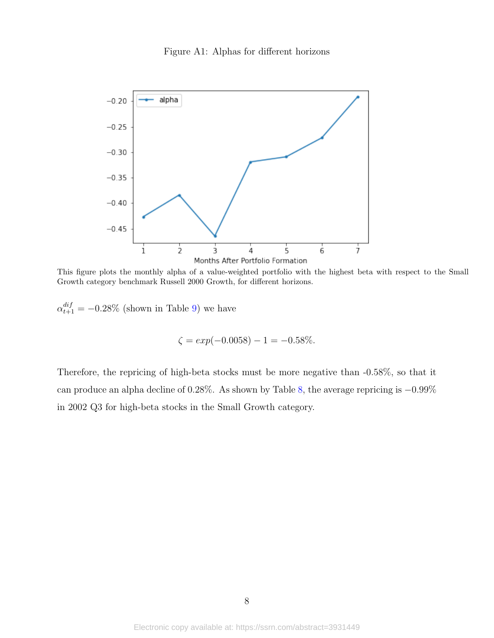## Figure A1: Alphas for different horizons



This figure plots the monthly alpha of a value-weighted portfolio with the highest beta with respect to the Small Growth category benchmark Russell 2000 Growth, for different horizons.

 $\alpha_{t+1}^{dif} = -0.28\%$  (shown in Table [9\)](#page-51-0) we have

$$
\zeta = \exp(-0.0058) - 1 = -0.58\%.
$$

Therefore, the repricing of high-beta stocks must be more negative than -0.58%, so that it can produce an alpha decline of 0.28%. As shown by Table [8,](#page-50-0) the average repricing is −0.99% in 2002 Q3 for high-beta stocks in the Small Growth category.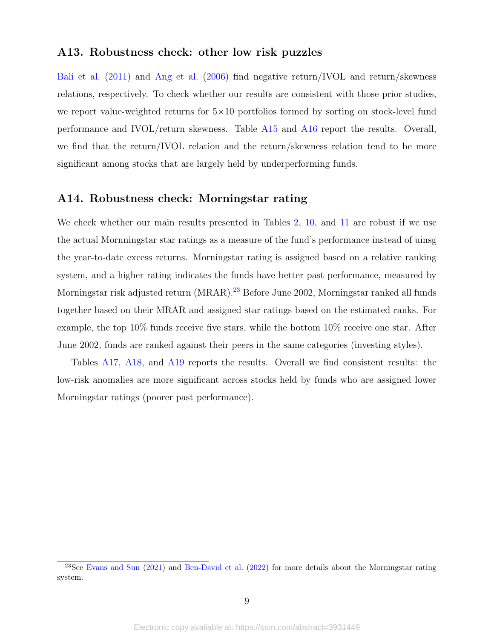# A13. Robustness check: other low risk puzzles

[Bali et al.](#page-35-1) [\(2011\)](#page-35-1) and [Ang et al.](#page-35-0) [\(2006\)](#page-35-0) find negative return/IVOL and return/skewness relations, respectively. To check whether our results are consistent with those prior studies, we report value-weighted returns for  $5\times10$  portfolios formed by sorting on stock-level fund performance and IVOL/return skewness. Table [A15](#page-73-0) and [A16](#page-74-0) report the results. Overall, we find that the return/IVOL relation and the return/skewness relation tend to be more significant among stocks that are largely held by underperforming funds.

# A14. Robustness check: Morningstar rating

We check whether our main results presented in Tables [2,](#page-44-0) [10,](#page-52-0) and [11](#page-53-0) are robust if we use the actual Mornningstar star ratings as a measure of the fund's performance instead of uinsg the year-to-date excess returns. Morningstar rating is assigned based on a relative ranking system, and a higher rating indicates the funds have better past performance, measured by Morningstar risk adjusted return (MRAR).<sup>[23](#page-62-0)</sup> Before June 2002, Morningstar ranked all funds together based on their MRAR and assigned star ratings based on the estimated ranks. For example, the top 10% funds receive five stars, while the bottom 10% receive one star. After June 2002, funds are ranked against their peers in the same categories (investing styles).

Tables [A17,](#page-75-0) [A18,](#page-76-0) and [A19](#page-77-0) reports the results. Overall we find consistent results: the low-risk anomalies are more significant across stocks held by funds who are assigned lower Morningstar ratings (poorer past performance).

<span id="page-62-0"></span> $^{23}$ See [Evans and Sun](#page-37-3) [\(2021\)](#page-37-3) and [Ben-David et al.](#page-35-3) [\(2022\)](#page-35-3) for more details about the Morningstar rating system.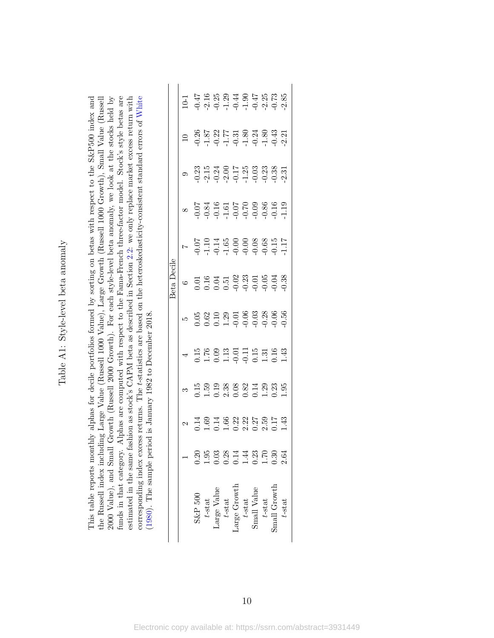<span id="page-63-0"></span>Table A1: Style-level beta anomaly Table A1: Style-level beta anomaly

funds in that category. Alphas are computed with respect to the Fama-French three-factor model. Stock's style betas are estimated in the same fashion as stock's CAPM beta as described in Section 2.2: we only replace market excess return with corresponding index excess returns. The t-statistics are based on the heteroskedasticity-consistent standard errors of White This table reports monthly alphas for decile portfolios formed by sorting on betas with respect to the S&P500 index and the Russell index including Large Value (Russell 1000 Value), Large Growth (Russell 1000 Growth), Small Value (Russell 2000 Value), and Small Growth (Russell 2000 Growth). For each style-level beta anomaly, we look at the stocks held by This table reports monthly alphas for decile portfolios formed by sorting on betas with respect to the S&P500 index and the Russell index including Large Value (Russell 1000 Value), Large Growth (Russell 1000 Growth), Small Value (Russell 2000 Value), and Small Growth (Russell 2000 Growth). For each style-level beta anomaly, we look at the stocks held by funds in that category. Alphas are computed with respect to the Fama-French three-factor model. Stock's style betas are estimated in the same fashion as stock's CAPM beta as described in Section [2.2:](#page-7-0) we only replace market excess return with corresponding index excess returns. The t-statistics are based on the heteroskedasticity-consistent standard errors of [White](#page-38-0) (1980). The sample period is January 1982 to December 2018. [\(1980\)](#page-38-0). The sample period is January 1982 to December 2018.

|                  | 86<br>0.2007 - 10.2008 - 10.2009<br>0.2007 - 10.2009 - 10.2009                                                                                                                                                                                                                                                |           |  |                                                                                                                                                                                                                                                                                |           |              |        |
|------------------|---------------------------------------------------------------------------------------------------------------------------------------------------------------------------------------------------------------------------------------------------------------------------------------------------------------|-----------|--|--------------------------------------------------------------------------------------------------------------------------------------------------------------------------------------------------------------------------------------------------------------------------------|-----------|--------------|--------|
|                  |                                                                                                                                                                                                                                                                                                               |           |  |                                                                                                                                                                                                                                                                                |           |              |        |
|                  | 0.07<br>0.08 30 0.07<br>0.07 0.07 0.09<br>0.07 0.09 0.07                                                                                                                                                                                                                                                      |           |  |                                                                                                                                                                                                                                                                                |           |              |        |
|                  |                                                                                                                                                                                                                                                                                                               |           |  |                                                                                                                                                                                                                                                                                |           |              |        |
| )ecile<br>Beta l |                                                                                                                                                                                                                                                                                                               |           |  | $\begin{array}{cccc}\n0.01 & 0.01 & 0.01 & 0.01 & 0.01 & 0.01 & 0.01 & 0.01 & 0.01 & 0.01 & 0.01 & 0.01 & 0.01 & 0.01 & 0.01 & 0.01 & 0.01 & 0.01 & 0.01 & 0.01 & 0.01 & 0.01 & 0.01 & 0.01 & 0.01 & 0.01 & 0.01 & 0.01 & 0.01 & 0.01 & 0.01 & 0.01 & 0.01 & 0.01 & 0.01 & 0.$ |           |              |        |
|                  | $\begin{array}{c} 0.65 \\ 0.62 \\ 0.72 \\ 0.83 \\ 0.91 \\ 0.01 \\ 0.01 \\ 0.01 \\ 0.01 \\ 0.01 \\ 0.01 \\ 0.01 \\ 0.01 \\ 0.01 \\ 0.01 \\ 0.01 \\ 0.01 \\ 0.01 \\ 0.01 \\ 0.01 \\ 0.01 \\ 0.01 \\ 0.01 \\ 0.01 \\ 0.01 \\ 0.01 \\ 0.01 \\ 0.01 \\ 0.01 \\ 0.01 \\ 0.01 \\ 0.01 \\ 0.01 \\ 0.01 \\ 0.01 \\ 0.$ |           |  |                                                                                                                                                                                                                                                                                |           |              |        |
|                  | $\begin{array}{l} 1.76 \\ 1.76 \\ 1.09 \\ 1.19 \\ 1.19 \\ 1.10 \\ 1.11 \\ 1.13 \\ 1.14 \\ 1.43 \\ 1.43 \\ 1.43 \\ 1.43 \\ 1.43 \\ 1.43 \\ 1.43 \\ 1.45 \\ 1.43 \\ 1.45 \\ 1.47 \\ 1.48 \\ 1.49 \\ 1.49 \\ 1.40 \\ 1.43 \\ 1.45 \\ 1.47 \\ 1.49 \\ 1.49 \\ 1.40 \\ 1.40 \\ 1.43 \\ 1.45 \\ 1.47 \\ 1.49 \\ 1.$ |           |  |                                                                                                                                                                                                                                                                                |           |              |        |
|                  |                                                                                                                                                                                                                                                                                                               |           |  |                                                                                                                                                                                                                                                                                |           |              |        |
|                  |                                                                                                                                                                                                                                                                                                               |           |  |                                                                                                                                                                                                                                                                                |           |              |        |
|                  |                                                                                                                                                                                                                                                                                                               |           |  | $0.58877480834$<br>0.10001430054                                                                                                                                                                                                                                               |           |              |        |
|                  | $S\&P 500$                                                                                                                                                                                                                                                                                                    | $t$ -stat |  | $\begin{array}{l} \text{Large Value} \\ t\text{-stat} \\ \text{Large Growth} \\ t\text{-stat} \\ t\text{-stat} \\ \text{Small Value} \end{array}$                                                                                                                              | $t$ -stat | inall Growth | t-stat |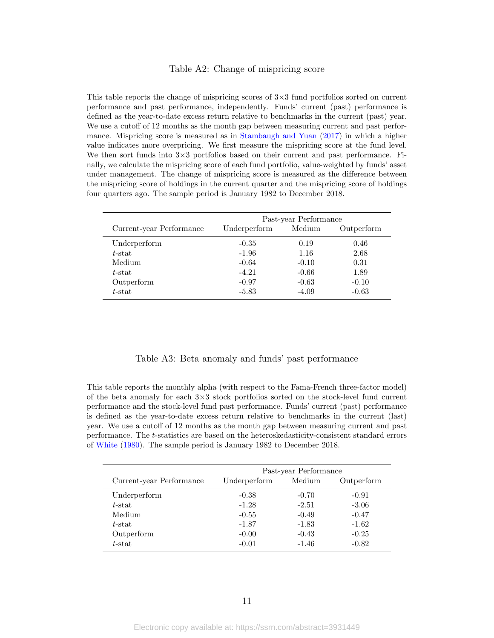#### Table A2: Change of mispricing score

<span id="page-64-0"></span>This table reports the change of mispricing scores of  $3\times3$  fund portfolios sorted on current performance and past performance, independently. Funds' current (past) performance is defined as the year-to-date excess return relative to benchmarks in the current (past) year. We use a cutoff of 12 months as the month gap between measuring current and past performance. Mispricing score is measured as in [Stambaugh and Yuan](#page-38-1) [\(2017\)](#page-38-1) in which a higher value indicates more overpricing. We first measure the mispricing score at the fund level. We then sort funds into  $3\times3$  portfolios based on their current and past performance. Finally, we calculate the mispricing score of each fund portfolio, value-weighted by funds' asset under management. The change of mispricing score is measured as the difference between the mispricing score of holdings in the current quarter and the mispricing score of holdings four quarters ago. The sample period is January 1982 to December 2018.

|                          |              | Past-year Performance |            |
|--------------------------|--------------|-----------------------|------------|
| Current-year Performance | Underperform | Medium                | Outperform |
| Underperform             | $-0.35$      | 0.19                  | 0.46       |
| $t$ -stat                | $-1.96$      | 1.16                  | 2.68       |
| Medium                   | $-0.64$      | $-0.10$               | 0.31       |
| $t$ -stat                | $-4.21$      | $-0.66$               | 1.89       |
| Outperform               | $-0.97$      | $-0.63$               | $-0.10$    |
| $t$ -stat                | $-5.83$      | $-4.09$               | $-0.63$    |

#### Table A3: Beta anomaly and funds' past performance

<span id="page-64-1"></span>This table reports the monthly alpha (with respect to the Fama-French three-factor model) of the beta anomaly for each  $3\times3$  stock portfolios sorted on the stock-level fund current performance and the stock-level fund past performance. Funds' current (past) performance is defined as the year-to-date excess return relative to benchmarks in the current (last) year. We use a cutoff of 12 months as the month gap between measuring current and past performance. The t-statistics are based on the heteroskedasticity-consistent standard errors of [White](#page-38-0) [\(1980\)](#page-38-0). The sample period is January 1982 to December 2018.

|                          |              | Past-year Performance |            |
|--------------------------|--------------|-----------------------|------------|
| Current-year Performance | Underperform | Medium                | Outperform |
| Underperform             | $-0.38$      | $-0.70$               | $-0.91$    |
| $t$ -stat                | $-1.28$      | $-2.51$               | $-3.06$    |
| Medium                   | $-0.55$      | $-0.49$               | $-0.47$    |
| $t$ -stat                | $-1.87$      | $-1.83$               | $-1.62$    |
| Outperform               | $-0.00$      | $-0.43$               | $-0.25$    |
| $t$ -stat                | $-0.01$      | $-1.46$               | $-0.82$    |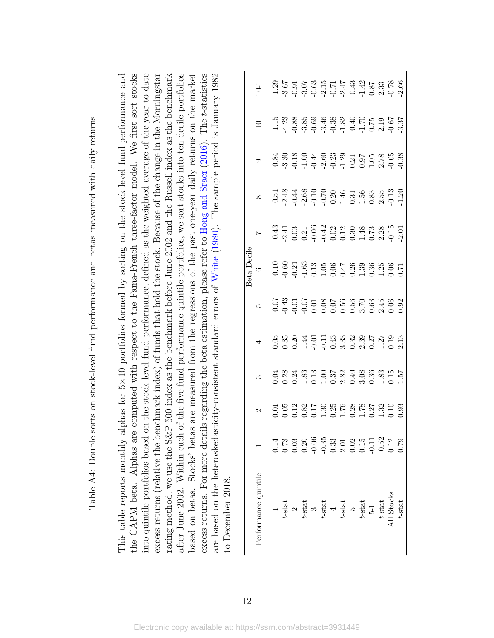<span id="page-65-0"></span>

| $\frac{1}{2}$<br>į<br>j<br>j                                                                                                       |
|------------------------------------------------------------------------------------------------------------------------------------|
| ֖֦֧֧֧֧֦֧֧֦֧֧ׅ֧֧֧֧֧֧֧ׅ֧֧֧֛֪֧֧֧֧֧֚֚֚֚֚֚֚֚֚֚֚֚֚֝֝֝֬֝֓֝֓֝֓֝֬֝֓֝֬֝֓֝֓֝֬֜֓֝֬֝֓֝֬֜֝֬֝֬֝֬<br>$-1 - 1 - 1$<br>֧֧֢֖֖֖֖֖֖֧֚֚֚֚֚֚֚֚֚֝ <u>֓</u> |
| \$<br>i<br>$\frac{1}{2}$<br>¢<br> <br> <br> <br> <br> <br>l<br>I<br>j                                                              |
| ֧֦֧֦֧֦֧֧֧֧֧ׅ֧֧֧֧֧֧֧֧֧֧֧֪֧֧֧֧֛֪ׅ֛֚֚֚֚֚֚֚֚֚֚֚֚֚֚֚֚֚֚֚֚֚֚֚֚֚֚֚֚֚֞֟֝֝֝֟֝֬֝֝֬֝֬֝֬֝֬֝֬֝֬֝֬֝֬֝֬֝֬֝֬֝֬֝֬֝֬֝֬֝֬֝֬֝֬֝֬֝֬֝֬֝֬֝֬               |
| $\frac{1}{2}$<br>1<br>$\ddot{\phantom{0}}$<br>ı<br>$\sim$ and $\sim$<br>ı<br>i<br>$\frac{1}{2}$<br>ı<br>l                          |
| $\frac{1}{2}$                                                                                                                      |
| ï                                                                                                                                  |
| $\frac{1}{2}$                                                                                                                      |
|                                                                                                                                    |
| َ م                                                                                                                                |
|                                                                                                                                    |
| it is control.                                                                                                                     |
| l<br>j                                                                                                                             |
| ו<br>ו                                                                                                                             |
|                                                                                                                                    |
| J<br>Ì<br>ļ                                                                                                                        |
| ł                                                                                                                                  |
| .<br>ו<br>į                                                                                                                        |
| I                                                                                                                                  |
| ֚֚֚֚֚֚֚֚֚֚֚֚֚֚֚֚֚֚֚֡֝<br>֧֖֚֚֚֚֚֚֚֚֚֚֚֚֝֝֝<br>֧֚֚֝<br>Į<br>\$                                                                      |
| $\overline{\phantom{a}}$<br>I                                                                                                      |

the CAPM beta. Alphas are computed with respect to the Fama-French three-factor model. We first sort stocks into quintile portfolios based on the stock-level fund-performance, defined as the weighted-average of the year-to-date excess returns. For more details regarding the beta estimation, please refer to Hong and Sraer (2016). The t-statistics excess returns (relative the benchmark index) of funds that hold the stock. Because of the change in the Morningstar rating method, we use the S&P 500 index as the benchmark before June 2002 and the Russell index as the benchmark after June 2002. Within each of the five fund-performance quintile portfolios, we sort stocks into ten decile portfolios based on betas. Stocks' betas are measured from the regressions of the past one-year daily returns on the market are based on the heteroskedasticity-consistent standard errors of White (1980). The sample period is January 1982 This table reports monthly alphas for  $5 \times 10$  portfolios formed by sorting on the stock-level fund-performance and ×10 portfolios formed by sorting on the stock-level fund-performance and excess returns (relative the benchmark index) of funds that hold the stock. Because of the change in the Morningstar rating method, we use the S&P 500 index as the benchmark before June 2002 and the Russell index as the benchmark excess returns. For more details regarding the beta estimation, please refer to [Hong](#page-37-1) and Sraer ([2016\)](#page-37-1). The t-statistics the CAPM beta. Alphas are computed with respect to the Fama-French three-factor model. We first sort stocks into quintile portfolios based on the stock-level fund-performance, defined as the weighted-average of the year-to-date after June 2002. Within each of the five fund-performance quintile portfolios, we sort stocks into ten decile portfolios based on betas. Stocks' betas are measured from the regressions of the past one-year daily returns on the market are based on the heteroskedasticity-consistent standard errors of [White](#page-38-0) [\(1980\)](#page-38-0). The sample period is January 1982 This table reports monthly alphas for 5 to December 2018. to December 2018.

|                                                                                                                                                  |                                                                        |                                                                                                     | Beta Decik |             |                                                                                                                                                                                                                                                                                                                    |             |                                                                                 |
|--------------------------------------------------------------------------------------------------------------------------------------------------|------------------------------------------------------------------------|-----------------------------------------------------------------------------------------------------|------------|-------------|--------------------------------------------------------------------------------------------------------------------------------------------------------------------------------------------------------------------------------------------------------------------------------------------------------------------|-------------|---------------------------------------------------------------------------------|
| Performance quintile                                                                                                                             |                                                                        |                                                                                                     | $\circ$    | $^{\infty}$ |                                                                                                                                                                                                                                                                                                                    | $\supseteq$ | $-1$                                                                            |
|                                                                                                                                                  |                                                                        |                                                                                                     |            |             |                                                                                                                                                                                                                                                                                                                    |             | 있습니다 30 명령 대학교 30 명령<br>  사항 이 대학교 대학교 30 명령 30 명령<br>  사항 이 사이 시 시 시 시 시 시 시 시 |
|                                                                                                                                                  |                                                                        |                                                                                                     |            |             |                                                                                                                                                                                                                                                                                                                    |             |                                                                                 |
|                                                                                                                                                  |                                                                        |                                                                                                     |            |             |                                                                                                                                                                                                                                                                                                                    |             |                                                                                 |
| 1<br>$t$ -stat<br>$t$ -stat<br>$t$ -stat<br>$t$ -stat<br>$t$ -stat<br>$t$ -stat<br>$t$ -stat<br>$t$ -stat<br>$t$ -stat<br>$t$ -stat<br>$t$ -stat | s<br>Sun Sun Sun Sun Sun<br>Sun Sun Sun Sun Sun<br>Sun Sun Sun Sun Sun | 9 3 3 4 5 1 4 5 3 9 9 5 7 5 9 7<br>0 0 0 0 1 9 9 0 9 9 9 9 9 7 9 9<br>0 0 0 1 9 9 0 9 9 9 9 9 1 0 9 |            |             | $\begin{array}{cccccc}\n 3 & 3 & 3 & 2 & 3 & 4 & 6 & 7 & 7 & 8 & 7 & 7 & 8 & 7 & 8 & 7 & 8 & 7 & 8 & 7 & 8 & 7 & 8 & 7 & 8 & 7 & 8 & 7 & 8 & 7 & 8 & 7 & 8 & 7 & 8 & 7 & 8 & 7 & 8 & 7 & 8 & 7 & 8 & 7 & 8 & 7 & 8 & 7 & 8 & 7 & 8 & 7 & 8 & 7 & 8 & 7 & 8 & 7 & 8 & 7 & 8 & 7 & 8 & 7 & 8 & 7 & 8 & 7 & 8 & 7 & $ |             |                                                                                 |
|                                                                                                                                                  |                                                                        |                                                                                                     |            |             |                                                                                                                                                                                                                                                                                                                    |             |                                                                                 |
|                                                                                                                                                  |                                                                        |                                                                                                     |            |             |                                                                                                                                                                                                                                                                                                                    |             |                                                                                 |
|                                                                                                                                                  |                                                                        |                                                                                                     |            |             |                                                                                                                                                                                                                                                                                                                    |             |                                                                                 |
|                                                                                                                                                  |                                                                        |                                                                                                     |            |             |                                                                                                                                                                                                                                                                                                                    |             |                                                                                 |
|                                                                                                                                                  |                                                                        |                                                                                                     |            |             |                                                                                                                                                                                                                                                                                                                    |             |                                                                                 |
|                                                                                                                                                  |                                                                        |                                                                                                     |            |             |                                                                                                                                                                                                                                                                                                                    |             |                                                                                 |
|                                                                                                                                                  |                                                                        |                                                                                                     |            |             |                                                                                                                                                                                                                                                                                                                    |             |                                                                                 |
|                                                                                                                                                  |                                                                        |                                                                                                     |            |             |                                                                                                                                                                                                                                                                                                                    |             |                                                                                 |
|                                                                                                                                                  |                                                                        |                                                                                                     |            |             |                                                                                                                                                                                                                                                                                                                    |             |                                                                                 |
| $t$ -stat                                                                                                                                        |                                                                        |                                                                                                     |            |             |                                                                                                                                                                                                                                                                                                                    |             |                                                                                 |
|                                                                                                                                                  |                                                                        |                                                                                                     |            |             |                                                                                                                                                                                                                                                                                                                    |             |                                                                                 |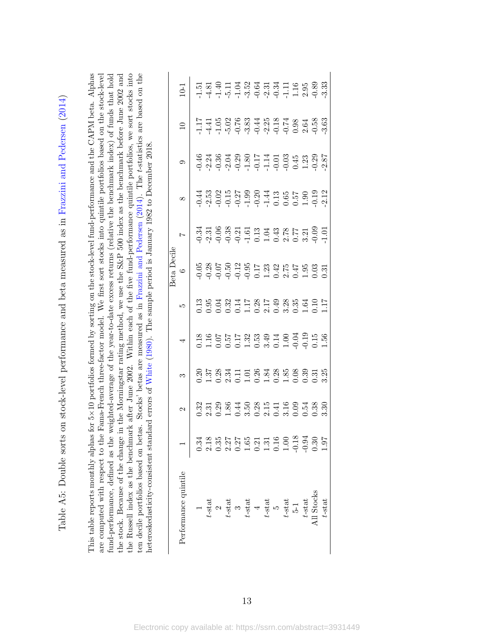<span id="page-66-0"></span>

| Lable A5: Double sorts on stock-level performance and beta measured as in Frazzini and Pedersen (2014) | as for $5 \times 10$ portfolios formed by sorting on the stock-level fund-performance and the CAPM beta. Alphas<br>This table reports monthly alphas | are computed with respect to the Fama-French three-factor model. We first sort stocks into quintile portfolios based on the stock-level |
|--------------------------------------------------------------------------------------------------------|------------------------------------------------------------------------------------------------------------------------------------------------------|-----------------------------------------------------------------------------------------------------------------------------------------|
|                                                                                                        |                                                                                                                                                      |                                                                                                                                         |

| for $5\times10$ portfolios formed by sorting on the stock-level fund-performance and the CAPM beta. Alphas | Fama-French three-factor model. We first sort stocks into quintile portfolios based on the stock-level | iund-performance, defined as the weighted-average of the year-to-date excess returns (relative the benchmark index) of funds that hold | the stock. Because of the change in the Morningstar rating method, we use the S&P 500 index as the benchmark before June 2002 and | the Russell index as the benchmark after June 2002. Within each of the five fund-performance quintile portfolios, we sort stocks into | ten decile portfolios based on betas. Stocks' betas are measured as in Frazzini and Pedersen (2014). The t-statistics are based on the | heteroskedasticity-consistent standard errors of White (1980). The sample period is January 1982 to December 2018. |
|------------------------------------------------------------------------------------------------------------|--------------------------------------------------------------------------------------------------------|----------------------------------------------------------------------------------------------------------------------------------------|-----------------------------------------------------------------------------------------------------------------------------------|---------------------------------------------------------------------------------------------------------------------------------------|----------------------------------------------------------------------------------------------------------------------------------------|--------------------------------------------------------------------------------------------------------------------|
| This table reports monthly alphas                                                                          | are computed with respect to the                                                                       |                                                                                                                                        |                                                                                                                                   |                                                                                                                                       |                                                                                                                                        |                                                                                                                    |

| Performance quintile                                                                                                                                     |                                                                         | S | 4                                                                                                 |                                                                                                             | $\circ$ |  |                                                                                  | $\overline{10}$ | $10-1$                                                                |
|----------------------------------------------------------------------------------------------------------------------------------------------------------|-------------------------------------------------------------------------|---|---------------------------------------------------------------------------------------------------|-------------------------------------------------------------------------------------------------------------|---------|--|----------------------------------------------------------------------------------|-----------------|-----------------------------------------------------------------------|
|                                                                                                                                                          |                                                                         |   |                                                                                                   |                                                                                                             |         |  |                                                                                  |                 |                                                                       |
|                                                                                                                                                          |                                                                         |   |                                                                                                   |                                                                                                             |         |  |                                                                                  |                 |                                                                       |
|                                                                                                                                                          |                                                                         |   |                                                                                                   |                                                                                                             |         |  |                                                                                  |                 |                                                                       |
|                                                                                                                                                          |                                                                         |   |                                                                                                   |                                                                                                             |         |  |                                                                                  |                 |                                                                       |
|                                                                                                                                                          |                                                                         |   |                                                                                                   |                                                                                                             |         |  |                                                                                  |                 |                                                                       |
|                                                                                                                                                          |                                                                         |   |                                                                                                   |                                                                                                             |         |  |                                                                                  |                 |                                                                       |
|                                                                                                                                                          |                                                                         |   |                                                                                                   |                                                                                                             |         |  |                                                                                  |                 |                                                                       |
| $t$ -stat<br>$t$ -stat<br>$t$ -stat<br>$t$ -stat<br>$t$ -stat<br>$t$ -stat<br>$t$ -stat<br>$t$ -stat<br>$t$ -stat<br>$t$ -stat<br>$t$ -stat<br>$t$ -stat | 3<br>3 5 3 9 4 5 8 9 5 4 5 6 5 7 8 9<br>0 3 0 1 0 3 0 3 0 3 0 5 0 5 7 3 |   | 8 8 9 5 5 5 8 9 9 9 9 9 9 9 9<br>0 1 1 0 0 0 1 9 9 9 9 9 9 9 9 9 9<br>0 1 0 0 0 1 0 9 0 1 9 0 0 1 | 3 9 9 9 9 1 5 9 5 9 9 9 9 9 1 5<br>0 0 0 0 0 0 1 0 9 9 9 9 9 9 9 1 0 1<br>0 0 0 0 0 1 0 9 9 9 9 9 9 9 1 0 1 |         |  | 49 31 32 32 53 53 54 55 55<br>9 31 32 32 54 55 56 57 57<br>9 31 9 52 53 53 54 55 |                 |                                                                       |
|                                                                                                                                                          |                                                                         |   |                                                                                                   |                                                                                                             |         |  |                                                                                  |                 |                                                                       |
|                                                                                                                                                          |                                                                         |   |                                                                                                   |                                                                                                             |         |  |                                                                                  |                 |                                                                       |
|                                                                                                                                                          |                                                                         |   |                                                                                                   |                                                                                                             |         |  |                                                                                  |                 |                                                                       |
|                                                                                                                                                          |                                                                         |   |                                                                                                   |                                                                                                             |         |  |                                                                                  |                 |                                                                       |
|                                                                                                                                                          |                                                                         |   |                                                                                                   |                                                                                                             |         |  |                                                                                  |                 |                                                                       |
| $t$ -stat                                                                                                                                                |                                                                         |   |                                                                                                   |                                                                                                             |         |  |                                                                                  |                 | 5<br>5 8 9 7 7 8 8 8 9 9 7 7 9 9 8 9 9<br>7 7 7 9 7 9 9 9 9 7 8 9 9 9 |
|                                                                                                                                                          |                                                                         |   |                                                                                                   |                                                                                                             |         |  |                                                                                  |                 |                                                                       |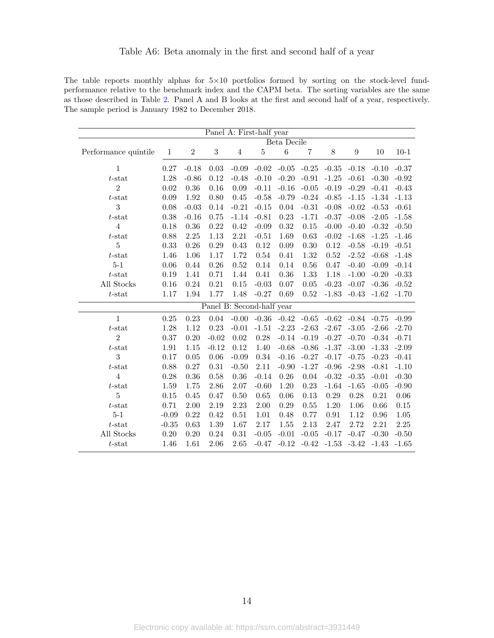## Table A6: Beta anomaly in the first and second half of a year

<span id="page-67-0"></span>The table reports monthly alphas for  $5\times10$  portfolios formed by sorting on the stock-level fundperformance relative to the benchmark index and the CAPM beta. The sorting variables are the same as those described in Table [2.](#page-44-0) Panel A and B looks at the first and second half of a year, respectively. The sample period is January 1982 to December 2018.

|                      |              |         |            | Panel A: First-half year  |         |             |                |         |                  |         |                |
|----------------------|--------------|---------|------------|---------------------------|---------|-------------|----------------|---------|------------------|---------|----------------|
|                      |              |         |            |                           |         | Beta Decile |                |         |                  |         |                |
| Performance quintile | $\mathbf{1}$ | $\,2$   | $\sqrt{3}$ | $\overline{4}$            | $\bf 5$ | $\,6\,$     | $\overline{7}$ | $8\,$   | $\boldsymbol{9}$ | 10      | $10-1$         |
| 1                    | 0.27         | $-0.18$ | 0.03       | $-0.09$                   | $-0.02$ | $-0.05$     | $-0.25$        | $-0.35$ | $-0.18$          | $-0.10$ | $-0.37$        |
| $t$ -stat            | 1.28         | $-0.86$ | 0.12       | $-0.48$                   | $-0.10$ | $-0.20$     | $-0.91$        | $-1.25$ | $-0.61$          | $-0.30$ | $-0.92$        |
| $\overline{2}$       | $0.02\,$     | 0.36    | 0.16       | 0.09                      | $-0.11$ | $-0.16$     | $-0.05$        | $-0.19$ | $-0.29$          | $-0.41$ | $-0.43$        |
| $t$ -stat            | 0.09         | 1.92    | 0.80       | 0.45                      | $-0.58$ | $-0.79$     | $-0.24$        | $-0.85$ | $-1.15$          | $-1.34$ | $\mbox{-}1.13$ |
| 3                    | 0.08         | $-0.03$ | 0.14       | $-0.21$                   | $-0.15$ | $0.04\,$    | $-0.31$        | $-0.08$ | $-0.02$          | $-0.53$ | $-0.61$        |
| $t$ -stat            | 0.38         | $-0.16$ | 0.75       | $-1.14$                   | $-0.81$ | 0.23        | $-1.71$        | $-0.37$ | $-0.08$          | $-2.05$ | $-1.58$        |
| $\overline{4}$       | 0.18         | 0.36    | 0.22       | 0.42                      | $-0.09$ | 0.32        | 0.15           | $-0.00$ | $-0.40$          | $-0.32$ | $-0.50$        |
| $t$ -stat            | 0.88         | 2.25    | 1.13       | 2.21                      | $-0.51$ | 1.69        | 0.63           | $-0.02$ | $-1.68$          | $-1.25$ | $-1.46$        |
| $\bf 5$              | 0.33         | 0.26    | 0.29       | 0.43                      | 0.12    | 0.09        | 0.30           | 0.12    | $-0.58$          | $-0.19$ | $-0.51$        |
| $t$ -stat            | 1.46         | 1.06    | 1.17       | 1.72                      | 0.54    | 0.41        | 1.32           | 0.52    | $-2.52$          | $-0.68$ | $-1.48$        |
| $5-1$                | $0.06\,$     | 0.44    | $0.26\,$   | 0.52                      | 0.14    | 0.14        | 0.56           | 0.47    | $-0.40$          | $-0.09$ | $-0.14$        |
| $t$ -stat            | 0.19         | 1.41    | 0.71       | 1.44                      | 0.41    | 0.36        | 1.33           | 1.18    | $-1.00$          | $-0.20$ | $-0.33$        |
| All Stocks           | $0.16\,$     | 0.24    | $\rm 0.21$ | 0.15                      | $-0.03$ | 0.07        | 0.05           | $-0.23$ | $-0.07$          | $-0.36$ | $-0.52$        |
| $t$ -stat            | 1.17         | 1.94    | 1.77       | 1.48                      | $-0.27$ | 0.69        | 0.52           | $-1.83$ | $-0.43$          | $-1.62$ | $-1.70$        |
|                      |              |         |            | Panel B: Second-half year |         |             |                |         |                  |         |                |
| $\overline{1}$       | $0.25\,$     | 0.23    | 0.04       | $-0.00$                   | $-0.36$ | $-0.42$     | $-0.65$        | $-0.62$ | $-0.84$          | $-0.75$ | $-0.99$        |
| $t$ -stat            | 1.28         | 1.12    | 0.23       | $-0.01$                   | $-1.51$ | $-2.23$     | $-2.63$        | $-2.67$ | $-3.05$          | $-2.66$ | $-2.70$        |
| $\overline{2}$       | 0.37         | 0.20    | $-0.02$    | $0.02\,$                  | 0.28    | $-0.14$     | $-0.19$        | $-0.27$ | $-0.70$          | $-0.34$ | $-0.71$        |
| $t$ -stat            | 1.91         | 1.15    | $-0.12$    | 0.12                      | 1.40    | $-0.68$     | $-0.86$        | $-1.37$ | $-3.00$          | $-1.33$ | $-2.09$        |
| 3                    | 0.17         | 0.05    | $0.06\,$   | $-0.09$                   | 0.34    | $-0.16$     | $-0.27$        | $-0.17$ | $-0.75$          | $-0.23$ | $-0.41$        |
| $t$ -stat            | 0.88         | 0.27    | $\rm 0.31$ | $-0.50$                   | 2.11    | $-0.90$     | $-1.27$        | $-0.96$ | $-2.98$          | $-0.81$ | $-1.10$        |
| $\overline{4}$       | 0.28         | 0.36    | $0.58\,$   | 0.36                      | $-0.14$ | 0.26        | 0.04           | $-0.32$ | $-0.35$          | $-0.01$ | $-0.30$        |
| $t$ -stat            | 1.59         | 1.75    | 2.86       | $2.07\,$                  | $-0.60$ | $1.20\,$    | 0.23           | $-1.64$ | $-1.65$          | $-0.05$ | $-0.90$        |
| 5                    | 0.15         | 0.45    | 0.47       | 0.50                      | 0.65    | 0.06        | 0.13           | 0.29    | 0.28             | 0.21    | 0.06           |
| $t$ -stat            | 0.71         | 2.00    | 2.19       | 2.23                      | 2.00    | 0.29        | 0.55           | 1.20    | 1.06             | 0.66    | 0.15           |
| $5 - 1$              | $-0.09$      | 0.22    | $0.42\,$   | 0.51                      | 1.01    | 0.48        | 0.77           | 0.91    | 1.12             | 0.96    | 1.05           |
| $t$ -stat            | $-0.35$      | 0.63    | 1.39       | 1.67                      | 2.17    | 1.55        | 2.13           | 2.47    | 2.72             | 2.21    | 2.25           |
| All Stocks           | $0.20\,$     | 0.20    | 0.24       | 0.31                      | $-0.05$ | $-0.01$     | $-0.05$        | $-0.17$ | $-0.47$          | $-0.30$ | $-0.50$        |
| $t$ -stat            | 1.46         | 1.61    | 2.06       | 2.65                      | $-0.47$ | $-0.12$     | $-0.42$        | $-1.53$ | $-3.42$          | $-1.43$ | $-1.65$        |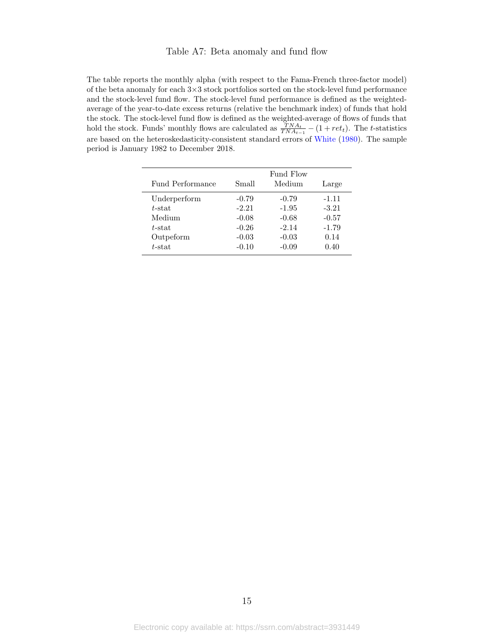#### Table A7: Beta anomaly and fund flow

<span id="page-68-0"></span>The table reports the monthly alpha (with respect to the Fama-French three-factor model) of the beta anomaly for each 3×3 stock portfolios sorted on the stock-level fund performance and the stock-level fund flow. The stock-level fund performance is defined as the weightedaverage of the year-to-date excess returns (relative the benchmark index) of funds that hold the stock. The stock-level fund flow is defined as the weighted-average of flows of funds that hold the stock. Funds' monthly flows are calculated as  $\frac{TNA_t}{TNA_{t-1}} - (1 + ret_t)$ . The t-statistics are based on the heteroskedasticity-consistent standard errors of [White](#page-38-0) [\(1980\)](#page-38-0). The sample period is January 1982 to December 2018.

 $\overline{a}$ 

| Fund Performance | Small   | Fund Flow<br>Medium | Large   |
|------------------|---------|---------------------|---------|
| Underperform     | $-0.79$ | $-0.79$             | $-1.11$ |
| $t$ -stat        | $-2.21$ | $-1.95$             | $-3.21$ |
| Medium           | $-0.08$ | $-0.68$             | $-0.57$ |
| $t$ -stat        | $-0.26$ | $-2.14$             | $-1.79$ |
| Outpeform        | $-0.03$ | $-0.03$             | 0.14    |
| $t$ -stat        | $-0.10$ | $-0.09$             | 0.40    |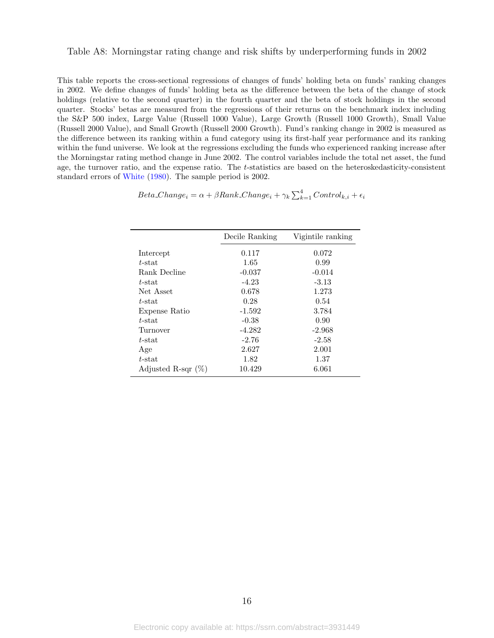#### <span id="page-69-0"></span>Table A8: Morningstar rating change and risk shifts by underperforming funds in 2002

This table reports the cross-sectional regressions of changes of funds' holding beta on funds' ranking changes in 2002. We define changes of funds' holding beta as the difference between the beta of the change of stock holdings (relative to the second quarter) in the fourth quarter and the beta of stock holdings in the second quarter. Stocks' betas are measured from the regressions of their returns on the benchmark index including the S&P 500 index, Large Value (Russell 1000 Value), Large Growth (Russell 1000 Growth), Small Value (Russell 2000 Value), and Small Growth (Russell 2000 Growth). Fund's ranking change in 2002 is measured as the difference between its ranking within a fund category using its first-half year performance and its ranking within the fund universe. We look at the regressions excluding the funds who experienced ranking increase after the Morningstar rating method change in June 2002. The control variables include the total net asset, the fund age, the turnover ratio, and the expense ratio. The t-statistics are based on the heteroskedasticity-consistent standard errors of [White](#page-38-0) [\(1980\)](#page-38-0). The sample period is 2002.

 $Beta\_Change_i = \alpha + \beta Rank\_Change_i + \gamma_k \sum_{k=1}^{4} Control_{k,i} + \epsilon_i$ 

|                       | Decile Ranking | Vigintile ranking |  |  |
|-----------------------|----------------|-------------------|--|--|
| Intercept             | 0.117          | 0.072             |  |  |
| $t$ -stat             | 1.65           | 0.99              |  |  |
| Rank Decline          | $-0.037$       | $-0.014$          |  |  |
| t-stat                | $-4.23$        | $-3.13$           |  |  |
| Net Asset             | 0.678          | 1.273             |  |  |
| $t$ -stat             | 0.28           | 0.54              |  |  |
| Expense Ratio         | $-1.592$       | 3.784             |  |  |
| $t$ -stat             | $-0.38$        | 0.90              |  |  |
| Turnover              | $-4.282$       | $-2.968$          |  |  |
| $t$ -stat             | $-2.76$        | $-2.58$           |  |  |
| Age                   | 2.627          | 2.001             |  |  |
| $t$ -stat             | 1.82           | 1.37              |  |  |
| Adjusted R-sqr $(\%)$ | 10.429         | 6.061             |  |  |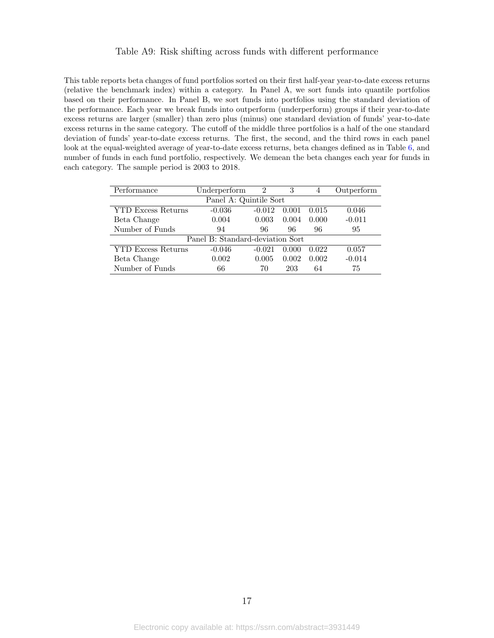#### Table A9: Risk shifting across funds with different performance

<span id="page-70-0"></span>This table reports beta changes of fund portfolios sorted on their first half-year year-to-date excess returns (relative the benchmark index) within a category. In Panel A, we sort funds into quantile portfolios based on their performance. In Panel B, we sort funds into portfolios using the standard deviation of the performance. Each year we break funds into outperform (underperform) groups if their year-to-date excess returns are larger (smaller) than zero plus (minus) one standard deviation of funds' year-to-date excess returns in the same category. The cutoff of the middle three portfolios is a half of the one standard deviation of funds' year-to-date excess returns. The first, the second, and the third rows in each panel look at the equal-weighted average of year-to-date excess returns, beta changes defined as in Table [6,](#page-48-0) and number of funds in each fund portfolio, respectively. We demean the beta changes each year for funds in each category. The sample period is 2003 to 2018.

| Performance                      | Underperform | 2        | 3     | 4     | Outperform |  |
|----------------------------------|--------------|----------|-------|-------|------------|--|
| Panel A: Quintile Sort           |              |          |       |       |            |  |
| <b>YTD Excess Returns</b>        | $-0.036$     | $-0.012$ | 0.001 | 0.015 | 0.046      |  |
| Beta Change                      | 0.004        | 0.003    | 0.004 | 0.000 | $-0.011$   |  |
| Number of Funds                  | 94           | 96       | 96    | 96    | 95         |  |
| Panel B: Standard-deviation Sort |              |          |       |       |            |  |
| <b>YTD Excess Returns</b>        | $-0.046$     | $-0.021$ | 0.000 | 0.022 | 0.057      |  |
| Beta Change                      | 0.002        | 0.005    | 0.002 | 0.002 | $-0.014$   |  |
| Number of Funds                  | 66           | 70       | 203   | 64    | 75         |  |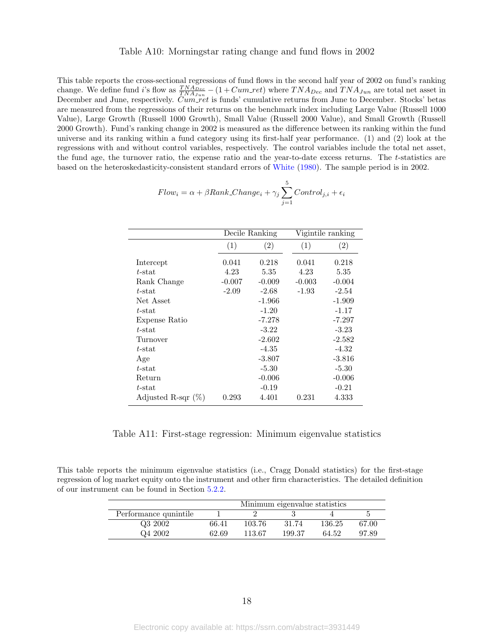#### Table A10: Morningstar rating change and fund flows in 2002

<span id="page-71-0"></span>This table reports the cross-sectional regressions of fund flows in the second half year of 2002 on fund's ranking change. We define fund i's flow as  $\frac{TNA_{Dec}}{TNA_{Jun}} - (1 + Cum\_ret)$  where  $TNA_{Dec}$  and  $TNA_{Jun}$  are total net asset in December and June, respectively. Cum ret is funds' cumulative returns from June to December. Stocks' betas are measured from the regressions of their returns on the benchmark index including Large Value (Russell 1000 Value), Large Growth (Russell 1000 Growth), Small Value (Russell 2000 Value), and Small Growth (Russell 2000 Growth). Fund's ranking change in 2002 is measured as the difference between its ranking within the fund universe and its ranking within a fund category using its first-half year performance. (1) and (2) look at the regressions with and without control variables, respectively. The control variables include the total net asset, the fund age, the turnover ratio, the expense ratio and the year-to-date excess returns. The t-statistics are based on the heteroskedasticity-consistent standard errors of [White](#page-38-0) [\(1980\)](#page-38-0). The sample period is in 2002.

|               |          | Decile Ranking |          | Vigintile ranking |
|---------------|----------|----------------|----------|-------------------|
|               | (1)      | (2)            | (1)      | $\left( 2\right)$ |
| Intercept     | 0.041    | 0.218          | 0.041    | 0.218             |
| $t$ -stat     | 4.23     | 5.35           | 4.23     | 5.35              |
| Rank Change   | $-0.007$ | $-0.009$       | $-0.003$ | $-0.004$          |
| $t$ -stat     | $-2.09$  | $-2.68$        | $-1.93$  | $-2.54$           |
| Net Asset     |          | $-1.966$       |          | $-1.909$          |
| $t$ -stat     |          | $-1.20$        |          | $-1.17$           |
| Expense Ratio |          | $-7.278$       |          | $-7.297$          |
| $t$ -stat     |          | $-3.22$        |          | $-3.23$           |
| Turnover      |          | $-2.602$       |          | $-2.582$          |
| $t$ -stat     |          | -4.35          |          | $-4.32$           |
| Age           |          | -3.807         |          | $-3.816$          |
| $t$ -stat     |          | -5.30          |          | $-5.30$           |
| Return        |          | $-0.006$       |          | $-0.006$          |

 $\overline{a}$ 

$$
Flow_i = \alpha + \beta Rank\_Change_i + \gamma_j \sum_{j=1}^{5} Control_{j,i} + \epsilon_i
$$

Table A11: First-stage regression: Minimum eigenvalue statistics

 $t$ -stat  $-0.19$   $-0.21$ Adjusted R-sqr (%) 0.293 4.401 0.231 4.333

This table reports the minimum eigenvalue statistics (i.e., Cragg Donald statistics) for the first-stage regression of log market equity onto the instrument and other firm characteristics. The detailed definition of our instrument can be found in Section [5.2.2.](#page-23-0)

|                      | Minimum eigenvalue statistics |        |        |        |       |
|----------------------|-------------------------------|--------|--------|--------|-------|
| Performance quintile |                               |        |        |        |       |
| Q3 2002              | 66.41                         | 103.76 | 31.74  | 136.25 | 67.00 |
| Q4 2002              | 62.69                         | 113.67 | 199.37 | 64.52  | 97.89 |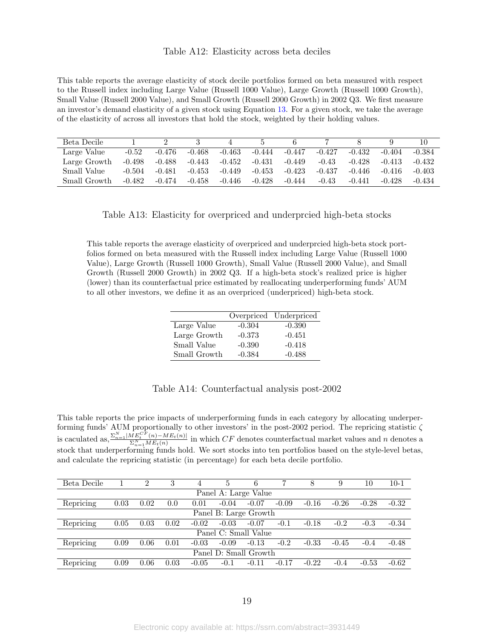## Table A12: Elasticity across beta deciles

This table reports the average elasticity of stock decile portfolios formed on beta measured with respect to the Russell index including Large Value (Russell 1000 Value), Large Growth (Russell 1000 Growth), Small Value (Russell 2000 Value), and Small Growth (Russell 2000 Growth) in 2002 Q3. We first measure an investor's demand elasticity of a given stock using Equation [13.](#page-26-0) For a given stock, we take the average of the elasticity of across all investors that hold the stock, weighted by their holding values.

| Beta Decile  |          |          |          |          |          |          |          |          |          |          |
|--------------|----------|----------|----------|----------|----------|----------|----------|----------|----------|----------|
| Large Value  | $-0.52$  | $-0.476$ | $-0.468$ | $-0.463$ | $-0.444$ | $-0.447$ | $-0.427$ | $-0.432$ | $-0.404$ | $-0.384$ |
| Large Growth | $-0.498$ | $-0.488$ | $-0.443$ | $-0.452$ | $-0.431$ | $-0.449$ | $-0.43$  | $-0.428$ | $-0.413$ | $-0.432$ |
| Small Value  | $-0.504$ | $-0.481$ | $-0.453$ | $-0.449$ | $-0.453$ | $-0.423$ | $-0.437$ | $-0.446$ | $-0.416$ | $-0.403$ |
| Small Growth | $-0.482$ | $-0.474$ | $-0.458$ | $-0.446$ | $-0.428$ | $-0.444$ | -0.43    | $-0.441$ | $-0.428$ | $-0.434$ |

Table A13: Elasticity for overpriced and underprcied high-beta stocks

This table reports the average elasticity of overpriced and underprcied high-beta stock portfolios formed on beta measured with the Russell index including Large Value (Russell 1000 Value), Large Growth (Russell 1000 Growth), Small Value (Russell 2000 Value), and Small Growth (Russell 2000 Growth) in 2002 Q3. If a high-beta stock's realized price is higher (lower) than its counterfactual price estimated by reallocating underperforming funds' AUM to all other investors, we define it as an overpriced (underpriced) high-beta stock.

|              |          | Overpriced Underpriced |
|--------------|----------|------------------------|
| Large Value  | $-0.304$ | $-0.390$               |
| Large Growth | $-0.373$ | $-0.451$               |
| Small Value  | $-0.390$ | $-0.418$               |
| Small Growth | $-0.384$ | $-0.488$               |

## Table A14: Counterfactual analysis post-2002

This table reports the price impacts of underperforming funds in each category by allocating underperforming funds' AUM proportionally to other investors' in the post-2002 period. The repricing statistic  $\zeta$ is caculated as,  $\frac{\sum_{n=1}^{N}|ME_t^{CF}(n) - ME_t(n)|}{\sum_{n=1}^{N}|ME_t(n)|}$  $\frac{W E_t}{\Sigma_{n=1}^N M E_t(n)}$  in which CF denotes counterfactual market values and n denotes a stock that underperforming funds hold. We sort stocks into ten portfolios based on the style-level betas, and calculate the repricing statistic (in percentage) for each beta decile portfolio.

| Beta Decile |      | $\overline{2}$ | 3    | 4       | 5       | 6                     |         |         | 9       | 10      | $10-1$  |
|-------------|------|----------------|------|---------|---------|-----------------------|---------|---------|---------|---------|---------|
|             |      |                |      |         |         | Panel A: Large Value  |         |         |         |         |         |
| Repricing   | 0.03 | 0.02           | 0.0  | 0.01    | $-0.04$ | $-0.07$               | $-0.09$ | $-0.16$ | $-0.26$ | $-0.28$ | $-0.32$ |
|             |      |                |      |         |         | Panel B: Large Growth |         |         |         |         |         |
| Repricing   | 0.05 | 0.03           | 0.02 | $-0.02$ | $-0.03$ | $-0.07$               | $-0.1$  | $-0.18$ | $-0.2$  | $-0.3$  | $-0.34$ |
|             |      |                |      |         |         | Panel C: Small Value  |         |         |         |         |         |
| Repricing   | 0.09 | 0.06           | 0.01 | $-0.03$ | $-0.09$ | $-0.13$               | $-0.2$  | $-0.33$ | $-0.45$ | $-0.4$  | $-0.48$ |
|             |      |                |      |         |         | Panel D: Small Growth |         |         |         |         |         |
| Repricing   | 0.09 | 0.06           | 0.03 | $-0.05$ | $-0.1$  | $-0.11$               | $-0.17$ | $-0.22$ | $-0.4$  | $-0.53$ | $-0.62$ |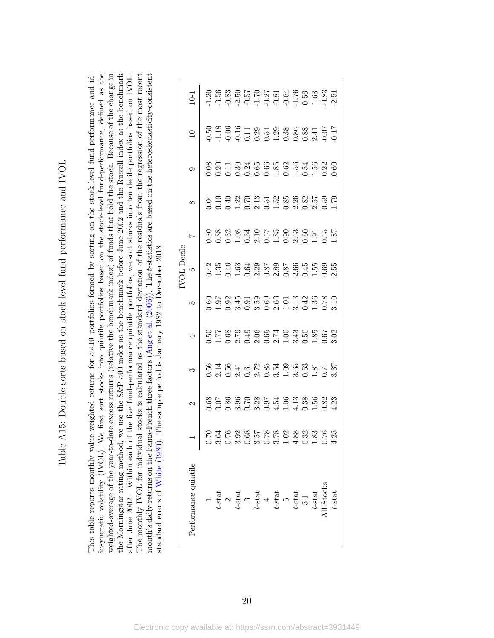Table A15: Double sorts based on stock-level fund performance and IVOL Table A15: Double sorts based on stock-level fund performance and IVOL

iosyncratic volatility (IVOL). We first sort stocks into quintile portfolios based on the stock-level fund-performance, defined as the weighted-average of the year-to-date excess returns (relative the benchmark index) of funds that hold the stock. Because of the change in the Morningstar rating method, we use the S&P 500 index as the benchmark before June 2002 and the Russell index as the benchmark This table reports monthly value-weighted returns for 5×10 portfolios formed by sorting on the stock-level fund-performance and id-The monthly IVOL for individual stocks is calculated as the standard deviation of the residuals from the regression of the most recent month's daily returns on the Fama-French three factors (Ang et al.  $(2006)$ ). The *t*-statistics are based on the heteroskedasticity-consistent the Morningstar rating method, we use the S&P 500 index as the benchmark before June 2002 and the Russell index as the benchmark after June 2002. Within each of the five fund-performance quintile portfolios, we sort stocks into ten decile portfolios based on IVOL. ×10 portfolios formed by sorting on the stock-level fund-performance and idiosyncratic volatility (IVOL). We first sort stocks into quintile portfolios based on the stock-level fund-performance, defined as the weighted-average of the year-to-date excess returns (relative the benchmark index) of funds that hold the stock. Because of the change in after June 2002 . Within each of the five fund-performance quintile portfolios, we sort stocks into ten decile portfolios based on IVOL. The monthly IVOL for individual stocks is calculated as the standard deviation of the residuals from the regression of the most recent month's daily returns on the Fama-French three factors [\(Ang](#page-35-0) et al. ([2006\)](#page-35-0)). The t-statistics are based on the heteroskedasticity-consistent standard errors of White (1980). The sample period is January 1982 to December 2018. standard errors of [White](#page-38-0) [\(1980\)](#page-38-0). The sample period is January 1982 to December 2018. This table reports monthly value-weighted returns for 5

| Performance quintile                                                                                                                             |  |                                                                                       |                                                                                             |                                             | $\overline{a}$                                                           |                                                                  |                   |                                                                                                                                                                                                                                                                                                             | $10-1$ |
|--------------------------------------------------------------------------------------------------------------------------------------------------|--|---------------------------------------------------------------------------------------|---------------------------------------------------------------------------------------------|---------------------------------------------|--------------------------------------------------------------------------|------------------------------------------------------------------|-------------------|-------------------------------------------------------------------------------------------------------------------------------------------------------------------------------------------------------------------------------------------------------------------------------------------------------------|--------|
|                                                                                                                                                  |  |                                                                                       |                                                                                             |                                             |                                                                          |                                                                  |                   |                                                                                                                                                                                                                                                                                                             |        |
|                                                                                                                                                  |  |                                                                                       |                                                                                             |                                             |                                                                          |                                                                  |                   |                                                                                                                                                                                                                                                                                                             |        |
|                                                                                                                                                  |  |                                                                                       |                                                                                             |                                             |                                                                          |                                                                  |                   |                                                                                                                                                                                                                                                                                                             |        |
|                                                                                                                                                  |  |                                                                                       |                                                                                             |                                             |                                                                          |                                                                  |                   |                                                                                                                                                                                                                                                                                                             |        |
|                                                                                                                                                  |  |                                                                                       |                                                                                             |                                             |                                                                          |                                                                  |                   |                                                                                                                                                                                                                                                                                                             |        |
|                                                                                                                                                  |  |                                                                                       |                                                                                             |                                             |                                                                          |                                                                  |                   |                                                                                                                                                                                                                                                                                                             |        |
| 1<br>$t$ -stat<br>$t$ -stat<br>$t$ -stat<br>$t$ -stat<br>$t$ -stat<br>$t$ -stat<br>$t$ -stat<br>$t$ -stat<br>$t$ -stat<br>$t$ -stat<br>$t$ -stat |  | st en se en 10 sens en 20<br>St en se en 10 sens en 20<br>St en sens en 10 sens en 20 | e b a m a m e e e d a m e e e<br>o d e e e e e e e d a m e e e<br>o d o m o m d d d d d d m | ひまいのはのでのでのはあのではあるのは、それはあると思います。 こうさんさん こうこう | 8 8 8 8 8 9 9 9 5 5 6 9 6 9 6 7 8 7<br>0 0 0 0 1 0 1 0 1 0 1 0 1 0 1 0 1 | d D Q 3 C 3 5 5 8 8 8 8 5 5 6 7<br>O O O H O M O H O M O M O H O | 88917878888875838 | $\begin{array}{cccc}\n 50 & 8 & 8 & 8 & 8 & 4 & 15 & 17 \\  71 & 30 & 31 & 51 & 51 & 51 & 51 & 51 \\  71 & 31 & 32 & 51 & 51 & 51 & 51 & 51 & 51 \\  71 & 31 & 32 & 33 & 51 & 52 & 53 & 51 & 51 & 51 \\  71 & 31 & 32 & 33 & 53 & 53 & 53 & 51 & 51 & 51 \\  71 & 33 & 34 & 35 & 36 & 53 & 51 & 51 & 51 & $ |        |
|                                                                                                                                                  |  |                                                                                       |                                                                                             |                                             |                                                                          |                                                                  |                   |                                                                                                                                                                                                                                                                                                             |        |
|                                                                                                                                                  |  |                                                                                       |                                                                                             |                                             |                                                                          |                                                                  |                   |                                                                                                                                                                                                                                                                                                             |        |
|                                                                                                                                                  |  |                                                                                       |                                                                                             |                                             |                                                                          |                                                                  |                   |                                                                                                                                                                                                                                                                                                             |        |
|                                                                                                                                                  |  |                                                                                       |                                                                                             |                                             |                                                                          |                                                                  |                   |                                                                                                                                                                                                                                                                                                             |        |
|                                                                                                                                                  |  |                                                                                       |                                                                                             |                                             |                                                                          |                                                                  |                   |                                                                                                                                                                                                                                                                                                             |        |
|                                                                                                                                                  |  |                                                                                       |                                                                                             |                                             |                                                                          |                                                                  |                   |                                                                                                                                                                                                                                                                                                             |        |
| $t$ -stat                                                                                                                                        |  |                                                                                       |                                                                                             |                                             |                                                                          |                                                                  |                   |                                                                                                                                                                                                                                                                                                             |        |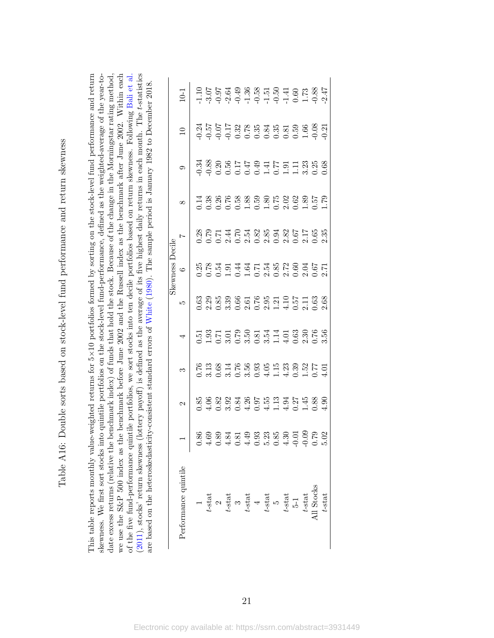| ;<br>l                         |
|--------------------------------|
| <b>Separate</b><br>i,          |
| ソン・ショー コーヒューション                |
|                                |
| 5                              |
|                                |
| $\frac{1}{2}$                  |
|                                |
|                                |
|                                |
|                                |
| ĺ                              |
|                                |
| ¢<br>$\ddot{\phantom{0}}$<br>I |

This table reports monthly value-weighted returns for 5×10 portfolios formed by sorting on the stock-level fund performance and return (2011), stocks' return skewness (lottery payoff) is defined as the average of its five highest daily returns in each month. The t-statistics ×10 portfolios formed by sorting on the stock-level fund performance and return skewness. We first sort stocks into quintile portfolios on the stock-level fund-performance, defined as the weighted-average of the year-todate excess returns (relative the benchmark index) of funds that hold the stock. Because of the change in the Morningstar rating method, we use the S&P 500 index as the benchmark before June 2002 and the Russell index as the benchmark after June 2002. Within each we use the S&P 500 index as the benchmark before June 2002 and the Russell index as the benchmark after June 2002. Within each of the five fund-performance quintile portfolios, we sort stocks into ten decile portfolios based on return skewness. Following Bali et al. [\(2011\)](#page-35-1), stocks' return skewness (lottery payoff) is defined as the average of its five highest daily returns in each month. The t-statistics skewness. We first sort stocks into quintile portfolios on the stock-level fund-performance, defined as the weighted-average of the year-todate excess returns (relative the benchmark index) of funds that hold the stock. Because of the change in the Morningstar rating method, of the five fund-performance quintile portfolios, we sort stocks into ten decile portfolios based on return skewness. Following [Bali](#page-35-1) et al. are based on the heteroskedasticity-consistent standard errors of White (1980). The sample period is January 1982 to December 2018. are based on the heteroskedasticity-consistent standard errors of [White](#page-38-0) ([1980\)](#page-38-0). The sample period is January 1982 to December 2018. This table reports monthly value-weighted returns for 5

| Performance quintile                                                                                                                        | 2 |                                                                                                                                                                                                                                                                                | 4 | ഥ | $\circ$                                                                         | $\overline{a}$                           |                                       | $\overline{10}$                                              | $-1$ |
|---------------------------------------------------------------------------------------------------------------------------------------------|---|--------------------------------------------------------------------------------------------------------------------------------------------------------------------------------------------------------------------------------------------------------------------------------|---|---|---------------------------------------------------------------------------------|------------------------------------------|---------------------------------------|--------------------------------------------------------------|------|
|                                                                                                                                             |   |                                                                                                                                                                                                                                                                                |   |   |                                                                                 |                                          |                                       |                                                              |      |
|                                                                                                                                             |   |                                                                                                                                                                                                                                                                                |   |   |                                                                                 |                                          |                                       |                                                              |      |
| $t$ -stat<br>$t$ -stat<br>$t$ -stat<br>$t$ -stat<br>$t$ -stat<br>$t$ -stat<br>$t$ -stat<br>$t$ -stat<br>$t$ -stat<br>$t$ -stat<br>$t$ -stat |   | $\begin{array}{cccc}\n 0.76 & 0.73 & 0.73 & 0.73 & 0.73 & 0.73 & 0.73 & 0.73 & 0.73 & 0.73 & 0.73 & 0.73 & 0.73 & 0.73 & 0.73 & 0.73 & 0.73 & 0.73 & 0.73 & 0.73 & 0.73 & 0.73 & 0.73 & 0.73 & 0.73 & 0.73 & 0.73 & 0.73 & 0.73 & 0.73 & 0.73 & 0.73 & 0.73 & 0.73 & 0.73 & 0$ |   |   | es e de de la sensaja<br>Reservación de la sensaja<br>Reservación de la sensaja | SOFIERS SOS SOFIES<br>SOFIERS SOS SOFIES | 3<br>388854945513368<br>9986566161139 | 4<br>2007 - 2008 3008 3008 3009<br>2007 - 2009 3009 3009 300 |      |
|                                                                                                                                             |   |                                                                                                                                                                                                                                                                                |   |   |                                                                                 |                                          |                                       |                                                              |      |
|                                                                                                                                             |   |                                                                                                                                                                                                                                                                                |   |   |                                                                                 |                                          |                                       |                                                              |      |
|                                                                                                                                             |   |                                                                                                                                                                                                                                                                                |   |   |                                                                                 |                                          |                                       |                                                              |      |
|                                                                                                                                             |   |                                                                                                                                                                                                                                                                                |   |   |                                                                                 |                                          |                                       |                                                              |      |
|                                                                                                                                             |   |                                                                                                                                                                                                                                                                                |   |   |                                                                                 |                                          |                                       |                                                              |      |
|                                                                                                                                             |   |                                                                                                                                                                                                                                                                                |   |   |                                                                                 |                                          |                                       |                                                              |      |
|                                                                                                                                             |   |                                                                                                                                                                                                                                                                                |   |   |                                                                                 |                                          |                                       |                                                              |      |
|                                                                                                                                             |   |                                                                                                                                                                                                                                                                                |   |   |                                                                                 |                                          |                                       |                                                              |      |
|                                                                                                                                             |   |                                                                                                                                                                                                                                                                                |   |   |                                                                                 |                                          |                                       |                                                              |      |
|                                                                                                                                             |   |                                                                                                                                                                                                                                                                                |   |   |                                                                                 |                                          |                                       |                                                              |      |
| $t$ -stat                                                                                                                                   |   |                                                                                                                                                                                                                                                                                |   |   |                                                                                 |                                          |                                       |                                                              |      |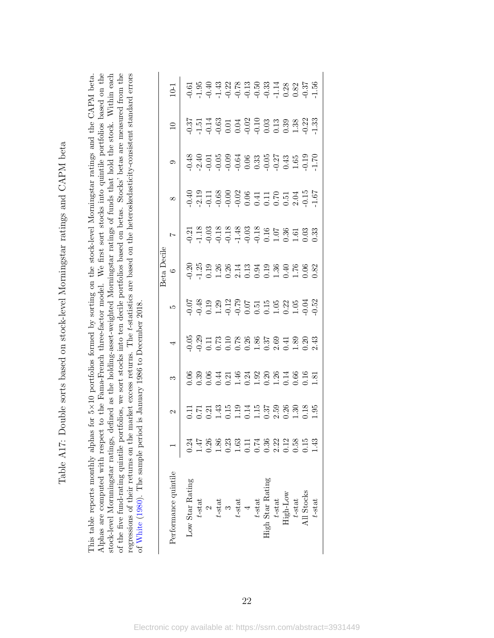| ・・イーて<br>l                                                                                               |
|----------------------------------------------------------------------------------------------------------|
| ֧֧֧֧֧֧֧֧֧֧֧֧֧֧֧֧֧֧֧֧֧֧֧֧֧֛֛֪֪֛֪֛֪֦֧֚֚֚֚֚֚֚֝֓֕֓֕֓֕֓֓֓֓֓֝֓֝֬֝֓֝֬֝֓֝֬֝֬֝֓֝֬֝֓֝֬֝֬֝֓֝֬֝֓֝֬֝֬֝֬֝֓֝֬֝֬֝֬֝֝֬֝֝֝ |
| てんこう こうこうしゅうきょう こうしょう<br>;                                                                               |
|                                                                                                          |
| )                                                                                                        |
| ֧֧֧֧֧ׅ֧֧ׅ֧֧ׅ֧֧ׅ֧֧֧ׅ֧֧ׅ֧֧֧֧֚֚֚֚֚֚֚֚֚֚֚֚֚֚֚֚֚֚֚֚֚֚֚֚֚֚֚֚֚֚֚֚֚֚֝֝֓֝֬֜֓֝֬֜֓֝֬֜֝֬֜֝֬֝֬֜֝֬֜֝֬֝֬֝֬              |
| $\frac{1}{2}$                                                                                            |
|                                                                                                          |
|                                                                                                          |
| $\frac{1}{2}$                                                                                            |
| :<br>;                                                                                                   |
| $\frac{1}{2}$                                                                                            |
| į<br>j<br>$\frac{1}{2}$                                                                                  |
|                                                                                                          |
| $\begin{bmatrix} 1 \\ 1 \\ 1 \end{bmatrix}$<br>l<br>l                                                    |
| ĺ<br>I                                                                                                   |

stock-level Mornningstar ratings, defined as the holding-asset-weighted Morningstar ratings of funds that hold the stock. Within each<br>of the five fund-rating quintile portfolios, we sort stocks into ten decile portfolios b Alphas are computed with respect to the Fama-French three-factor model. We first sort stocks into quintile portfolios based on the regressions of their returns on the market excess returns. The t-statistics are based on the heteroskedasticity-consistent standard errors This table reports monthly alphas for 5×10 portfolios formed by sorting on the stock-level Morningstar ratings and the CAPM beta. regressions of their returns on the market excess returns. The t-statistics are based on the heteroskedasticity-consistent standard errors ×10 portfolios formed by sorting on the stock-level Morningstar ratings and the CAPM beta. Alphas are computed with respect to the Fama-French three-factor model. We first sort stocks into quintile portfolios based on the stock-level Mornningstar ratings, defined as the holding-asset-weighted Morningstar ratings of funds that hold the stock. Within each of the five fund-rating quintile portfolios, we sort stocks into ten decile portfolios based on betas. Stocks' betas are measured from the of White (1980). The sample period is January 1986 to December 2018. of [White](#page-38-0) [\(1980\)](#page-38-0). The sample period is January 1986 to December 2018. This table reports monthly alphas for 5

| Performance quintile                                                                     |      |                                                                                                         |                                       |                                                                                                                                                                                                                                                                                                                 | seta Decile<br>$\circ$ |  | $\Box$ | $10-1$                                                                                                                                                                                                                                                                                                                                                                                                                                                                           |
|------------------------------------------------------------------------------------------|------|---------------------------------------------------------------------------------------------------------|---------------------------------------|-----------------------------------------------------------------------------------------------------------------------------------------------------------------------------------------------------------------------------------------------------------------------------------------------------------------|------------------------|--|--------|----------------------------------------------------------------------------------------------------------------------------------------------------------------------------------------------------------------------------------------------------------------------------------------------------------------------------------------------------------------------------------------------------------------------------------------------------------------------------------|
|                                                                                          |      |                                                                                                         |                                       |                                                                                                                                                                                                                                                                                                                 |                        |  |        |                                                                                                                                                                                                                                                                                                                                                                                                                                                                                  |
| Low Star Rating                                                                          |      |                                                                                                         |                                       |                                                                                                                                                                                                                                                                                                                 |                        |  |        |                                                                                                                                                                                                                                                                                                                                                                                                                                                                                  |
| $t\text{-stat}$                                                                          |      |                                                                                                         |                                       |                                                                                                                                                                                                                                                                                                                 |                        |  |        |                                                                                                                                                                                                                                                                                                                                                                                                                                                                                  |
|                                                                                          |      |                                                                                                         |                                       |                                                                                                                                                                                                                                                                                                                 |                        |  |        |                                                                                                                                                                                                                                                                                                                                                                                                                                                                                  |
| $\begin{array}{c} 2 \\ t\text{-stat} \\ 3 \end{array}$                                   |      |                                                                                                         |                                       |                                                                                                                                                                                                                                                                                                                 |                        |  |        |                                                                                                                                                                                                                                                                                                                                                                                                                                                                                  |
|                                                                                          |      |                                                                                                         |                                       |                                                                                                                                                                                                                                                                                                                 |                        |  |        |                                                                                                                                                                                                                                                                                                                                                                                                                                                                                  |
| $t\text{-stat}$                                                                          |      |                                                                                                         |                                       |                                                                                                                                                                                                                                                                                                                 |                        |  |        |                                                                                                                                                                                                                                                                                                                                                                                                                                                                                  |
| $\frac{4}{1}$                                                                            |      |                                                                                                         |                                       |                                                                                                                                                                                                                                                                                                                 |                        |  |        |                                                                                                                                                                                                                                                                                                                                                                                                                                                                                  |
|                                                                                          |      |                                                                                                         |                                       |                                                                                                                                                                                                                                                                                                                 |                        |  |        |                                                                                                                                                                                                                                                                                                                                                                                                                                                                                  |
| $\begin{array}{c} t\text{-stat} \\ \text{High Star Rating} \\ t\text{-stat} \end{array}$ |      | 0 8 9 4 5 9 4 9 5 6 6 7 5 6 7 5<br>0 0 0 0 0 1 0 4 6 7 6 7 7 6 6 7 8<br>0 0 0 0 0 1 0 1 0 1 0 1 0 0 0 1 | ののロークのあるでのはののはのです。<br>このことのこというのはのです。 | $\begin{array}{l} 0.7 \\ 0.7 \\ 0.9 \\ 0.1 \\ 0.09 \\ 0.01 \\ 0.01 \\ 0.01 \\ 0.01 \\ 0.01 \\ 0.01 \\ 0.01 \\ 0.01 \\ 0.01 \\ 0.01 \\ 0.01 \\ 0.01 \\ 0.01 \\ 0.01 \\ 0.01 \\ 0.01 \\ 0.01 \\ 0.01 \\ 0.01 \\ 0.01 \\ 0.01 \\ 0.01 \\ 0.01 \\ 0.01 \\ 0.01 \\ 0.01 \\ 0.01 \\ 0.01 \\ 0.01 \\ 0.01 \\ 0.01 \\ $ |                        |  |        | $\begin{array}{cccccccccc} \multicolumn{4}{c}{\textbf{5}} & \multicolumn{4}{c}{\textbf{5}} & \multicolumn{4}{c}{\textbf{6}} & \multicolumn{4}{c}{\textbf{6}} & \multicolumn{4}{c}{\textbf{7}} & \multicolumn{4}{c}{\textbf{8}} & \multicolumn{4}{c}{\textbf{9}} & \multicolumn{4}{c}{\textbf{1}} & \multicolumn{4}{c}{\textbf{1}} & \multicolumn{4}{c}{\textbf{1}} & \multicolumn{4}{c}{\textbf{1}} & \multicolumn{4}{c}{\textbf{1}} & \multicolumn{4}{c}{\textbf{1}} & \multic$ |
|                                                                                          |      |                                                                                                         |                                       |                                                                                                                                                                                                                                                                                                                 |                        |  |        |                                                                                                                                                                                                                                                                                                                                                                                                                                                                                  |
| High-Low                                                                                 |      |                                                                                                         |                                       |                                                                                                                                                                                                                                                                                                                 |                        |  |        |                                                                                                                                                                                                                                                                                                                                                                                                                                                                                  |
| $t$ -stat                                                                                |      |                                                                                                         |                                       |                                                                                                                                                                                                                                                                                                                 |                        |  |        |                                                                                                                                                                                                                                                                                                                                                                                                                                                                                  |
| All Stocks                                                                               |      |                                                                                                         |                                       |                                                                                                                                                                                                                                                                                                                 |                        |  |        |                                                                                                                                                                                                                                                                                                                                                                                                                                                                                  |
| $t$ -stat                                                                                | 1.43 |                                                                                                         |                                       |                                                                                                                                                                                                                                                                                                                 |                        |  |        |                                                                                                                                                                                                                                                                                                                                                                                                                                                                                  |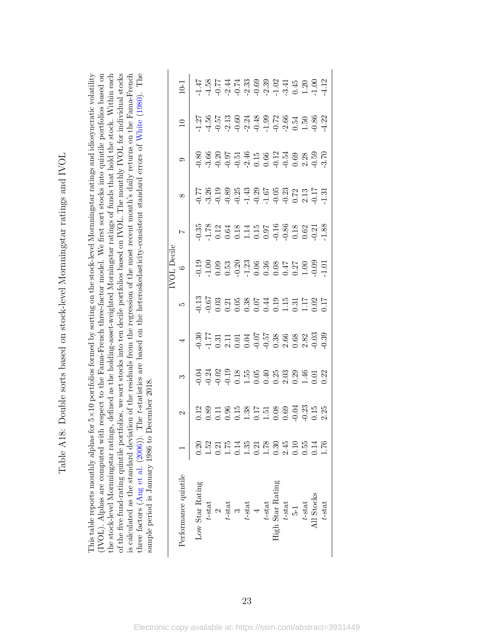| ا<br>ا                                                                                                                                                                                                                               |
|--------------------------------------------------------------------------------------------------------------------------------------------------------------------------------------------------------------------------------------|
|                                                                                                                                                                                                                                      |
| $\frac{1}{2}$<br>I                                                                                                                                                                                                                   |
|                                                                                                                                                                                                                                      |
| - 22.452                                                                                                                                                                                                                             |
| כון באת האינטי האל האינטי הלאומי האינטי האל האינטי האל האינטי האל האינטי האל<br>)<br>֧֚֝<br>֧֚֝<br>֧֚֝                                                                                                                               |
| i<br>2                                                                                                                                                                                                                               |
| i di secondo di secondo di secondo di secondo di secondo di secondo di secondo di secondo di secondo di secondo di secondo di secondo di secondo di secondo di secondo di secondo di secondo di secondo di secondo di secondo<br>)   |
| $\frac{1}{2}$                                                                                                                                                                                                                        |
| ֖֖֖֖֧֧֧ׅ֧֧֧֧֧֧֚֚֚֚֚֚֡֝֬֝֓֝֓֕֝֓֬֝֓֝֬֝֓֝֬֝֓֝֬֓֓֝֓֝֓֝֬֝֓֬֝֓<br>֧֪֪֪֖֧֧֪ׅ֖֧֧֧֪ׅ֧֧֪ׅ֧֧֪ׅ֧֚֚֚֚֚֚֚֚֚֚֚֚֚֚֚֚֚֝֝֝֝֝֓֝֝֬֝֬֓֝֬֓֝֬                                                                                                               |
|                                                                                                                                                                                                                                      |
|                                                                                                                                                                                                                                      |
| I                                                                                                                                                                                                                                    |
|                                                                                                                                                                                                                                      |
|                                                                                                                                                                                                                                      |
| <b>The first state of the control of the control of the control of the control of the control of the control of the control of the control of the control of the control of the control of the control of the control of the con</b> |
| )<br>)<br>)                                                                                                                                                                                                                          |
| $-2$                                                                                                                                                                                                                                 |
| $\mathfrak{c}$                                                                                                                                                                                                                       |
| ,<br>,<br>,<br>,<br>,<br>,                                                                                                                                                                                                           |
| $\frac{1}{\pi}$ , $\frac{1}{\pi}$ , $\frac{1}{\pi}$ , $\frac{1}{\pi}$<br>$\breve{ }$<br>į<br>Ĭ                                                                                                                                       |

of the five fund-rating quintile portfolios, we sort stocks into ten decile portfolios based on IVOL. The monthly IVOL for individual stocks three factors (Ang et al. (2006)). The t-statistics are based on the heteroskedasticity-consistent standard errors of White (1980). The (IVOL). Alphas are computed with respect to the Fama-French three-factor model. We first sort stocks into quintile portfolios based on the stock-level Mornningstar ratings, defined as the holding-asset-weighted Morningstar ratings of funds that hold the stock. Within each is calculated as the standard deviation of the residuals from the regression of the most recent month's daily returns on the Fama-French This table reports monthly alphas for 5×10 portfolios formed by sorting on the stock-level Mornningstar ratings and idiosyncratic volatility ×10 portfolios formed by sorting on the stock-level Mornningstar ratings and idiosyncratic volatility three factors ([Ang](#page-35-0) et al. [\(2006\)](#page-35-0)). The t-statistics are based on the heteroskedasticity-consistent standard errors of [White](#page-38-0) ([1980\)](#page-38-0). The (IVOL). Alphas are computed with respect to the Fama-French three-factor model. We first sort stocks into quintile portfolios based on the stock-level Mornningstar ratings, defined as the holding-asset-weighted Morningstar ratings of funds that hold the stock. Within each of the five fund-rating quintile portfolios, we sort stocks into ten decile portfolios based on IVOL. The monthly IVOL for individual stocks is calculated as the standard deviation of the residuals from the regression of the most recent month's daily returns on the Fama-French sample period is January 1986 to December 2018. sample period is January 1986 to December 2018. This table reports monthly alphas for  $5 \times$ 

| $0-1$                    |                 |  |  |  |  |                                                         |  | 4 5 6 5 4 7 6 9 9 9 9 4 4 6 0 9 0<br>1 4 9 9 9 9 9 9 1 7 9 0 1 1<br>17<br>17 5 6 7 9 9 7 9 9 0 9 9 9 9 9 9 9 9<br>1 7 9 9 9 9 9 1 9 9 9 0 1 9 7    |
|--------------------------|-----------------|--|--|--|--|---------------------------------------------------------|--|----------------------------------------------------------------------------------------------------------------------------------------------------|
|                          |                 |  |  |  |  |                                                         |  | 8<br>8 8 8 8 5 5 4 9 9 8 9 9 8 8 9 9 0<br>9 9 9 9 9 9 0 0 9 9 0 1 9 9 9                                                                            |
|                          |                 |  |  |  |  |                                                         |  |                                                                                                                                                    |
|                          |                 |  |  |  |  |                                                         |  | 0<br>0<br>0 0 0 0 0 0 0 0 0 0 0 0 0 0 0 0 0<br>0 0 0 0 0 0 0 0 0 0 0 0 0 0 0                                                                       |
|                          |                 |  |  |  |  |                                                         |  |                                                                                                                                                    |
| $\overline{\phantom{a}}$ |                 |  |  |  |  |                                                         |  | 8<br>8 7 7 8 7 7 9 9 9 9 8 9 8 9 8 9 8<br>9 7 7 8 7 7 9 9 9 9 8 9 8 9 8 9 9                                                                        |
|                          |                 |  |  |  |  |                                                         |  | 3<br>1<br>2 3 3 3 3 4 5 9 9 9 9 9 9 9 9 0<br>1 9 9 9 0 1 0 0 0 0 1 0 1 0 0                                                                         |
|                          |                 |  |  |  |  |                                                         |  | 2<br>2021 8 5 3 5 5 5 8 9 9 7 3 5 8<br>2021 2020 9 2020                                                                                            |
|                          | 0.20            |  |  |  |  |                                                         |  |                                                                                                                                                    |
| Performance quintile     | Low Star Rating |  |  |  |  | $t$ -stat<br>$t$ -stat<br>$t$ -stat<br>$t$ -stat<br>$4$ |  | $\begin{array}{c} t\text{-stat}\\ \text{High Star Rating}\\ t\text{-stat}\\ 5\text{-}1\\ t\text{-stat}\\ t\text{-stat}\\ \end{array}$<br>ll Stocks |